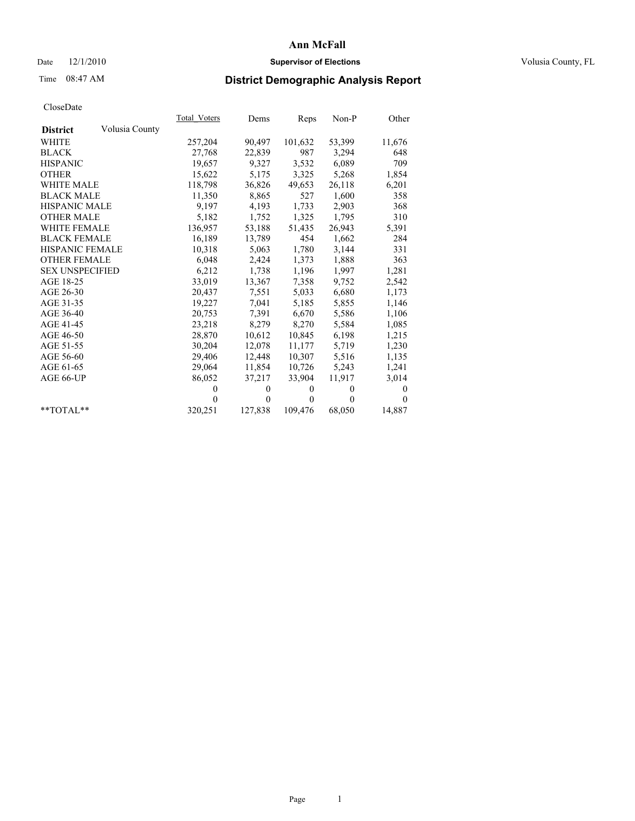## Date  $12/1/2010$  **Supervisor of Elections** Volusia County, FL

# Time 08:47 AM **District Demographic Analysis Report**

|                                   | Total Voters | Dems     | Reps         | Non-P        | Other    |
|-----------------------------------|--------------|----------|--------------|--------------|----------|
| Volusia County<br><b>District</b> |              |          |              |              |          |
| <b>WHITE</b>                      | 257,204      | 90,497   | 101,632      | 53,399       | 11,676   |
| <b>BLACK</b>                      | 27,768       | 22,839   | 987          | 3,294        | 648      |
| <b>HISPANIC</b>                   | 19,657       | 9,327    | 3,532        | 6,089        | 709      |
| <b>OTHER</b>                      | 15,622       | 5,175    | 3,325        | 5,268        | 1,854    |
| <b>WHITE MALE</b>                 | 118,798      | 36,826   | 49,653       | 26,118       | 6,201    |
| <b>BLACK MALE</b>                 | 11,350       | 8,865    | 527          | 1,600        | 358      |
| <b>HISPANIC MALE</b>              | 9,197        | 4,193    | 1,733        | 2,903        | 368      |
| <b>OTHER MALE</b>                 | 5,182        | 1,752    | 1,325        | 1,795        | 310      |
| <b>WHITE FEMALE</b>               | 136,957      | 53,188   | 51,435       | 26,943       | 5,391    |
| <b>BLACK FEMALE</b>               | 16,189       | 13,789   | 454          | 1,662        | 284      |
| <b>HISPANIC FEMALE</b>            | 10,318       | 5,063    | 1,780        | 3,144        | 331      |
| <b>OTHER FEMALE</b>               | 6,048        | 2,424    | 1,373        | 1,888        | 363      |
| <b>SEX UNSPECIFIED</b>            | 6,212        | 1,738    | 1,196        | 1,997        | 1,281    |
| AGE 18-25                         | 33,019       | 13,367   | 7,358        | 9,752        | 2,542    |
| AGE 26-30                         | 20,437       | 7,551    | 5,033        | 6,680        | 1,173    |
| AGE 31-35                         | 19,227       | 7,041    | 5,185        | 5,855        | 1,146    |
| AGE 36-40                         | 20,753       | 7,391    | 6,670        | 5,586        | 1,106    |
| AGE 41-45                         | 23,218       | 8,279    | 8,270        | 5,584        | 1,085    |
| AGE 46-50                         | 28,870       | 10,612   | 10,845       | 6,198        | 1,215    |
| AGE 51-55                         | 30,204       | 12,078   | 11,177       | 5,719        | 1,230    |
| AGE 56-60                         | 29,406       | 12,448   | 10,307       | 5,516        | 1,135    |
| AGE 61-65                         | 29,064       | 11,854   | 10,726       | 5,243        | 1,241    |
| AGE 66-UP                         | 86,052       | 37,217   | 33,904       | 11,917       | 3,014    |
|                                   | $\mathbf{0}$ | $\theta$ | $\mathbf{0}$ | $\mathbf{0}$ | $\theta$ |
|                                   | $\theta$     | $\theta$ | $\Omega$     | $\theta$     | $\Omega$ |
| $*$ $TOTAI.**$                    | 320,251      | 127,838  | 109,476      | 68,050       | 14,887   |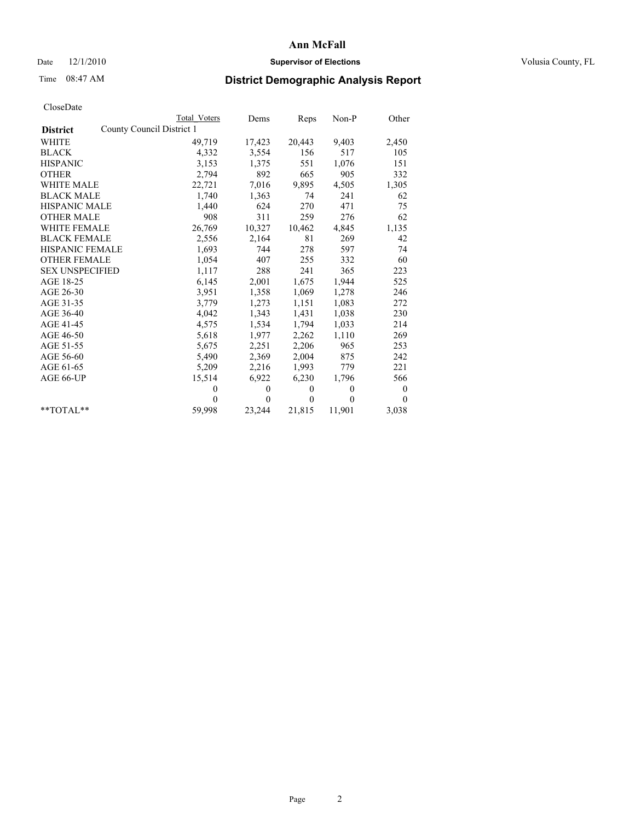### Date  $12/1/2010$  **Supervisor of Elections Supervisor of Elections** Volusia County, FL

## Time 08:47 AM **District Demographic Analysis Report**

|                        | Total Voters              | Dems         | Reps         | $Non-P$      | Other    |
|------------------------|---------------------------|--------------|--------------|--------------|----------|
| <b>District</b>        | County Council District 1 |              |              |              |          |
| WHITE                  | 49,719                    | 17,423       | 20,443       | 9,403        | 2,450    |
| <b>BLACK</b>           | 4,332                     | 3,554        | 156          | 517          | 105      |
| <b>HISPANIC</b>        | 3,153                     | 1,375        | 551          | 1,076        | 151      |
| <b>OTHER</b>           | 2,794                     | 892          | 665          | 905          | 332      |
| <b>WHITE MALE</b>      | 22,721                    | 7,016        | 9,895        | 4,505        | 1,305    |
| <b>BLACK MALE</b>      | 1,740                     | 1,363        | 74           | 241          | 62       |
| <b>HISPANIC MALE</b>   | 1,440                     | 624          | 270          | 471          | 75       |
| <b>OTHER MALE</b>      | 908                       | 311          | 259          | 276          | 62       |
| <b>WHITE FEMALE</b>    | 26,769                    | 10,327       | 10,462       | 4,845        | 1,135    |
| <b>BLACK FEMALE</b>    | 2,556                     | 2,164        | 81           | 269          | 42       |
| HISPANIC FEMALE        | 1,693                     | 744          | 278          | 597          | 74       |
| <b>OTHER FEMALE</b>    | 1,054                     | 407          | 255          | 332          | 60       |
| <b>SEX UNSPECIFIED</b> | 1,117                     | 288          | 241          | 365          | 223      |
| AGE 18-25              | 6,145                     | 2,001        | 1,675        | 1,944        | 525      |
| AGE 26-30              | 3,951                     | 1,358        | 1,069        | 1,278        | 246      |
| AGE 31-35              | 3,779                     | 1,273        | 1,151        | 1,083        | 272      |
| AGE 36-40              | 4,042                     | 1,343        | 1,431        | 1,038        | 230      |
| AGE 41-45              | 4,575                     | 1,534        | 1,794        | 1,033        | 214      |
| AGE 46-50              | 5,618                     | 1,977        | 2,262        | 1,110        | 269      |
| AGE 51-55              | 5,675                     | 2,251        | 2,206        | 965          | 253      |
| AGE 56-60              | 5,490                     | 2,369        | 2,004        | 875          | 242      |
| AGE 61-65              | 5,209                     | 2,216        | 1,993        | 779          | 221      |
| AGE 66-UP              | 15,514                    | 6,922        | 6,230        | 1,796        | 566      |
|                        | $\theta$                  | $\mathbf{0}$ | $\mathbf{0}$ | $\mathbf{0}$ | $\bf{0}$ |
|                        | $\Omega$                  | $\mathbf{0}$ | $\Omega$     | $\theta$     | $\Omega$ |
| $*$ $TOTAI.**$         | 59,998                    | 23,244       | 21,815       | 11,901       | 3,038    |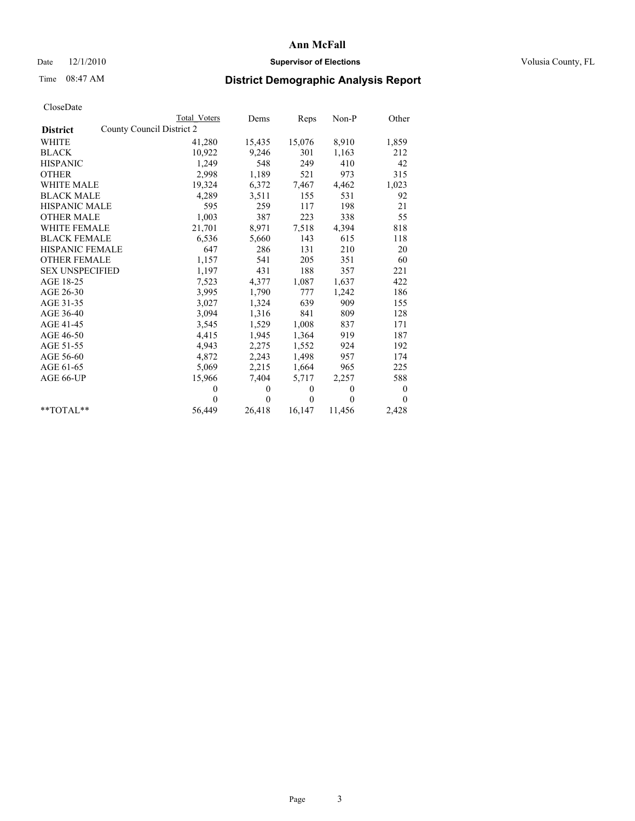### Date  $12/1/2010$  **Supervisor of Elections Supervisor of Elections** Volusia County, FL

## Time 08:47 AM **District Demographic Analysis Report**

|                        | <b>Total Voters</b>       | Dems         | Reps         | Non-P        | Other    |
|------------------------|---------------------------|--------------|--------------|--------------|----------|
| <b>District</b>        | County Council District 2 |              |              |              |          |
| <b>WHITE</b>           | 41,280                    | 15,435       | 15,076       | 8,910        | 1,859    |
| <b>BLACK</b>           | 10,922                    | 9,246        | 301          | 1,163        | 212      |
| <b>HISPANIC</b>        | 1,249                     | 548          | 249          | 410          | 42       |
| <b>OTHER</b>           | 2,998                     | 1,189        | 521          | 973          | 315      |
| <b>WHITE MALE</b>      | 19,324                    | 6,372        | 7,467        | 4,462        | 1,023    |
| <b>BLACK MALE</b>      | 4,289                     | 3,511        | 155          | 531          | 92       |
| <b>HISPANIC MALE</b>   | 595                       | 259          | 117          | 198          | 21       |
| <b>OTHER MALE</b>      | 1,003                     | 387          | 223          | 338          | 55       |
| WHITE FEMALE           | 21,701                    | 8,971        | 7,518        | 4,394        | 818      |
| <b>BLACK FEMALE</b>    | 6,536                     | 5,660        | 143          | 615          | 118      |
| HISPANIC FEMALE        | 647                       | 286          | 131          | 210          | 20       |
| <b>OTHER FEMALE</b>    | 1,157                     | 541          | 205          | 351          | 60       |
| <b>SEX UNSPECIFIED</b> | 1,197                     | 431          | 188          | 357          | 221      |
| AGE 18-25              | 7,523                     | 4,377        | 1,087        | 1,637        | 422      |
| AGE 26-30              | 3,995                     | 1,790        | 777          | 1,242        | 186      |
| AGE 31-35              | 3,027                     | 1,324        | 639          | 909          | 155      |
| AGE 36-40              | 3,094                     | 1,316        | 841          | 809          | 128      |
| AGE 41-45              | 3,545                     | 1,529        | 1,008        | 837          | 171      |
| AGE 46-50              | 4,415                     | 1,945        | 1,364        | 919          | 187      |
| AGE 51-55              | 4,943                     | 2,275        | 1,552        | 924          | 192      |
| AGE 56-60              | 4,872                     | 2,243        | 1,498        | 957          | 174      |
| AGE 61-65              | 5,069                     | 2,215        | 1,664        | 965          | 225      |
| AGE 66-UP              | 15,966                    | 7,404        | 5,717        | 2,257        | 588      |
|                        | $\mathbf{0}$              | $\mathbf{0}$ | $\mathbf{0}$ | $\mathbf{0}$ | $\bf{0}$ |
|                        | $\theta$                  | $\theta$     | $\Omega$     | $\theta$     | $\theta$ |
| $*$ $TOTAI.**$         | 56,449                    | 26,418       | 16,147       | 11,456       | 2,428    |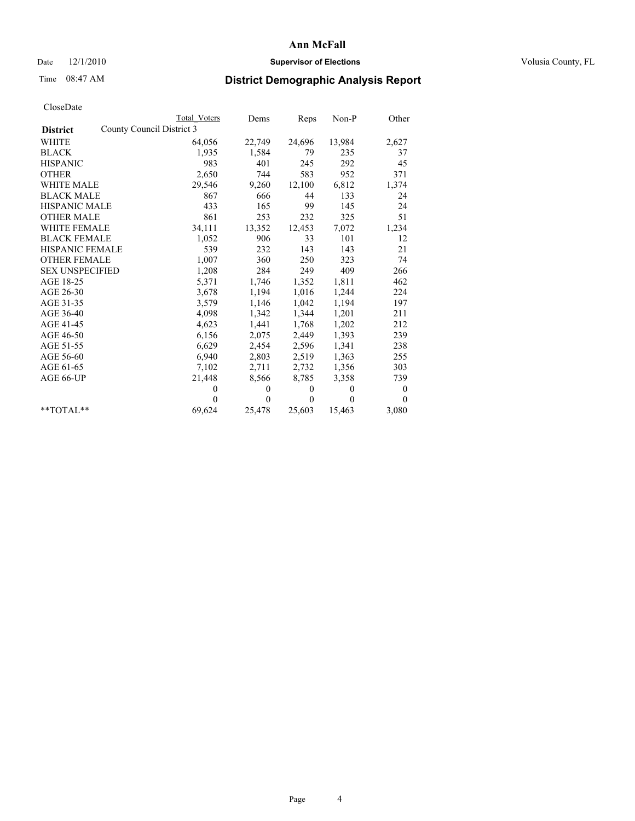### Date  $12/1/2010$  **Supervisor of Elections Supervisor of Elections** Volusia County, FL

## Time 08:47 AM **District Demographic Analysis Report**

|                                              | Total Voters | Dems     | Reps         | $Non-P$  | Other            |
|----------------------------------------------|--------------|----------|--------------|----------|------------------|
| County Council District 3<br><b>District</b> |              |          |              |          |                  |
| WHITE                                        | 64,056       | 22,749   | 24,696       | 13,984   | 2,627            |
| <b>BLACK</b>                                 | 1,935        | 1,584    | 79           | 235      | 37               |
| <b>HISPANIC</b>                              | 983          | 401      | 245          | 292      | 45               |
| <b>OTHER</b>                                 | 2,650        | 744      | 583          | 952      | 371              |
| <b>WHITE MALE</b>                            | 29,546       | 9,260    | 12,100       | 6,812    | 1,374            |
| <b>BLACK MALE</b>                            | 867          | 666      | 44           | 133      | 24               |
| <b>HISPANIC MALE</b>                         | 433          | 165      | 99           | 145      | 24               |
| <b>OTHER MALE</b>                            | 861          | 253      | 232          | 325      | 51               |
| WHITE FEMALE                                 | 34,111       | 13,352   | 12,453       | 7,072    | 1,234            |
| <b>BLACK FEMALE</b>                          | 1,052        | 906      | 33           | 101      | 12               |
| HISPANIC FEMALE                              | 539          | 232      | 143          | 143      | 21               |
| <b>OTHER FEMALE</b>                          | 1,007        | 360      | 250          | 323      | 74               |
| <b>SEX UNSPECIFIED</b>                       | 1,208        | 284      | 249          | 409      | 266              |
| AGE 18-25                                    | 5,371        | 1,746    | 1,352        | 1,811    | 462              |
| AGE 26-30                                    | 3,678        | 1,194    | 1,016        | 1,244    | 224              |
| AGE 31-35                                    | 3,579        | 1,146    | 1,042        | 1,194    | 197              |
| AGE 36-40                                    | 4,098        | 1,342    | 1,344        | 1,201    | 211              |
| AGE 41-45                                    | 4,623        | 1,441    | 1,768        | 1,202    | 212              |
| AGE 46-50                                    | 6,156        | 2,075    | 2,449        | 1,393    | 239              |
| AGE 51-55                                    | 6,629        | 2,454    | 2,596        | 1,341    | 238              |
| AGE 56-60                                    | 6,940        | 2,803    | 2,519        | 1,363    | 255              |
| AGE 61-65                                    | 7,102        | 2,711    | 2,732        | 1,356    | 303              |
| AGE 66-UP                                    | 21,448       | 8,566    | 8,785        | 3,358    | 739              |
|                                              | $\mathbf{0}$ | $\theta$ | $\mathbf{0}$ | $\theta$ | $\boldsymbol{0}$ |
|                                              | $\theta$     | $\theta$ | $\theta$     | $\theta$ | $\theta$         |
| $*$ $TOTAI.**$                               | 69,624       | 25,478   | 25,603       | 15,463   | 3,080            |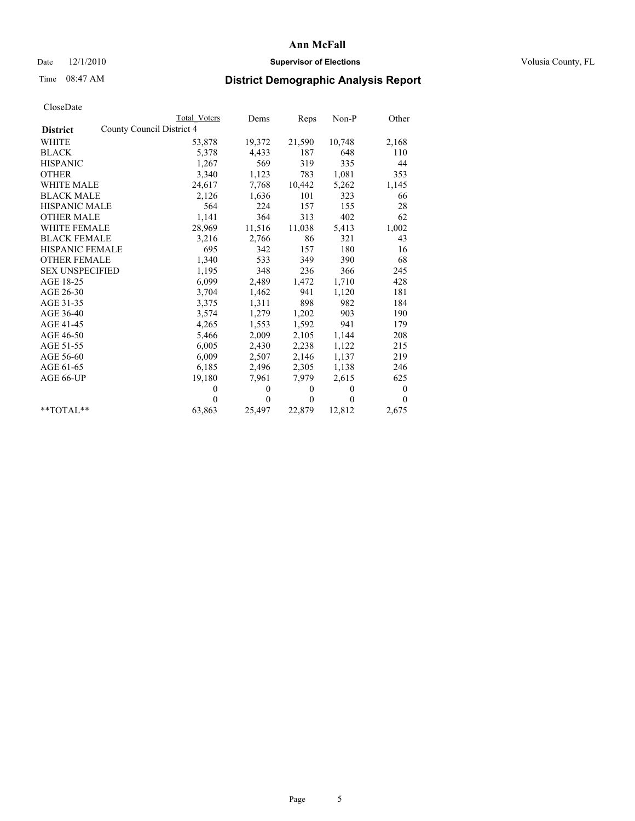### Date  $12/1/2010$  **Supervisor of Elections Supervisor of Elections** Volusia County, FL

## Time 08:47 AM **District Demographic Analysis Report**

|                        |                           | Total Voters | Dems         | Reps         | $Non-P$      | Other    |
|------------------------|---------------------------|--------------|--------------|--------------|--------------|----------|
| <b>District</b>        | County Council District 4 |              |              |              |              |          |
| <b>WHITE</b>           |                           | 53,878       | 19,372       | 21,590       | 10,748       | 2,168    |
| <b>BLACK</b>           |                           | 5,378        | 4,433        | 187          | 648          | 110      |
| <b>HISPANIC</b>        |                           | 1,267        | 569          | 319          | 335          | 44       |
| <b>OTHER</b>           |                           | 3,340        | 1,123        | 783          | 1,081        | 353      |
| WHITE MALE             |                           | 24,617       | 7,768        | 10,442       | 5,262        | 1,145    |
| <b>BLACK MALE</b>      |                           | 2,126        | 1,636        | 101          | 323          | 66       |
| <b>HISPANIC MALE</b>   |                           | 564          | 224          | 157          | 155          | 28       |
| <b>OTHER MALE</b>      |                           | 1,141        | 364          | 313          | 402          | 62       |
| <b>WHITE FEMALE</b>    |                           | 28,969       | 11,516       | 11,038       | 5,413        | 1,002    |
| <b>BLACK FEMALE</b>    |                           | 3,216        | 2,766        | 86           | 321          | 43       |
| HISPANIC FEMALE        |                           | 695          | 342          | 157          | 180          | 16       |
| <b>OTHER FEMALE</b>    |                           | 1,340        | 533          | 349          | 390          | 68       |
| <b>SEX UNSPECIFIED</b> |                           | 1,195        | 348          | 236          | 366          | 245      |
| AGE 18-25              |                           | 6,099        | 2,489        | 1,472        | 1,710        | 428      |
| AGE 26-30              |                           | 3,704        | 1,462        | 941          | 1,120        | 181      |
| AGE 31-35              |                           | 3,375        | 1,311        | 898          | 982          | 184      |
| AGE 36-40              |                           | 3,574        | 1,279        | 1,202        | 903          | 190      |
| AGE 41-45              |                           | 4,265        | 1,553        | 1,592        | 941          | 179      |
| AGE 46-50              |                           | 5,466        | 2,009        | 2,105        | 1,144        | 208      |
| AGE 51-55              |                           | 6,005        | 2,430        | 2,238        | 1,122        | 215      |
| AGE 56-60              |                           | 6,009        | 2,507        | 2,146        | 1,137        | 219      |
| AGE 61-65              |                           | 6,185        | 2,496        | 2,305        | 1,138        | 246      |
| AGE 66-UP              |                           | 19,180       | 7,961        | 7,979        | 2,615        | 625      |
|                        |                           | $\theta$     | $\mathbf{0}$ | $\mathbf{0}$ | $\mathbf{0}$ | $\bf{0}$ |
|                        |                           | $\Omega$     | $\mathbf{0}$ | $\theta$     | $\theta$     | $\theta$ |
| $*$ $TOTAI.**$         |                           | 63,863       | 25,497       | 22,879       | 12,812       | 2,675    |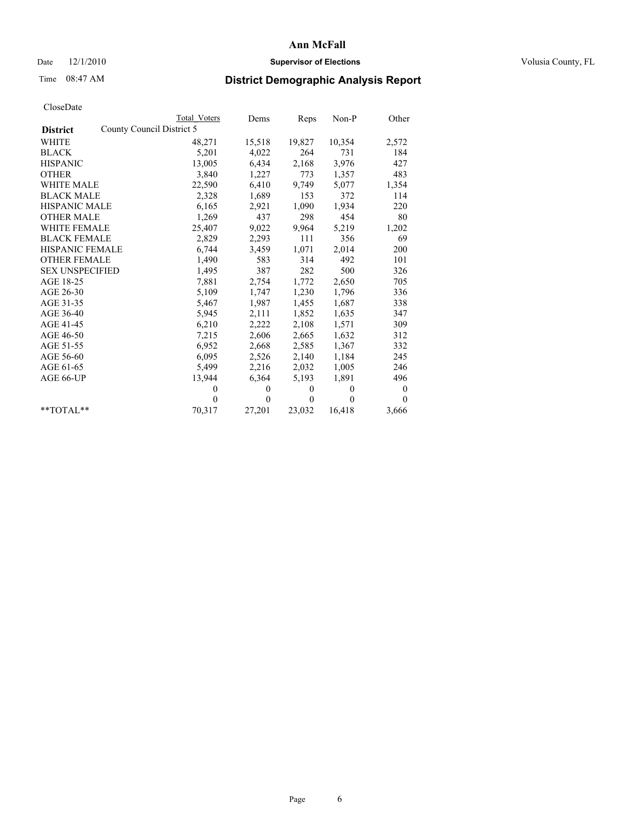## Date  $12/1/2010$  **Supervisor of Elections** Volusia County, FL

## Time 08:47 AM **District Demographic Analysis Report**

|                        | Total Voters              | Dems         | Reps         | Non-P        | Other        |  |
|------------------------|---------------------------|--------------|--------------|--------------|--------------|--|
| <b>District</b>        | County Council District 5 |              |              |              |              |  |
| <b>WHITE</b>           | 48,271                    | 15,518       | 19,827       | 10,354       | 2,572        |  |
| <b>BLACK</b>           | 5,201                     | 4,022        | 264          | 731          | 184          |  |
| <b>HISPANIC</b>        | 13,005                    | 6,434        | 2,168        | 3,976        | 427          |  |
| <b>OTHER</b>           | 3,840                     | 1,227        | 773          | 1,357        | 483          |  |
| <b>WHITE MALE</b>      | 22,590                    | 6,410        | 9,749        | 5,077        | 1,354        |  |
| <b>BLACK MALE</b>      | 2,328                     | 1,689        | 153          | 372          | 114          |  |
| <b>HISPANIC MALE</b>   | 6,165                     | 2,921        | 1,090        | 1,934        | 220          |  |
| <b>OTHER MALE</b>      | 1,269                     | 437          | 298          | 454          | 80           |  |
| <b>WHITE FEMALE</b>    | 25,407                    | 9,022        | 9.964        | 5,219        | 1,202        |  |
| <b>BLACK FEMALE</b>    | 2,829                     | 2,293        | 111          | 356          | 69           |  |
| <b>HISPANIC FEMALE</b> | 6,744                     | 3,459        | 1,071        | 2,014        | 200          |  |
| <b>OTHER FEMALE</b>    | 1,490                     | 583          | 314          | 492          | 101          |  |
| <b>SEX UNSPECIFIED</b> | 1,495                     | 387          | 282          | 500          | 326          |  |
| AGE 18-25              | 7,881                     | 2,754        | 1,772        | 2,650        | 705          |  |
| AGE 26-30              | 5,109                     | 1,747        | 1,230        | 1,796        | 336          |  |
| AGE 31-35              | 5,467                     | 1,987        | 1,455        | 1,687        | 338          |  |
| AGE 36-40              | 5,945                     | 2,111        | 1,852        | 1,635        | 347          |  |
| AGE 41-45              | 6,210                     | 2,222        | 2,108        | 1,571        | 309          |  |
| AGE 46-50              | 7,215                     | 2,606        | 2,665        | 1,632        | 312          |  |
| AGE 51-55              | 6,952                     | 2,668        | 2,585        | 1,367        | 332          |  |
| AGE 56-60              | 6,095                     | 2,526        | 2,140        | 1,184        | 245          |  |
| AGE 61-65              | 5,499                     | 2,216        | 2,032        | 1,005        | 246          |  |
| AGE 66-UP              | 13,944                    | 6,364        | 5,193        | 1,891        | 496          |  |
|                        | $\mathbf{0}$              | $\mathbf{0}$ | $\mathbf{0}$ | $\mathbf{0}$ | $\mathbf{0}$ |  |
|                        | $\Omega$                  | $\mathbf{0}$ | $\theta$     | $\theta$     | $\Omega$     |  |
| $*$ $TOTAI.**$         | 70,317                    | 27,201       | 23,032       | 16,418       | 3,666        |  |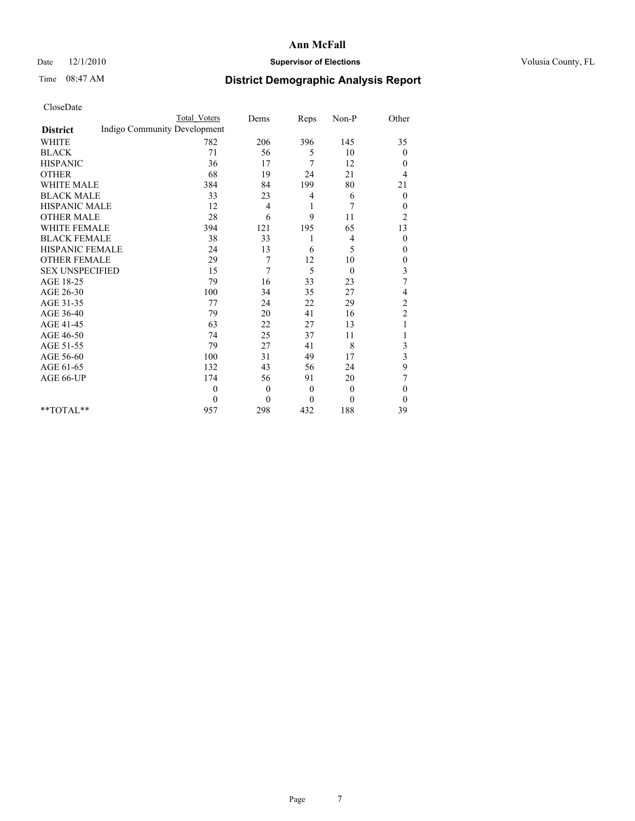### Date  $12/1/2010$  **Supervisor of Elections Supervisor of Elections** Volusia County, FL

# Time 08:47 AM **District Demographic Analysis Report**

|                                                 | <b>Total Voters</b> | Dems             | Reps         | $Non-P$  | Other          |
|-------------------------------------------------|---------------------|------------------|--------------|----------|----------------|
| Indigo Community Development<br><b>District</b> |                     |                  |              |          |                |
| <b>WHITE</b>                                    | 782                 | 206              | 396          | 145      | 35             |
| <b>BLACK</b>                                    | 71                  | 56               | 5            | 10       | $\theta$       |
| <b>HISPANIC</b>                                 | 36                  | 17               | 7            | 12       | $\theta$       |
| <b>OTHER</b>                                    | 68                  | 19               | 24           | 21       | 4              |
| <b>WHITE MALE</b>                               | 384                 | 84               | 199          | 80       | 21             |
| <b>BLACK MALE</b>                               | 33                  | 23               | 4            | 6        | $\mathbf{0}$   |
| HISPANIC MALE                                   | 12                  | 4                | 1            | 7        | $\mathbf{0}$   |
| <b>OTHER MALE</b>                               | 28                  | 6                | 9            | 11       | $\overline{c}$ |
| <b>WHITE FEMALE</b>                             | 394                 | 121              | 195          | 65       | 13             |
| <b>BLACK FEMALE</b>                             | 38                  | 33               |              | 4        | $\theta$       |
| HISPANIC FEMALE                                 | 24                  | 13               | 6            | 5        | $\mathbf{0}$   |
| <b>OTHER FEMALE</b>                             | 29                  | 7                | 12           | 10       | $\theta$       |
| <b>SEX UNSPECIFIED</b>                          | 15                  | 7                | 5            | $\theta$ | $\mathfrak{Z}$ |
| AGE 18-25                                       | 79                  | 16               | 33           | 23       | 7              |
| AGE 26-30                                       | 100                 | 34               | 35           | 27       | 4              |
| AGE 31-35                                       | 77                  | 24               | 22           | 29       | $\overline{c}$ |
| AGE 36-40                                       | 79                  | 20               | 41           | 16       | $\overline{c}$ |
| AGE 41-45                                       | 63                  | 22               | 27           | 13       | 1              |
| AGE 46-50                                       | 74                  | 25               | 37           | 11       |                |
| AGE 51-55                                       | 79                  | 27               | 41           | 8        | 3              |
| AGE 56-60                                       | 100                 | 31               | 49           | 17       | 3              |
| AGE 61-65                                       | 132                 | 43               | 56           | 24       | 9              |
| AGE 66-UP                                       | 174                 | 56               | 91           | 20       | 7              |
|                                                 | $\theta$            | $\overline{0}$   | $\mathbf{0}$ | $\theta$ | $\theta$       |
|                                                 | $\theta$            | $\boldsymbol{0}$ | $\mathbf{0}$ | $\theta$ | $\Omega$       |
| $*$ $TOTAI.**$                                  | 957                 | 298              | 432          | 188      | 39             |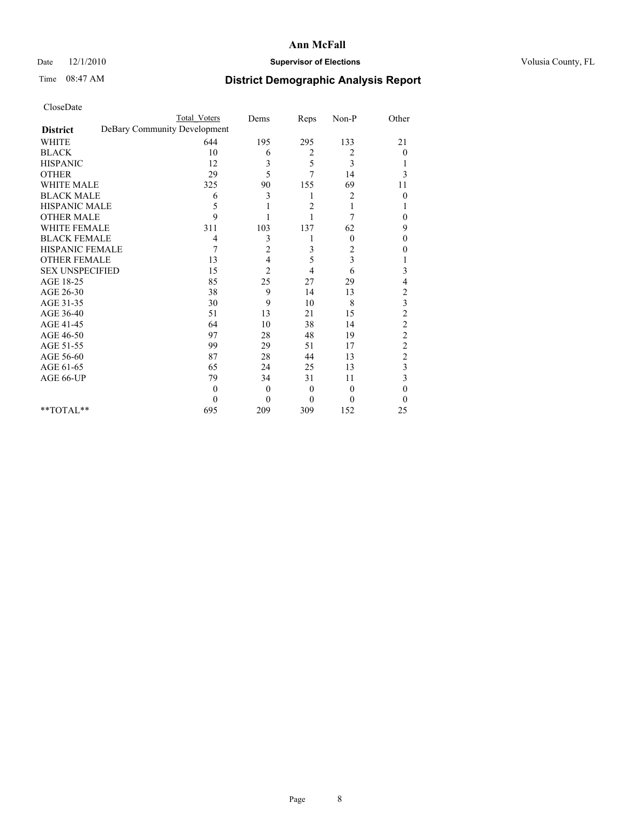### Date  $12/1/2010$  **Supervisor of Elections Supervisor of Elections** Volusia County, FL

# Time 08:47 AM **District Demographic Analysis Report**

|                                                 | <b>Total Voters</b> | Dems           | Reps     | Non-P    | Other                   |
|-------------------------------------------------|---------------------|----------------|----------|----------|-------------------------|
| DeBary Community Development<br><b>District</b> |                     |                |          |          |                         |
| <b>WHITE</b>                                    | 644                 | 195            | 295      | 133      | 21                      |
| <b>BLACK</b>                                    | 10                  | 6              | 2        | 2        | $\overline{0}$          |
| <b>HISPANIC</b>                                 | 12                  | 3              | 5        | 3        |                         |
| <b>OTHER</b>                                    | 29                  | 5              | 7        | 14       | 3                       |
| <b>WHITE MALE</b>                               | 325                 | 90             | 155      | 69       | 11                      |
| <b>BLACK MALE</b>                               | 6                   | 3              | 1        | 2        | $\theta$                |
| HISPANIC MALE                                   | 5                   |                | 2        | 1        |                         |
| <b>OTHER MALE</b>                               | 9                   |                |          | 7        | $\theta$                |
| <b>WHITE FEMALE</b>                             | 311                 | 103            | 137      | 62       | 9                       |
| <b>BLACK FEMALE</b>                             | 4                   | 3              |          | $\theta$ | $\theta$                |
| HISPANIC FEMALE                                 | 7                   | $\overline{c}$ | 3        | 2        | 0                       |
| <b>OTHER FEMALE</b>                             | 13                  | 4              | 5        | 3        |                         |
| <b>SEX UNSPECIFIED</b>                          | 15                  | $\overline{2}$ | 4        | 6        | 3                       |
| AGE 18-25                                       | 85                  | 25             | 27       | 29       | 4                       |
| AGE 26-30                                       | 38                  | 9              | 14       | 13       | $\overline{\mathbf{c}}$ |
| AGE 31-35                                       | 30                  | 9              | 10       | 8        | 3                       |
| AGE 36-40                                       | 51                  | 13             | 21       | 15       | $\overline{c}$          |
| AGE 41-45                                       | 64                  | 10             | 38       | 14       | $\overline{c}$          |
| AGE 46-50                                       | 97                  | 28             | 48       | 19       | $\overline{c}$          |
| AGE 51-55                                       | 99                  | 29             | 51       | 17       | $\overline{c}$          |
| AGE 56-60                                       | 87                  | 28             | 44       | 13       | $\overline{c}$          |
| AGE 61-65                                       | 65                  | 24             | 25       | 13       | 3                       |
| AGE 66-UP                                       | 79                  | 34             | 31       | 11       | 3                       |
|                                                 | $\Omega$            | $\mathbf{0}$   | $\theta$ | $\Omega$ | $\theta$                |
|                                                 | $\Omega$            | $\theta$       | $\Omega$ | $\theta$ | $\Omega$                |
| $*$ $TOTAI.**$                                  | 695                 | 209            | 309      | 152      | 25                      |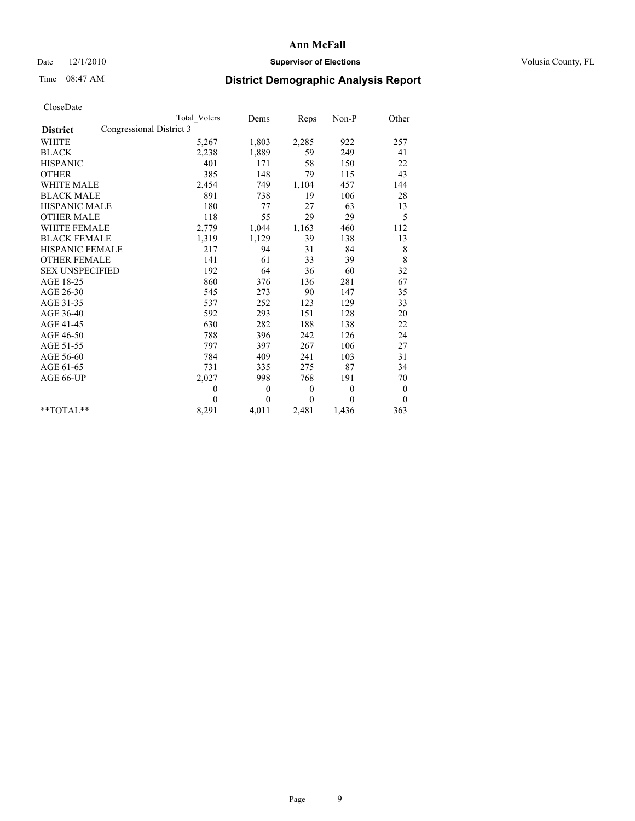### Date  $12/1/2010$  **Supervisor of Elections Supervisor of Elections** Volusia County, FL

## Time 08:47 AM **District Demographic Analysis Report**

|                                             | Total Voters   | Dems     | Reps     | $Non-P$      | Other        |  |
|---------------------------------------------|----------------|----------|----------|--------------|--------------|--|
| Congressional District 3<br><b>District</b> |                |          |          |              |              |  |
| <b>WHITE</b>                                | 5,267          | 1,803    | 2,285    | 922          | 257          |  |
| <b>BLACK</b>                                | 2,238          | 1,889    | 59       | 249          | 41           |  |
| <b>HISPANIC</b>                             | 401            | 171      | 58       | 150          | 22           |  |
| <b>OTHER</b>                                | 385            | 148      | 79       | 115          | 43           |  |
| <b>WHITE MALE</b>                           | 2,454          | 749      | 1,104    | 457          | 144          |  |
| <b>BLACK MALE</b>                           | 891            | 738      | 19       | 106          | 28           |  |
| <b>HISPANIC MALE</b>                        | 180            | 77       | 27       | 63           | 13           |  |
| <b>OTHER MALE</b>                           | 118            | 55       | 29       | 29           | 5            |  |
| <b>WHITE FEMALE</b>                         | 2,779          | 1,044    | 1,163    | 460          | 112          |  |
| <b>BLACK FEMALE</b>                         | 1,319          | 1,129    | 39       | 138          | 13           |  |
| HISPANIC FEMALE                             | 217            | 94       | 31       | 84           | $\,$ 8 $\,$  |  |
| <b>OTHER FEMALE</b>                         | 141            | 61       | 33       | 39           | 8            |  |
| <b>SEX UNSPECIFIED</b>                      | 192            | 64       | 36       | 60           | 32           |  |
| AGE 18-25                                   | 860            | 376      | 136      | 281          | 67           |  |
| AGE 26-30                                   | 545            | 273      | 90       | 147          | 35           |  |
| AGE 31-35                                   | 537            | 252      | 123      | 129          | 33           |  |
| AGE 36-40                                   | 592            | 293      | 151      | 128          | 20           |  |
| AGE 41-45                                   | 630            | 282      | 188      | 138          | 22           |  |
| AGE 46-50                                   | 788            | 396      | 242      | 126          | 24           |  |
| AGE 51-55                                   | 797            | 397      | 267      | 106          | 27           |  |
| AGE 56-60                                   | 784            | 409      | 241      | 103          | 31           |  |
| AGE 61-65                                   | 731            | 335      | 275      | 87           | 34           |  |
| AGE 66-UP                                   | 2,027          | 998      | 768      | 191          | 70           |  |
|                                             | $\overline{0}$ | $\theta$ | $\theta$ | $\mathbf{0}$ | $\bf{0}$     |  |
|                                             | $\theta$       | $\theta$ | $\Omega$ | $\theta$     | $\mathbf{0}$ |  |
| $*$ $TOTAI.**$                              | 8,291          | 4,011    | 2,481    | 1,436        | 363          |  |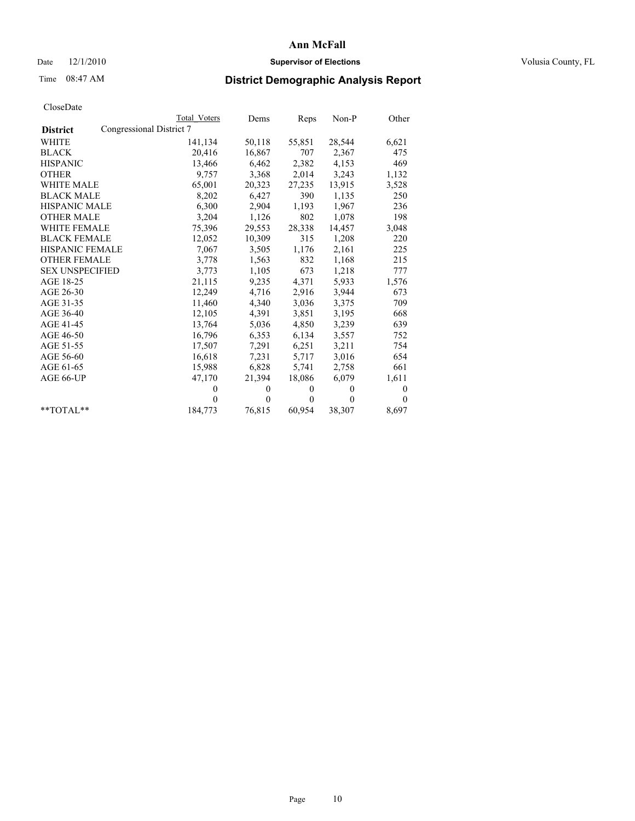## Date  $12/1/2010$  **Supervisor of Elections** Volusia County, FL

## Time 08:47 AM **District Demographic Analysis Report**

|                        |                          | Total Voters | Dems     | Reps         | $Non-P$  | Other    |
|------------------------|--------------------------|--------------|----------|--------------|----------|----------|
| <b>District</b>        | Congressional District 7 |              |          |              |          |          |
| WHITE                  |                          | 141,134      | 50,118   | 55,851       | 28,544   | 6,621    |
| <b>BLACK</b>           |                          | 20,416       | 16,867   | 707          | 2,367    | 475      |
| <b>HISPANIC</b>        |                          | 13,466       | 6,462    | 2,382        | 4,153    | 469      |
| <b>OTHER</b>           |                          | 9,757        | 3,368    | 2,014        | 3,243    | 1,132    |
| <b>WHITE MALE</b>      |                          | 65,001       | 20,323   | 27,235       | 13,915   | 3,528    |
| <b>BLACK MALE</b>      |                          | 8,202        | 6,427    | 390          | 1,135    | 250      |
| <b>HISPANIC MALE</b>   |                          | 6,300        | 2,904    | 1,193        | 1,967    | 236      |
| <b>OTHER MALE</b>      |                          | 3,204        | 1,126    | 802          | 1,078    | 198      |
| WHITE FEMALE           |                          | 75,396       | 29,553   | 28,338       | 14,457   | 3,048    |
| <b>BLACK FEMALE</b>    |                          | 12,052       | 10,309   | 315          | 1,208    | 220      |
| <b>HISPANIC FEMALE</b> |                          | 7,067        | 3,505    | 1,176        | 2,161    | 225      |
| <b>OTHER FEMALE</b>    |                          | 3,778        | 1,563    | 832          | 1,168    | 215      |
| <b>SEX UNSPECIFIED</b> |                          | 3,773        | 1,105    | 673          | 1,218    | 777      |
| AGE 18-25              |                          | 21,115       | 9,235    | 4,371        | 5,933    | 1,576    |
| AGE 26-30              |                          | 12,249       | 4,716    | 2,916        | 3,944    | 673      |
| AGE 31-35              |                          | 11,460       | 4,340    | 3,036        | 3,375    | 709      |
| AGE 36-40              |                          | 12,105       | 4,391    | 3,851        | 3,195    | 668      |
| AGE 41-45              |                          | 13,764       | 5,036    | 4,850        | 3,239    | 639      |
| AGE 46-50              |                          | 16,796       | 6,353    | 6,134        | 3,557    | 752      |
| AGE 51-55              |                          | 17,507       | 7,291    | 6,251        | 3,211    | 754      |
| AGE 56-60              |                          | 16,618       | 7,231    | 5,717        | 3,016    | 654      |
| AGE 61-65              |                          | 15,988       | 6,828    | 5,741        | 2,758    | 661      |
| AGE 66-UP              |                          | 47,170       | 21,394   | 18,086       | 6,079    | 1,611    |
|                        |                          | $\mathbf{0}$ | $\theta$ | $\mathbf{0}$ | $\theta$ | $\theta$ |
|                        |                          | $\Omega$     | $\theta$ | $\theta$     | $\theta$ | $\theta$ |
| $*$ $TOTAI.**$         |                          | 184,773      | 76,815   | 60,954       | 38,307   | 8,697    |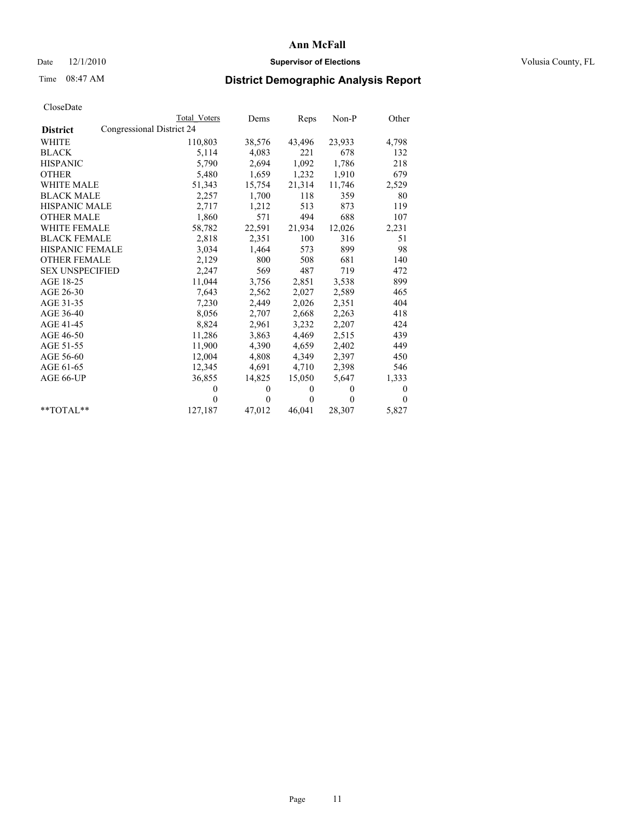## Date  $12/1/2010$  **Supervisor of Elections** Volusia County, FL

## Time 08:47 AM **District Demographic Analysis Report**

|                        | <b>Total Voters</b>       | Dems     | Reps         | $Non-P$  | Other        |
|------------------------|---------------------------|----------|--------------|----------|--------------|
| <b>District</b>        | Congressional District 24 |          |              |          |              |
| <b>WHITE</b>           | 110,803                   | 38,576   | 43,496       | 23,933   | 4,798        |
| <b>BLACK</b>           | 5,114                     | 4,083    | 221          | 678      | 132          |
| <b>HISPANIC</b>        | 5,790                     | 2,694    | 1,092        | 1,786    | 218          |
| <b>OTHER</b>           | 5,480                     | 1,659    | 1,232        | 1,910    | 679          |
| <b>WHITE MALE</b>      | 51,343                    | 15,754   | 21,314       | 11,746   | 2,529        |
| <b>BLACK MALE</b>      | 2,257                     | 1,700    | 118          | 359      | 80           |
| <b>HISPANIC MALE</b>   | 2,717                     | 1,212    | 513          | 873      | 119          |
| <b>OTHER MALE</b>      | 1,860                     | 571      | 494          | 688      | 107          |
| <b>WHITE FEMALE</b>    | 58,782                    | 22,591   | 21,934       | 12,026   | 2,231        |
| <b>BLACK FEMALE</b>    | 2,818                     | 2,351    | 100          | 316      | 51           |
| HISPANIC FEMALE        | 3,034                     | 1,464    | 573          | 899      | 98           |
| <b>OTHER FEMALE</b>    | 2,129                     | 800      | 508          | 681      | 140          |
| <b>SEX UNSPECIFIED</b> | 2,247                     | 569      | 487          | 719      | 472          |
| AGE 18-25              | 11,044                    | 3,756    | 2,851        | 3,538    | 899          |
| AGE 26-30              | 7,643                     | 2,562    | 2,027        | 2,589    | 465          |
| AGE 31-35              | 7,230                     | 2,449    | 2,026        | 2,351    | 404          |
| AGE 36-40              | 8,056                     | 2,707    | 2,668        | 2,263    | 418          |
| AGE 41-45              | 8,824                     | 2,961    | 3,232        | 2,207    | 424          |
| AGE 46-50              | 11,286                    | 3,863    | 4,469        | 2,515    | 439          |
| AGE 51-55              | 11,900                    | 4,390    | 4,659        | 2,402    | 449          |
| AGE 56-60              | 12,004                    | 4,808    | 4,349        | 2,397    | 450          |
| AGE 61-65              | 12,345                    | 4,691    | 4,710        | 2,398    | 546          |
| AGE 66-UP              | 36,855                    | 14,825   | 15,050       | 5,647    | 1,333        |
|                        | $\theta$                  | $\theta$ | $\mathbf{0}$ | $\theta$ | $\mathbf{0}$ |
|                        | $\Omega$                  | $\theta$ | $\mathbf{0}$ | $\theta$ | $\theta$     |
| $*$ $TOTAI.**$         | 127,187                   | 47,012   | 46,041       | 28,307   | 5,827        |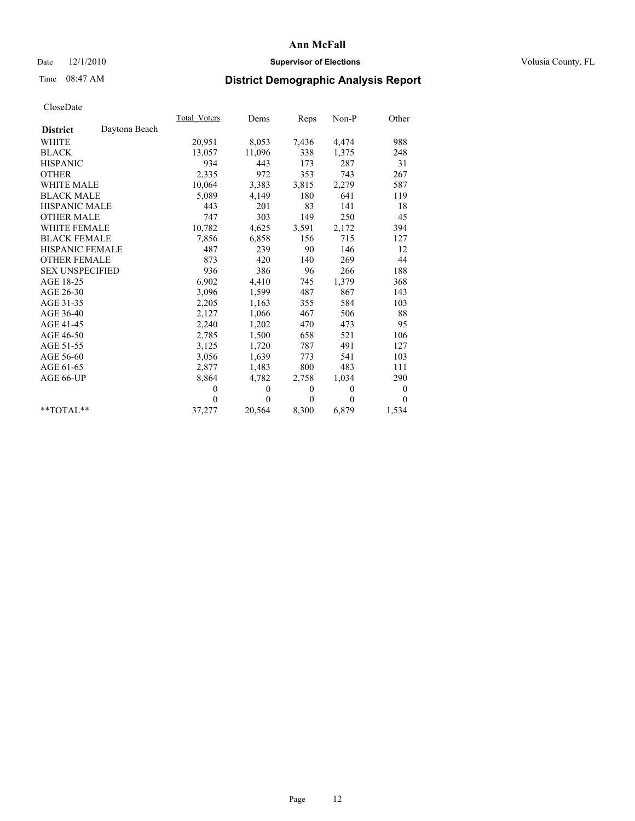## Date  $12/1/2010$  **Supervisor of Elections** Volusia County, FL

# Time 08:47 AM **District Demographic Analysis Report**

|                        |               | Total Voters | Dems     | Reps     | $Non-P$  | Other            |  |
|------------------------|---------------|--------------|----------|----------|----------|------------------|--|
| <b>District</b>        | Daytona Beach |              |          |          |          |                  |  |
| <b>WHITE</b>           |               | 20,951       | 8,053    | 7,436    | 4,474    | 988              |  |
| <b>BLACK</b>           |               | 13,057       | 11,096   | 338      | 1,375    | 248              |  |
| <b>HISPANIC</b>        |               | 934          | 443      | 173      | 287      | 31               |  |
| <b>OTHER</b>           |               | 2,335        | 972      | 353      | 743      | 267              |  |
| <b>WHITE MALE</b>      |               | 10,064       | 3,383    | 3,815    | 2,279    | 587              |  |
| <b>BLACK MALE</b>      |               | 5,089        | 4,149    | 180      | 641      | 119              |  |
| <b>HISPANIC MALE</b>   |               | 443          | 201      | 83       | 141      | 18               |  |
| <b>OTHER MALE</b>      |               | 747          | 303      | 149      | 250      | 45               |  |
| <b>WHITE FEMALE</b>    |               | 10,782       | 4,625    | 3,591    | 2,172    | 394              |  |
| <b>BLACK FEMALE</b>    |               | 7,856        | 6,858    | 156      | 715      | 127              |  |
| HISPANIC FEMALE        |               | 487          | 239      | 90       | 146      | 12               |  |
| <b>OTHER FEMALE</b>    |               | 873          | 420      | 140      | 269      | 44               |  |
| <b>SEX UNSPECIFIED</b> |               | 936          | 386      | 96       | 266      | 188              |  |
| AGE 18-25              |               | 6,902        | 4,410    | 745      | 1,379    | 368              |  |
| AGE 26-30              |               | 3,096        | 1,599    | 487      | 867      | 143              |  |
| AGE 31-35              |               | 2,205        | 1,163    | 355      | 584      | 103              |  |
| AGE 36-40              |               | 2,127        | 1,066    | 467      | 506      | 88               |  |
| AGE 41-45              |               | 2,240        | 1,202    | 470      | 473      | 95               |  |
| AGE 46-50              |               | 2,785        | 1,500    | 658      | 521      | 106              |  |
| AGE 51-55              |               | 3,125        | 1,720    | 787      | 491      | 127              |  |
| AGE 56-60              |               | 3,056        | 1,639    | 773      | 541      | 103              |  |
| AGE 61-65              |               | 2,877        | 1,483    | 800      | 483      | 111              |  |
| AGE 66-UP              |               | 8,864        | 4,782    | 2,758    | 1,034    | 290              |  |
|                        |               | $\Omega$     | $\theta$ | $\theta$ | $\theta$ | $\boldsymbol{0}$ |  |
|                        |               | $\theta$     | $\theta$ | $\theta$ | $\theta$ | $\theta$         |  |
| $*$ $TOTAI.**$         |               | 37,277       | 20,564   | 8,300    | 6,879    | 1,534            |  |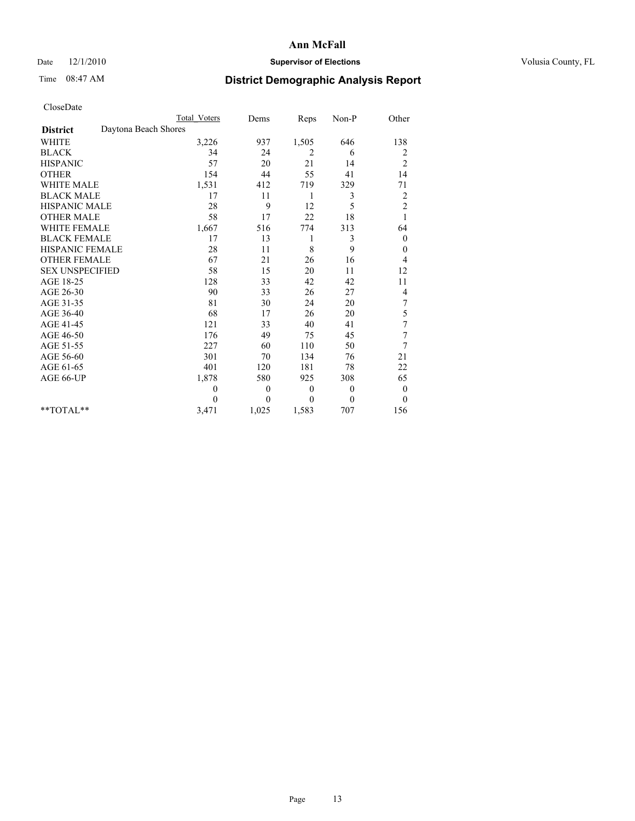## Date  $12/1/2010$  **Supervisor of Elections** Volusia County, FL

## Time 08:47 AM **District Demographic Analysis Report**

|                                         | <b>Total Voters</b> | Dems             | Reps         | $Non-P$        | Other                   |
|-----------------------------------------|---------------------|------------------|--------------|----------------|-------------------------|
| Daytona Beach Shores<br><b>District</b> |                     |                  |              |                |                         |
| <b>WHITE</b>                            | 3,226               | 937              | 1,505        | 646            | 138                     |
| <b>BLACK</b>                            | 34                  | 24               | 2            | 6              | 2                       |
| <b>HISPANIC</b>                         | 57                  | 20               | 21           | 14             | $\overline{c}$          |
| <b>OTHER</b>                            | 154                 | 44               | 55           | 41             | 14                      |
| <b>WHITE MALE</b>                       | 1,531               | 412              | 719          | 329            | 71                      |
| <b>BLACK MALE</b>                       | 17                  | 11               | 1            | 3              | $\overline{\mathbf{c}}$ |
| <b>HISPANIC MALE</b>                    | 28                  | 9                | 12           | 5              | $\overline{c}$          |
| <b>OTHER MALE</b>                       | 58                  | 17               | 22           | 18             |                         |
| <b>WHITE FEMALE</b>                     | 1,667               | 516              | 774          | 313            | 64                      |
| <b>BLACK FEMALE</b>                     | 17                  | 13               | 1            | 3              | $\theta$                |
| HISPANIC FEMALE                         | 28                  | 11               | 8            | 9              | 0                       |
| <b>OTHER FEMALE</b>                     | 67                  | 21               | 26           | 16             | 4                       |
| <b>SEX UNSPECIFIED</b>                  | 58                  | 15               | 20           | 11             | 12                      |
| AGE 18-25                               | 128                 | 33               | 42           | 42             | 11                      |
| AGE 26-30                               | 90                  | 33               | 26           | 27             | 4                       |
| AGE 31-35                               | 81                  | 30               | 24           | 20             | 7                       |
| AGE 36-40                               | 68                  | 17               | 26           | 20             | 5                       |
| AGE 41-45                               | 121                 | 33               | 40           | 41             | $\sqrt{ }$              |
| AGE 46-50                               | 176                 | 49               | 75           | 45             | 7                       |
| AGE 51-55                               | 227                 | 60               | 110          | 50             | 7                       |
| AGE 56-60                               | 301                 | 70               | 134          | 76             | 21                      |
| AGE 61-65                               | 401                 | 120              | 181          | 78             | 22                      |
| AGE 66-UP                               | 1,878               | 580              | 925          | 308            | 65                      |
|                                         | $\overline{0}$      | $\boldsymbol{0}$ | $\mathbf{0}$ | $\overline{0}$ | $\theta$                |
|                                         | $\Omega$            | $\theta$         | $\mathbf{0}$ | $\mathbf{0}$   | $\overline{0}$          |
| $*$ $TOTAI.**$                          | 3,471               | 1,025            | 1,583        | 707            | 156                     |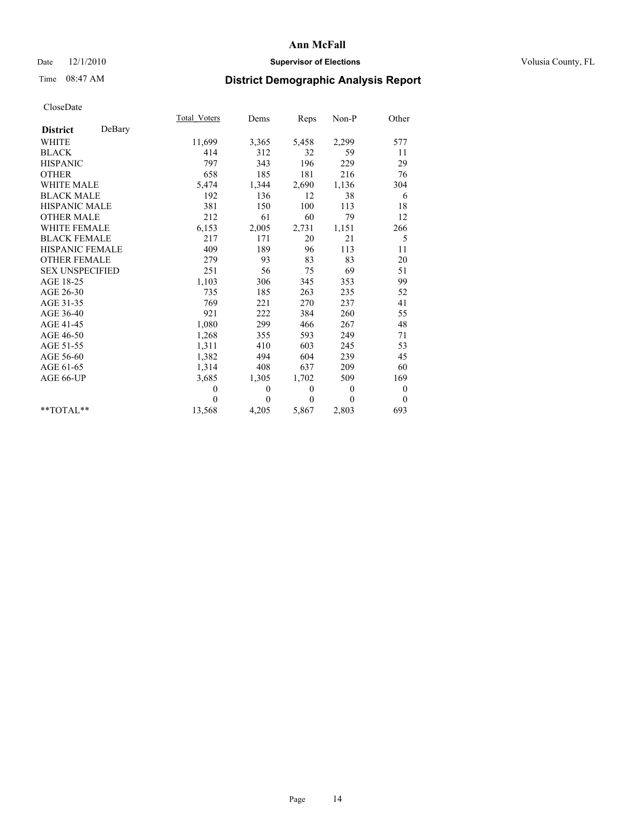## Date  $12/1/2010$  **Supervisor of Elections** Volusia County, FL

# Time 08:47 AM **District Demographic Analysis Report**

|                           | Total Voters | Dems     | Reps     | Non-P        | Other            |  |
|---------------------------|--------------|----------|----------|--------------|------------------|--|
| DeBary<br><b>District</b> |              |          |          |              |                  |  |
| WHITE                     | 11,699       | 3,365    | 5,458    | 2,299        | 577              |  |
| <b>BLACK</b>              | 414          | 312      | 32       | 59           | 11               |  |
| <b>HISPANIC</b>           | 797          | 343      | 196      | 229          | 29               |  |
| <b>OTHER</b>              | 658          | 185      | 181      | 216          | 76               |  |
| <b>WHITE MALE</b>         | 5,474        | 1,344    | 2,690    | 1,136        | 304              |  |
| <b>BLACK MALE</b>         | 192          | 136      | 12       | 38           | 6                |  |
| <b>HISPANIC MALE</b>      | 381          | 150      | 100      | 113          | $18\,$           |  |
| <b>OTHER MALE</b>         | 212          | 61       | 60       | 79           | 12               |  |
| <b>WHITE FEMALE</b>       | 6,153        | 2,005    | 2,731    | 1,151        | 266              |  |
| <b>BLACK FEMALE</b>       | 217          | 171      | 20       | 21           | 5                |  |
| HISPANIC FEMALE           | 409          | 189      | 96       | 113          | 11               |  |
| <b>OTHER FEMALE</b>       | 279          | 93       | 83       | 83           | 20               |  |
| <b>SEX UNSPECIFIED</b>    | 251          | 56       | 75       | 69           | 51               |  |
| AGE 18-25                 | 1,103        | 306      | 345      | 353          | 99               |  |
| AGE 26-30                 | 735          | 185      | 263      | 235          | 52               |  |
| AGE 31-35                 | 769          | 221      | 270      | 237          | 41               |  |
| AGE 36-40                 | 921          | 222      | 384      | 260          | 55               |  |
| AGE 41-45                 | 1,080        | 299      | 466      | 267          | 48               |  |
| AGE 46-50                 | 1,268        | 355      | 593      | 249          | 71               |  |
| AGE 51-55                 | 1,311        | 410      | 603      | 245          | 53               |  |
| AGE 56-60                 | 1,382        | 494      | 604      | 239          | 45               |  |
| AGE 61-65                 | 1,314        | 408      | 637      | 209          | 60               |  |
| AGE 66-UP                 | 3,685        | 1,305    | 1,702    | 509          | 169              |  |
|                           | $\mathbf{0}$ | $\theta$ | $\theta$ | $\mathbf{0}$ | $\boldsymbol{0}$ |  |
|                           | $\theta$     | $\theta$ | $\theta$ | $\theta$     | $\theta$         |  |
| $*$ $TOTAI.**$            | 13,568       | 4,205    | 5,867    | 2,803        | 693              |  |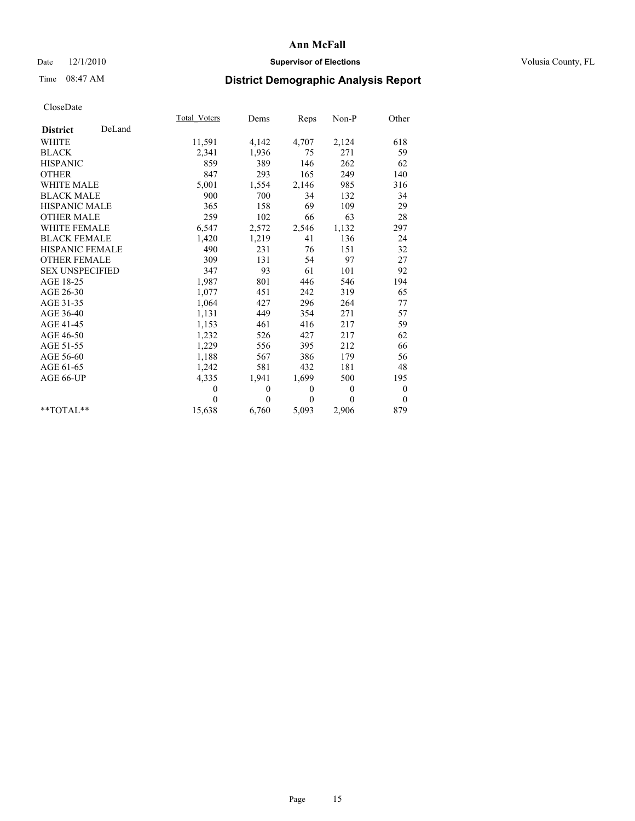## Date  $12/1/2010$  **Supervisor of Elections** Volusia County, FL

# Time 08:47 AM **District Demographic Analysis Report**

|                        |        | Total Voters | Dems     | <b>Reps</b>  | Non-P        | Other            |  |
|------------------------|--------|--------------|----------|--------------|--------------|------------------|--|
| <b>District</b>        | DeLand |              |          |              |              |                  |  |
| <b>WHITE</b>           |        | 11,591       | 4,142    | 4,707        | 2,124        | 618              |  |
| <b>BLACK</b>           |        | 2,341        | 1,936    | 75           | 271          | 59               |  |
| <b>HISPANIC</b>        |        | 859          | 389      | 146          | 262          | 62               |  |
| <b>OTHER</b>           |        | 847          | 293      | 165          | 249          | 140              |  |
| <b>WHITE MALE</b>      |        | 5,001        | 1,554    | 2,146        | 985          | 316              |  |
| <b>BLACK MALE</b>      |        | 900          | 700      | 34           | 132          | 34               |  |
| <b>HISPANIC MALE</b>   |        | 365          | 158      | 69           | 109          | 29               |  |
| <b>OTHER MALE</b>      |        | 259          | 102      | 66           | 63           | 28               |  |
| <b>WHITE FEMALE</b>    |        | 6,547        | 2,572    | 2,546        | 1,132        | 297              |  |
| <b>BLACK FEMALE</b>    |        | 1,420        | 1,219    | 41           | 136          | 24               |  |
| HISPANIC FEMALE        |        | 490          | 231      | 76           | 151          | 32               |  |
| <b>OTHER FEMALE</b>    |        | 309          | 131      | 54           | 97           | 27               |  |
| <b>SEX UNSPECIFIED</b> |        | 347          | 93       | 61           | 101          | 92               |  |
| AGE 18-25              |        | 1,987        | 801      | 446          | 546          | 194              |  |
| AGE 26-30              |        | 1,077        | 451      | 242          | 319          | 65               |  |
| AGE 31-35              |        | 1,064        | 427      | 296          | 264          | 77               |  |
| AGE 36-40              |        | 1,131        | 449      | 354          | 271          | 57               |  |
| AGE 41-45              |        | 1,153        | 461      | 416          | 217          | 59               |  |
| AGE 46-50              |        | 1,232        | 526      | 427          | 217          | 62               |  |
| AGE 51-55              |        | 1,229        | 556      | 395          | 212          | 66               |  |
| AGE 56-60              |        | 1,188        | 567      | 386          | 179          | 56               |  |
| AGE 61-65              |        | 1,242        | 581      | 432          | 181          | 48               |  |
| AGE 66-UP              |        | 4,335        | 1,941    | 1,699        | 500          | 195              |  |
|                        |        | $\mathbf{0}$ | $\theta$ | $\mathbf{0}$ | $\mathbf{0}$ | $\boldsymbol{0}$ |  |
|                        |        | $\theta$     | $\theta$ | $\Omega$     | $\theta$     | $\mathbf{0}$     |  |
| $*$ $TOTAI.**$         |        | 15,638       | 6,760    | 5,093        | 2,906        | 879              |  |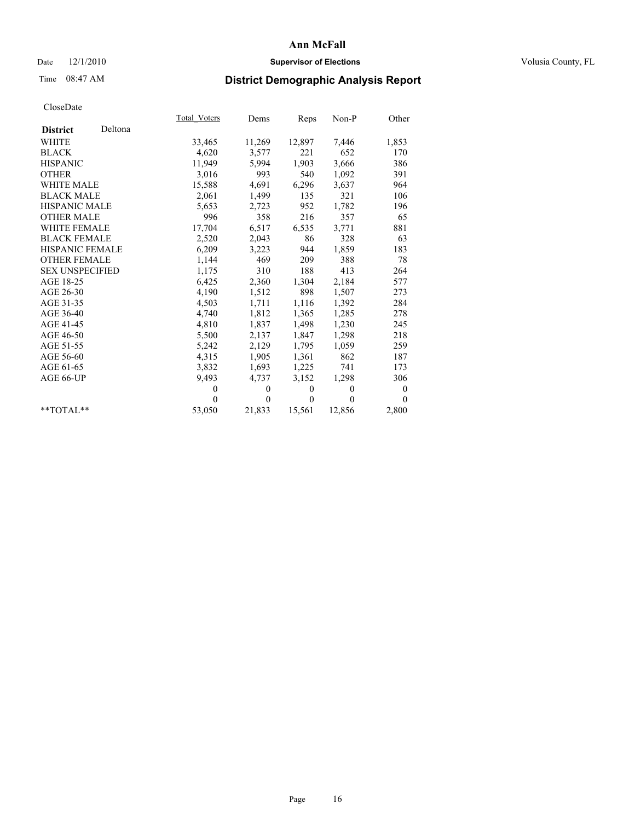## Date  $12/1/2010$  **Supervisor of Elections** Volusia County, FL

# Time 08:47 AM **District Demographic Analysis Report**

|                        |         | Total Voters | Dems         | Reps         | Non-P        | Other    |  |
|------------------------|---------|--------------|--------------|--------------|--------------|----------|--|
| <b>District</b>        | Deltona |              |              |              |              |          |  |
| <b>WHITE</b>           |         | 33,465       | 11,269       | 12,897       | 7,446        | 1,853    |  |
| <b>BLACK</b>           |         | 4,620        | 3,577        | 221          | 652          | 170      |  |
| <b>HISPANIC</b>        |         | 11,949       | 5,994        | 1,903        | 3,666        | 386      |  |
| <b>OTHER</b>           |         | 3,016        | 993          | 540          | 1,092        | 391      |  |
| <b>WHITE MALE</b>      |         | 15,588       | 4,691        | 6,296        | 3,637        | 964      |  |
| <b>BLACK MALE</b>      |         | 2,061        | 1,499        | 135          | 321          | 106      |  |
| <b>HISPANIC MALE</b>   |         | 5,653        | 2,723        | 952          | 1,782        | 196      |  |
| <b>OTHER MALE</b>      |         | 996          | 358          | 216          | 357          | 65       |  |
| WHITE FEMALE           |         | 17,704       | 6,517        | 6,535        | 3,771        | 881      |  |
| <b>BLACK FEMALE</b>    |         | 2,520        | 2,043        | 86           | 328          | 63       |  |
| HISPANIC FEMALE        |         | 6,209        | 3,223        | 944          | 1,859        | 183      |  |
| <b>OTHER FEMALE</b>    |         | 1,144        | 469          | 209          | 388          | 78       |  |
| <b>SEX UNSPECIFIED</b> |         | 1,175        | 310          | 188          | 413          | 264      |  |
| AGE 18-25              |         | 6,425        | 2,360        | 1,304        | 2,184        | 577      |  |
| AGE 26-30              |         | 4,190        | 1,512        | 898          | 1,507        | 273      |  |
| AGE 31-35              |         | 4,503        | 1,711        | 1,116        | 1,392        | 284      |  |
| AGE 36-40              |         | 4,740        | 1,812        | 1,365        | 1,285        | 278      |  |
| AGE 41-45              |         | 4,810        | 1,837        | 1,498        | 1,230        | 245      |  |
| AGE 46-50              |         | 5,500        | 2,137        | 1,847        | 1,298        | 218      |  |
| AGE 51-55              |         | 5,242        | 2,129        | 1,795        | 1,059        | 259      |  |
| AGE 56-60              |         | 4,315        | 1,905        | 1,361        | 862          | 187      |  |
| AGE 61-65              |         | 3,832        | 1,693        | 1,225        | 741          | 173      |  |
| AGE 66-UP              |         | 9,493        | 4,737        | 3,152        | 1,298        | 306      |  |
|                        |         | $\theta$     | $\mathbf{0}$ | $\mathbf{0}$ | $\mathbf{0}$ | $\bf{0}$ |  |
|                        |         | $\Omega$     | $\theta$     | $\theta$     | $\theta$     | $\theta$ |  |
| $*$ $TOTAI$ **         |         | 53,050       | 21,833       | 15,561       | 12,856       | 2,800    |  |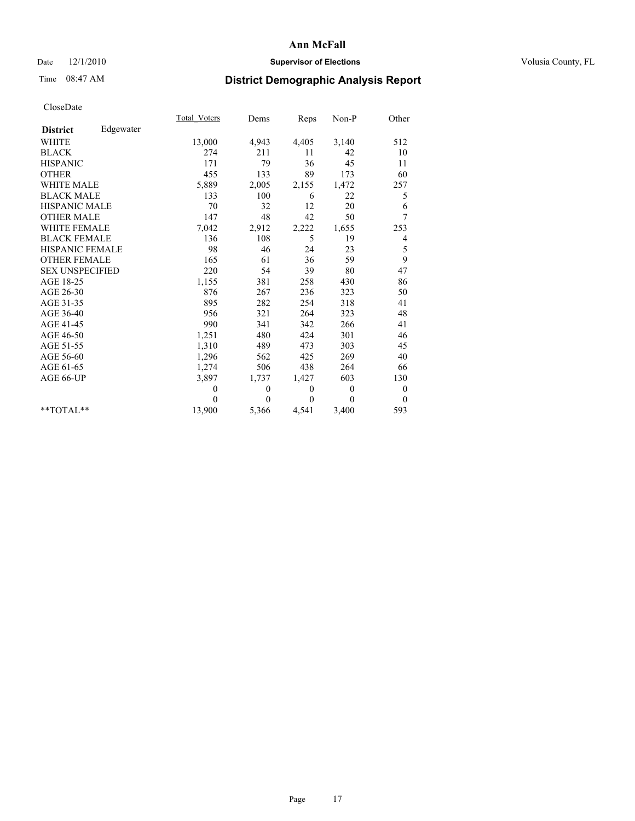## Date  $12/1/2010$  **Supervisor of Elections** Volusia County, FL

# Time 08:47 AM **District Demographic Analysis Report**

|                        |           | Total Voters | Dems     | Reps         | $Non-P$  | Other            |
|------------------------|-----------|--------------|----------|--------------|----------|------------------|
| <b>District</b>        | Edgewater |              |          |              |          |                  |
| <b>WHITE</b>           |           | 13,000       | 4,943    | 4,405        | 3,140    | 512              |
| <b>BLACK</b>           |           | 274          | 211      | 11           | 42       | 10               |
| <b>HISPANIC</b>        |           | 171          | 79       | 36           | 45       | 11               |
| <b>OTHER</b>           |           | 455          | 133      | 89           | 173      | 60               |
| <b>WHITE MALE</b>      |           | 5,889        | 2,005    | 2,155        | 1,472    | 257              |
| <b>BLACK MALE</b>      |           | 133          | 100      | 6            | 22       | 5                |
| <b>HISPANIC MALE</b>   |           | 70           | 32       | 12           | 20       | 6                |
| <b>OTHER MALE</b>      |           | 147          | 48       | 42           | 50       | 7                |
| <b>WHITE FEMALE</b>    |           | 7,042        | 2,912    | 2,222        | 1,655    | 253              |
| <b>BLACK FEMALE</b>    |           | 136          | 108      | 5            | 19       | 4                |
| HISPANIC FEMALE        |           | 98           | 46       | 24           | 23       | 5                |
| <b>OTHER FEMALE</b>    |           | 165          | 61       | 36           | 59       | 9                |
| <b>SEX UNSPECIFIED</b> |           | 220          | 54       | 39           | 80       | 47               |
| AGE 18-25              |           | 1,155        | 381      | 258          | 430      | 86               |
| AGE 26-30              |           | 876          | 267      | 236          | 323      | 50               |
| AGE 31-35              |           | 895          | 282      | 254          | 318      | 41               |
| AGE 36-40              |           | 956          | 321      | 264          | 323      | 48               |
| AGE 41-45              |           | 990          | 341      | 342          | 266      | 41               |
| AGE 46-50              |           | 1,251        | 480      | 424          | 301      | 46               |
| AGE 51-55              |           | 1,310        | 489      | 473          | 303      | 45               |
| AGE 56-60              |           | 1,296        | 562      | 425          | 269      | 40               |
| AGE 61-65              |           | 1,274        | 506      | 438          | 264      | 66               |
| AGE 66-UP              |           | 3,897        | 1,737    | 1,427        | 603      | 130              |
|                        |           | $\theta$     | $\theta$ | $\mathbf{0}$ | $\theta$ | $\boldsymbol{0}$ |
|                        |           | $\theta$     | $\theta$ | $\theta$     | $\theta$ | $\theta$         |
| $*$ $TOTAI.**$         |           | 13,900       | 5,366    | 4,541        | 3,400    | 593              |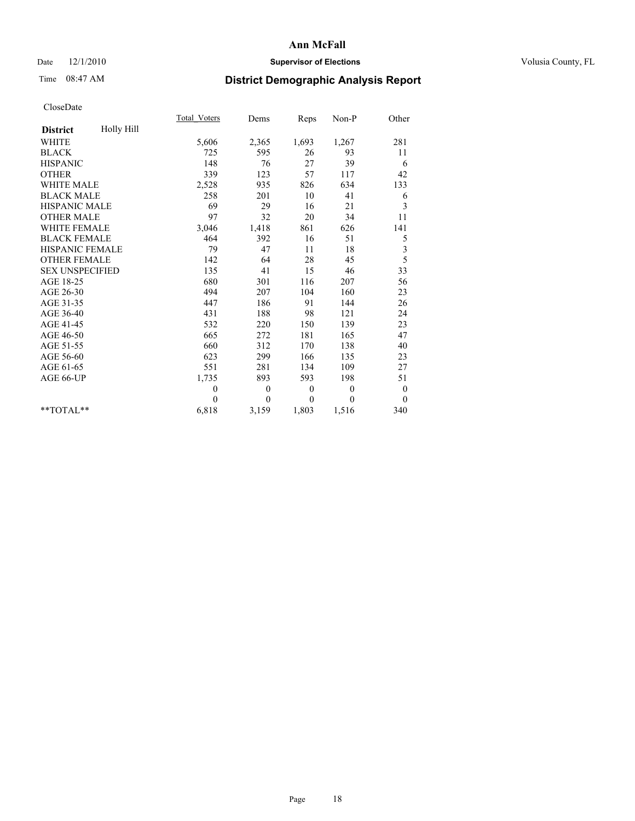## Date  $12/1/2010$  **Supervisor of Elections** Volusia County, FL

# Time 08:47 AM **District Demographic Analysis Report**

|                               |  | <b>Total Voters</b> | Dems         | Reps             | $Non-P$      | Other            |
|-------------------------------|--|---------------------|--------------|------------------|--------------|------------------|
| Holly Hill<br><b>District</b> |  |                     |              |                  |              |                  |
| <b>WHITE</b>                  |  | 5,606               | 2,365        | 1,693            | 1,267        | 281              |
| <b>BLACK</b>                  |  | 725                 | 595          | 26               | 93           | 11               |
| <b>HISPANIC</b>               |  | 148                 | 76           | 27               | 39           | 6                |
| <b>OTHER</b>                  |  | 339                 | 123          | 57               | 117          | 42               |
| <b>WHITE MALE</b>             |  | 2,528               | 935          | 826              | 634          | 133              |
| <b>BLACK MALE</b>             |  | 258                 | 201          | 10               | 41           | 6                |
| <b>HISPANIC MALE</b>          |  | 69                  | 29           | 16               | 21           | 3                |
| <b>OTHER MALE</b>             |  | 97                  | 32           | 20               | 34           | 11               |
| <b>WHITE FEMALE</b>           |  | 3,046               | 1,418        | 861              | 626          | 141              |
| <b>BLACK FEMALE</b>           |  | 464                 | 392          | 16               | 51           | 5                |
| <b>HISPANIC FEMALE</b>        |  | 79                  | 47           | 11               | 18           | 3                |
| <b>OTHER FEMALE</b>           |  | 142                 | 64           | 28               | 45           | 5                |
| <b>SEX UNSPECIFIED</b>        |  | 135                 | 41           | 15               | 46           | 33               |
| AGE 18-25                     |  | 680                 | 301          | 116              | 207          | 56               |
| AGE 26-30                     |  | 494                 | 207          | 104              | 160          | 23               |
| AGE 31-35                     |  | 447                 | 186          | 91               | 144          | 26               |
| AGE 36-40                     |  | 431                 | 188          | 98               | 121          | 24               |
| AGE 41-45                     |  | 532                 | 220          | 150              | 139          | 23               |
| AGE 46-50                     |  | 665                 | 272          | 181              | 165          | 47               |
| AGE 51-55                     |  | 660                 | 312          | 170              | 138          | 40               |
| AGE 56-60                     |  | 623                 | 299          | 166              | 135          | 23               |
| AGE 61-65                     |  | 551                 | 281          | 134              | 109          | 27               |
| AGE 66-UP                     |  | 1,735               | 893          | 593              | 198          | 51               |
|                               |  | $\boldsymbol{0}$    | $\mathbf{0}$ | $\boldsymbol{0}$ | $\mathbf{0}$ | $\boldsymbol{0}$ |
|                               |  | $\Omega$            | $\theta$     | $\theta$         | $\theta$     | $\overline{0}$   |
| $*$ $TOTAI.**$                |  | 6,818               | 3,159        | 1,803            | 1,516        | 340              |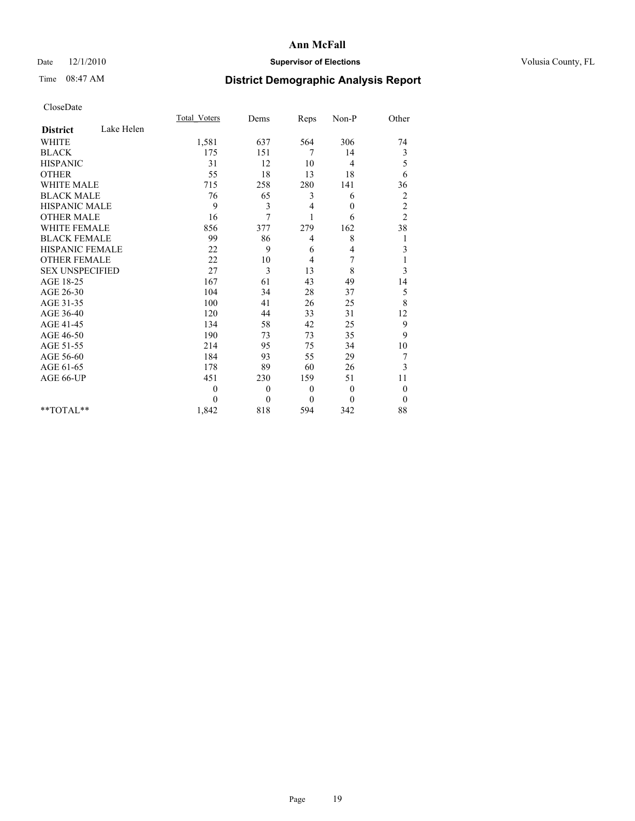## Date  $12/1/2010$  **Supervisor of Elections** Volusia County, FL

# Time 08:47 AM **District Demographic Analysis Report**

|                               | Total Voters | Dems         | Reps     | Non-P        | Other            |  |
|-------------------------------|--------------|--------------|----------|--------------|------------------|--|
| Lake Helen<br><b>District</b> |              |              |          |              |                  |  |
| <b>WHITE</b>                  | 1,581        | 637          | 564      | 306          | 74               |  |
| <b>BLACK</b>                  | 175          | 151          | 7        | 14           | 3                |  |
| <b>HISPANIC</b>               | 31           | 12           | 10       | 4            | 5                |  |
| <b>OTHER</b>                  | 55           | 18           | 13       | 18           | 6                |  |
| <b>WHITE MALE</b>             | 715          | 258          | 280      | 141          | 36               |  |
| <b>BLACK MALE</b>             | 76           | 65           | 3        | 6            | $\overline{c}$   |  |
| <b>HISPANIC MALE</b>          | 9            | 3            | 4        | $\mathbf{0}$ | $\overline{c}$   |  |
| <b>OTHER MALE</b>             | 16           | 7            |          | 6            | $\overline{2}$   |  |
| <b>WHITE FEMALE</b>           | 856          | 377          | 279      | 162          | 38               |  |
| <b>BLACK FEMALE</b>           | 99           | 86           | 4        | 8            | 1                |  |
| HISPANIC FEMALE               | 22           | 9            | 6        | 4            | $\mathfrak{Z}$   |  |
| <b>OTHER FEMALE</b>           | 22           | 10           | 4        | 7            |                  |  |
| <b>SEX UNSPECIFIED</b>        | 27           | 3            | 13       | 8            | 3                |  |
| AGE 18-25                     | 167          | 61           | 43       | 49           | 14               |  |
| AGE 26-30                     | 104          | 34           | 28       | 37           | 5                |  |
| AGE 31-35                     | 100          | 41           | 26       | 25           | 8                |  |
| AGE 36-40                     | 120          | 44           | 33       | 31           | 12               |  |
| AGE 41-45                     | 134          | 58           | 42       | 25           | 9                |  |
| AGE 46-50                     | 190          | 73           | 73       | 35           | 9                |  |
| AGE 51-55                     | 214          | 95           | 75       | 34           | 10               |  |
| AGE 56-60                     | 184          | 93           | 55       | 29           | 7                |  |
| AGE 61-65                     | 178          | 89           | 60       | 26           | 3                |  |
| AGE 66-UP                     | 451          | 230          | 159      | 51           | 11               |  |
|                               | $\theta$     | $\theta$     | $\theta$ | $\mathbf{0}$ | $\boldsymbol{0}$ |  |
|                               | $\theta$     | $\mathbf{0}$ | $\theta$ | $\theta$     | $\theta$         |  |
| $*$ $TOTAI.**$                | 1,842        | 818          | 594      | 342          | 88               |  |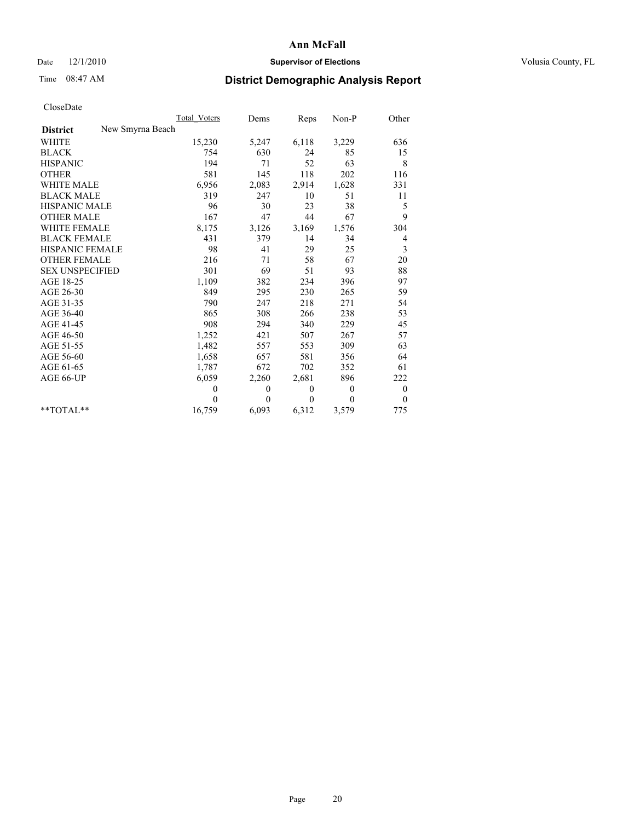## Date  $12/1/2010$  **Supervisor of Elections** Volusia County, FL

## Time 08:47 AM **District Demographic Analysis Report**

|                                     | <b>Total Voters</b> | Dems     | Reps             | $Non-P$      | Other            |
|-------------------------------------|---------------------|----------|------------------|--------------|------------------|
| New Smyrna Beach<br><b>District</b> |                     |          |                  |              |                  |
| <b>WHITE</b>                        | 15,230              | 5,247    | 6,118            | 3,229        | 636              |
| <b>BLACK</b>                        | 754                 | 630      | 24               | 85           | 15               |
| <b>HISPANIC</b>                     | 194                 | 71       | 52               | 63           | 8                |
| <b>OTHER</b>                        | 581                 | 145      | 118              | 202          | 116              |
| <b>WHITE MALE</b>                   | 6,956               | 2,083    | 2,914            | 1,628        | 331              |
| <b>BLACK MALE</b>                   | 319                 | 247      | 10               | 51           | 11               |
| <b>HISPANIC MALE</b>                | 96                  | 30       | 23               | 38           | 5                |
| <b>OTHER MALE</b>                   | 167                 | 47       | 44               | 67           | 9                |
| <b>WHITE FEMALE</b>                 | 8,175               | 3,126    | 3,169            | 1,576        | 304              |
| <b>BLACK FEMALE</b>                 | 431                 | 379      | 14               | 34           | 4                |
| HISPANIC FEMALE                     | 98                  | 41       | 29               | 25           | 3                |
| <b>OTHER FEMALE</b>                 | 216                 | 71       | 58               | 67           | 20               |
| <b>SEX UNSPECIFIED</b>              | 301                 | 69       | 51               | 93           | 88               |
| AGE 18-25                           | 1,109               | 382      | 234              | 396          | 97               |
| AGE 26-30                           | 849                 | 295      | 230              | 265          | 59               |
| AGE 31-35                           | 790                 | 247      | 218              | 271          | 54               |
| AGE 36-40                           | 865                 | 308      | 266              | 238          | 53               |
| AGE 41-45                           | 908                 | 294      | 340              | 229          | 45               |
| AGE 46-50                           | 1,252               | 421      | 507              | 267          | 57               |
| AGE 51-55                           | 1,482               | 557      | 553              | 309          | 63               |
| AGE 56-60                           | 1,658               | 657      | 581              | 356          | 64               |
| AGE 61-65                           | 1,787               | 672      | 702              | 352          | 61               |
| AGE 66-UP                           | 6,059               | 2,260    | 2,681            | 896          | 222              |
|                                     | $\boldsymbol{0}$    | $\theta$ | $\boldsymbol{0}$ | $\mathbf{0}$ | $\boldsymbol{0}$ |
|                                     | 0                   | $\theta$ | $\mathbf{0}$     | $\theta$     | $\overline{0}$   |
| $*$ $TOTAI.**$                      | 16,759              | 6,093    | 6,312            | 3,579        | 775              |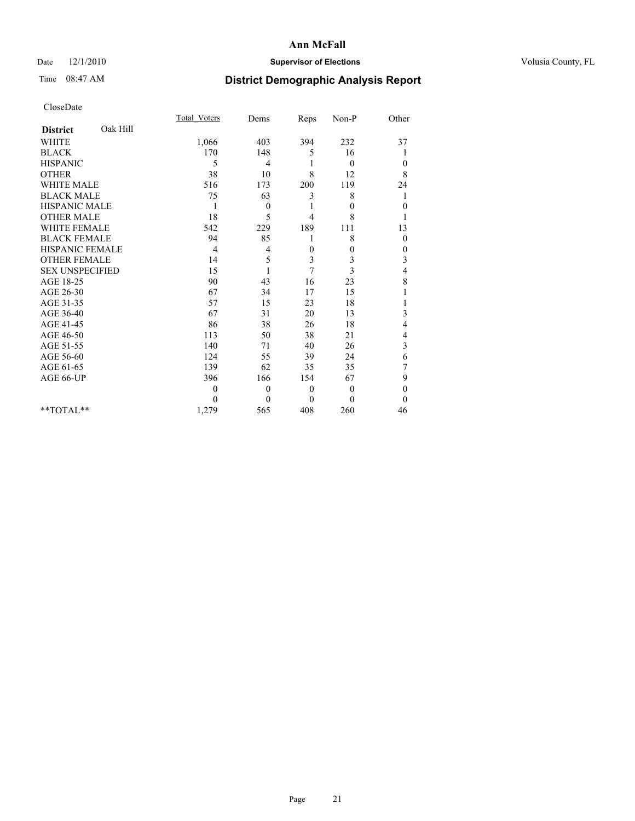## Date  $12/1/2010$  **Supervisor of Elections** Volusia County, FL

# Time 08:47 AM **District Demographic Analysis Report**

|                        |          | <b>Total Voters</b> | Dems         | Reps         | Non-P          | Other        |
|------------------------|----------|---------------------|--------------|--------------|----------------|--------------|
| <b>District</b>        | Oak Hill |                     |              |              |                |              |
| <b>WHITE</b>           |          | 1,066               | 403          | 394          | 232            | 37           |
| <b>BLACK</b>           |          | 170                 | 148          | 5            | 16             |              |
| <b>HISPANIC</b>        |          | 5                   | 4            |              | $\mathbf{0}$   | $\mathbf{0}$ |
| <b>OTHER</b>           |          | 38                  | 10           | 8            | 12             | 8            |
| <b>WHITE MALE</b>      |          | 516                 | 173          | 200          | 119            | 24           |
| <b>BLACK MALE</b>      |          | 75                  | 63           | 3            | 8              | 1            |
| <b>HISPANIC MALE</b>   |          |                     | $\mathbf{0}$ |              | $\theta$       | $\mathbf{0}$ |
| <b>OTHER MALE</b>      |          | 18                  | 5            | 4            | 8              |              |
| <b>WHITE FEMALE</b>    |          | 542                 | 229          | 189          | 111            | 13           |
| <b>BLACK FEMALE</b>    |          | 94                  | 85           |              | 8              | $\mathbf{0}$ |
| HISPANIC FEMALE        |          | 4                   | 4            | $\theta$     | $\theta$       | $\theta$     |
| <b>OTHER FEMALE</b>    |          | 14                  | 5            | 3            | 3              | 3            |
| <b>SEX UNSPECIFIED</b> |          | 15                  | 1            | 7            | 3              | 4            |
| AGE 18-25              |          | 90                  | 43           | 16           | 23             | 8            |
| AGE 26-30              |          | 67                  | 34           | 17           | 15             |              |
| AGE 31-35              |          | 57                  | 15           | 23           | 18             |              |
| AGE 36-40              |          | 67                  | 31           | 20           | 13             | 3            |
| AGE 41-45              |          | 86                  | 38           | 26           | 18             | 4            |
| AGE 46-50              |          | 113                 | 50           | 38           | 21             | 4            |
| AGE 51-55              |          | 140                 | 71           | 40           | 26             | 3            |
| AGE 56-60              |          | 124                 | 55           | 39           | 24             | 6            |
| AGE 61-65              |          | 139                 | 62           | 35           | 35             | 7            |
| AGE 66-UP              |          | 396                 | 166          | 154          | 67             | 9            |
|                        |          | $\theta$            | $\mathbf{0}$ | $\mathbf{0}$ | $\overline{0}$ | $\theta$     |
|                        |          | $\Omega$            | $\theta$     | $\theta$     | $\theta$       | $\Omega$     |
| $*$ $TOTAI.**$         |          | 1,279               | 565          | 408          | 260            | 46           |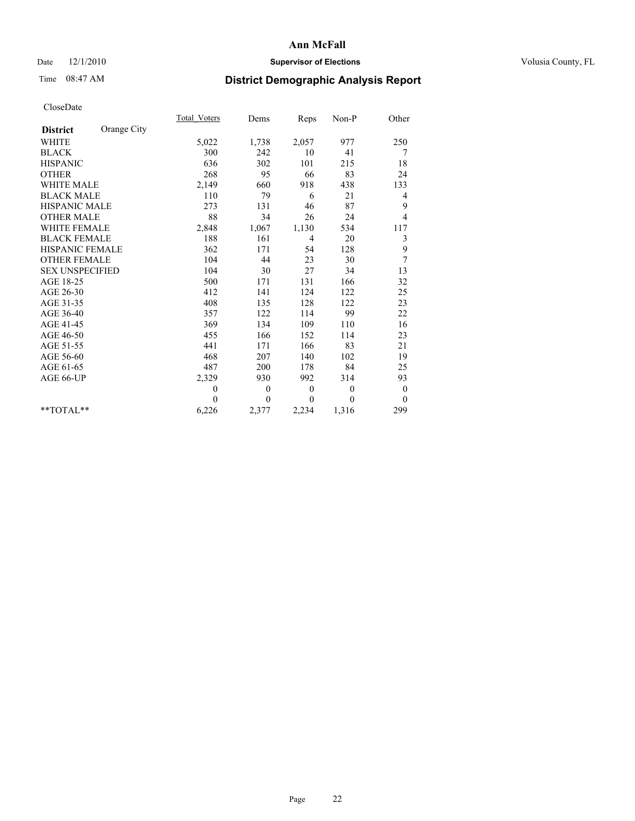## Date  $12/1/2010$  **Supervisor of Elections** Volusia County, FL

# Time 08:47 AM **District Demographic Analysis Report**

|                        |             | Total Voters | Dems           | Reps         | $Non-P$      | Other            |
|------------------------|-------------|--------------|----------------|--------------|--------------|------------------|
| <b>District</b>        | Orange City |              |                |              |              |                  |
| <b>WHITE</b>           |             | 5,022        | 1,738          | 2,057        | 977          | 250              |
| <b>BLACK</b>           |             | 300          | 242            | 10           | 41           | 7                |
| <b>HISPANIC</b>        |             | 636          | 302            | 101          | 215          | 18               |
| <b>OTHER</b>           |             | 268          | 95             | 66           | 83           | 24               |
| <b>WHITE MALE</b>      |             | 2,149        | 660            | 918          | 438          | 133              |
| <b>BLACK MALE</b>      |             | 110          | 79             | 6            | 21           | 4                |
| <b>HISPANIC MALE</b>   |             | 273          | 131            | 46           | 87           | 9                |
| <b>OTHER MALE</b>      |             | 88           | 34             | 26           | 24           | $\overline{4}$   |
| <b>WHITE FEMALE</b>    |             | 2,848        | 1,067          | 1,130        | 534          | 117              |
| <b>BLACK FEMALE</b>    |             | 188          | 161            | 4            | 20           | 3                |
| HISPANIC FEMALE        |             | 362          | 171            | 54           | 128          | 9                |
| <b>OTHER FEMALE</b>    |             | 104          | 44             | 23           | 30           | 7                |
| <b>SEX UNSPECIFIED</b> |             | 104          | 30             | 27           | 34           | 13               |
| AGE 18-25              |             | 500          | 171            | 131          | 166          | 32               |
| AGE 26-30              |             | 412          | 141            | 124          | 122          | 25               |
| AGE 31-35              |             | 408          | 135            | 128          | 122          | 23               |
| AGE 36-40              |             | 357          | 122            | 114          | 99           | 22               |
| AGE 41-45              |             | 369          | 134            | 109          | 110          | 16               |
| AGE 46-50              |             | 455          | 166            | 152          | 114          | 23               |
| AGE 51-55              |             | 441          | 171            | 166          | 83           | 21               |
| AGE 56-60              |             | 468          | 207            | 140          | 102          | 19               |
| AGE 61-65              |             | 487          | 200            | 178          | 84           | 25               |
| AGE 66-UP              |             | 2,329        | 930            | 992          | 314          | 93               |
|                        |             | $\theta$     | $\mathbf{0}$   | $\mathbf{0}$ | $\mathbf{0}$ | $\boldsymbol{0}$ |
|                        |             | $\Omega$     | $\overline{0}$ | $\theta$     | $\theta$     | $\theta$         |
| $*$ $TOTAI.**$         |             | 6,226        | 2,377          | 2,234        | 1,316        | 299              |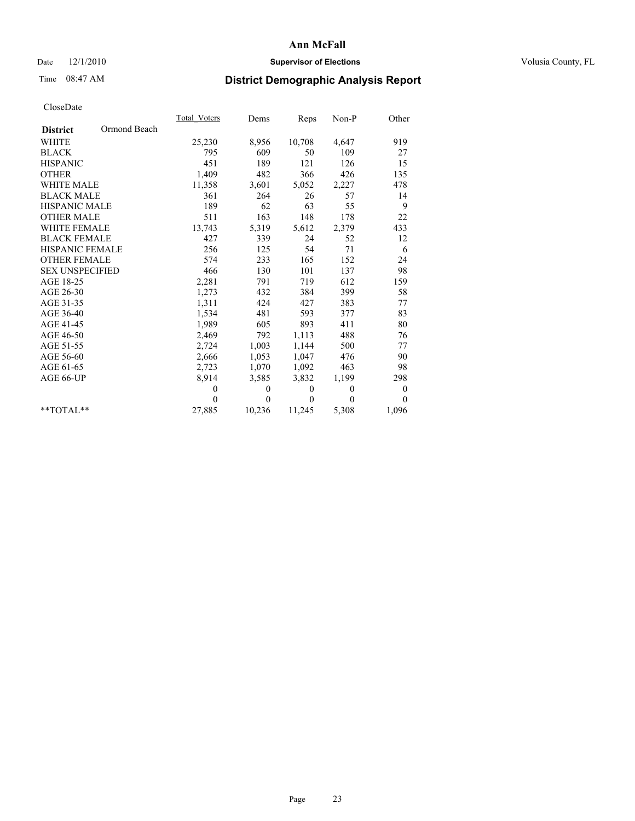## Date  $12/1/2010$  **Supervisor of Elections** Volusia County, FL

# Time 08:47 AM **District Demographic Analysis Report**

|                        |              | <b>Total Voters</b> | Dems         | Reps     | Non-P    | Other          |
|------------------------|--------------|---------------------|--------------|----------|----------|----------------|
| <b>District</b>        | Ormond Beach |                     |              |          |          |                |
| <b>WHITE</b>           |              | 25,230              | 8,956        | 10,708   | 4,647    | 919            |
| <b>BLACK</b>           |              | 795                 | 609          | 50       | 109      | 27             |
| <b>HISPANIC</b>        |              | 451                 | 189          | 121      | 126      | 15             |
| <b>OTHER</b>           |              | 1,409               | 482          | 366      | 426      | 135            |
| <b>WHITE MALE</b>      |              | 11,358              | 3,601        | 5,052    | 2,227    | 478            |
| <b>BLACK MALE</b>      |              | 361                 | 264          | 26       | 57       | 14             |
| <b>HISPANIC MALE</b>   |              | 189                 | 62           | 63       | 55       | 9              |
| <b>OTHER MALE</b>      |              | 511                 | 163          | 148      | 178      | 22             |
| <b>WHITE FEMALE</b>    |              | 13,743              | 5,319        | 5,612    | 2,379    | 433            |
| <b>BLACK FEMALE</b>    |              | 427                 | 339          | 24       | 52       | 12             |
| HISPANIC FEMALE        |              | 256                 | 125          | 54       | 71       | 6              |
| <b>OTHER FEMALE</b>    |              | 574                 | 233          | 165      | 152      | 24             |
| <b>SEX UNSPECIFIED</b> |              | 466                 | 130          | 101      | 137      | 98             |
| AGE 18-25              |              | 2,281               | 791          | 719      | 612      | 159            |
| AGE 26-30              |              | 1,273               | 432          | 384      | 399      | 58             |
| AGE 31-35              |              | 1,311               | 424          | 427      | 383      | 77             |
| AGE 36-40              |              | 1,534               | 481          | 593      | 377      | 83             |
| AGE 41-45              |              | 1,989               | 605          | 893      | 411      | 80             |
| AGE 46-50              |              | 2,469               | 792          | 1,113    | 488      | 76             |
| AGE 51-55              |              | 2,724               | 1,003        | 1,144    | 500      | 77             |
| AGE 56-60              |              | 2,666               | 1,053        | 1,047    | 476      | 90             |
| AGE 61-65              |              | 2,723               | 1,070        | 1,092    | 463      | 98             |
| AGE 66-UP              |              | 8,914               | 3,585        | 3,832    | 1,199    | 298            |
|                        |              | $\theta$            | $\mathbf{0}$ | $\theta$ | $\theta$ | $\overline{0}$ |
|                        |              | $\Omega$            | $\theta$     | $\theta$ | 0        | $\theta$       |
| **TOTAL**              |              | 27,885              | 10,236       | 11,245   | 5,308    | 1,096          |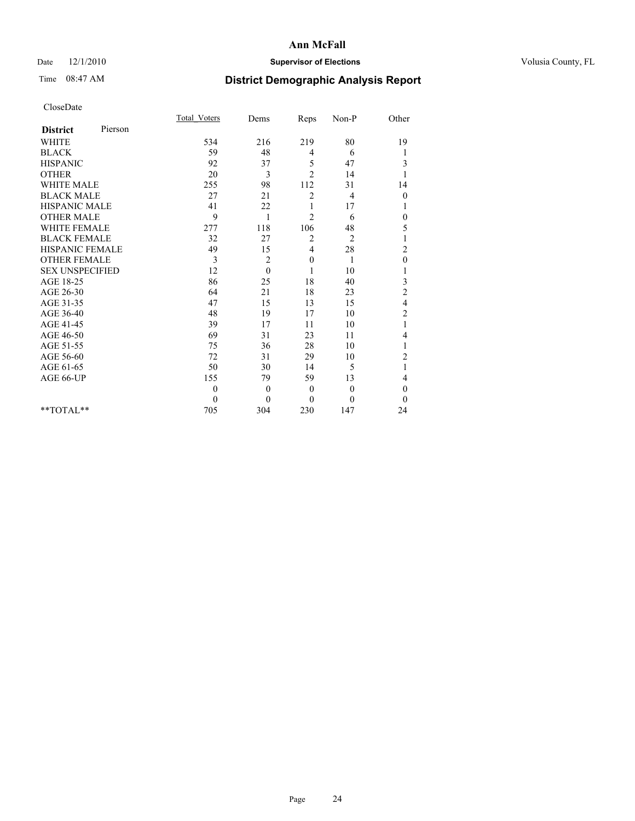## Date  $12/1/2010$  **Supervisor of Elections** Volusia County, FL

# Time 08:47 AM **District Demographic Analysis Report**

|                        |         | Total Voters | Dems     | Reps           | Non-P          | Other            |  |
|------------------------|---------|--------------|----------|----------------|----------------|------------------|--|
| <b>District</b>        | Pierson |              |          |                |                |                  |  |
| <b>WHITE</b>           |         | 534          | 216      | 219            | 80             | 19               |  |
| <b>BLACK</b>           |         | 59           | 48       | 4              | 6              | 1                |  |
| <b>HISPANIC</b>        |         | 92           | 37       | 5              | 47             | 3                |  |
| <b>OTHER</b>           |         | 20           | 3        | $\overline{2}$ | 14             | 1                |  |
| <b>WHITE MALE</b>      |         | 255          | 98       | 112            | 31             | 14               |  |
| <b>BLACK MALE</b>      |         | 27           | 21       | $\overline{c}$ | $\overline{4}$ | $\boldsymbol{0}$ |  |
| <b>HISPANIC MALE</b>   |         | 41           | 22       |                | 17             | 1                |  |
| <b>OTHER MALE</b>      |         | 9            | 1        | $\overline{c}$ | 6              | $\theta$         |  |
| WHITE FEMALE           |         | 277          | 118      | 106            | 48             | 5                |  |
| <b>BLACK FEMALE</b>    |         | 32           | 27       | 2              | $\overline{2}$ | 1                |  |
| HISPANIC FEMALE        |         | 49           | 15       | 4              | 28             | $\overline{c}$   |  |
| <b>OTHER FEMALE</b>    |         | 3            | 2        | $\mathbf{0}$   | 1              | $\mathbf{0}$     |  |
| <b>SEX UNSPECIFIED</b> |         | 12           | $\theta$ |                | 10             |                  |  |
| AGE 18-25              |         | 86           | 25       | 18             | 40             | 3                |  |
| AGE 26-30              |         | 64           | 21       | 18             | 23             | $\overline{c}$   |  |
| AGE 31-35              |         | 47           | 15       | 13             | 15             | 4                |  |
| AGE 36-40              |         | 48           | 19       | 17             | 10             | $\overline{c}$   |  |
| AGE 41-45              |         | 39           | 17       | 11             | 10             | 1                |  |
| AGE 46-50              |         | 69           | 31       | 23             | 11             | 4                |  |
| AGE 51-55              |         | 75           | 36       | 28             | 10             | 1                |  |
| AGE 56-60              |         | 72           | 31       | 29             | 10             | $\overline{c}$   |  |
| AGE 61-65              |         | 50           | 30       | 14             | 5              | 1                |  |
| AGE 66-UP              |         | 155          | 79       | 59             | 13             | 4                |  |
|                        |         | $\theta$     | $\theta$ | $\mathbf{0}$   | $\mathbf{0}$   | $\theta$         |  |
|                        |         | $\theta$     | $\theta$ | $\theta$       | $\theta$       | $\theta$         |  |
| $*$ $TOTAI.**$         |         | 705          | 304      | 230            | 147            | 24               |  |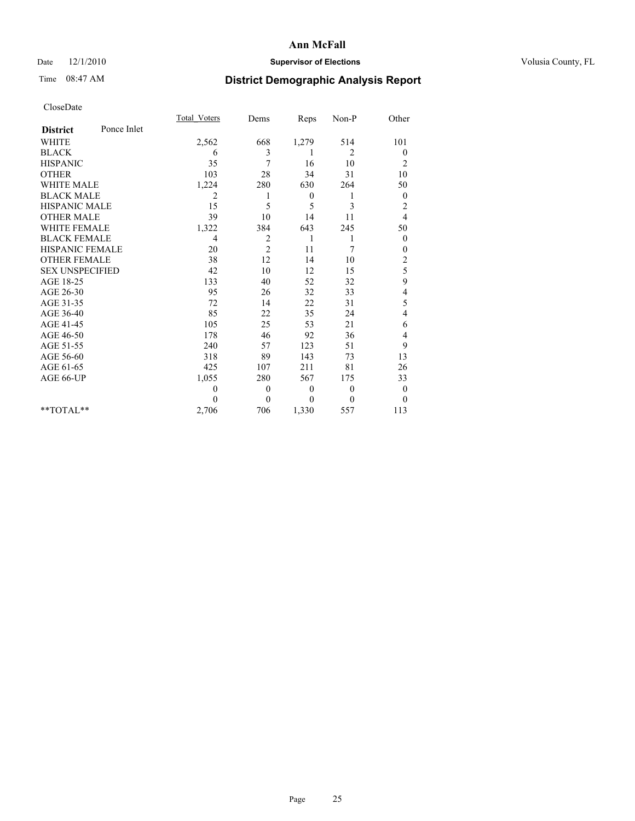## Date  $12/1/2010$  **Supervisor of Elections** Volusia County, FL

# Time 08:47 AM **District Demographic Analysis Report**

|                        |             | <b>Total Voters</b> | Dems           | Reps         | Non-P    | Other            |
|------------------------|-------------|---------------------|----------------|--------------|----------|------------------|
| <b>District</b>        | Ponce Inlet |                     |                |              |          |                  |
| <b>WHITE</b>           |             | 2,562               | 668            | 1,279        | 514      | 101              |
| <b>BLACK</b>           |             | 6                   | 3              | 1            | 2        | $\theta$         |
| <b>HISPANIC</b>        |             | 35                  | $\overline{7}$ | 16           | 10       | $\overline{c}$   |
| <b>OTHER</b>           |             | 103                 | 28             | 34           | 31       | 10               |
| <b>WHITE MALE</b>      |             | 1,224               | 280            | 630          | 264      | 50               |
| <b>BLACK MALE</b>      |             | 2                   | 1              | $\mathbf{0}$ | 1        | $\theta$         |
| <b>HISPANIC MALE</b>   |             | 15                  | 5              | 5            | 3        | $\overline{c}$   |
| <b>OTHER MALE</b>      |             | 39                  | 10             | 14           | 11       | 4                |
| <b>WHITE FEMALE</b>    |             | 1,322               | 384            | 643          | 245      | 50               |
| <b>BLACK FEMALE</b>    |             | 4                   | $\overline{c}$ | 1            | 1        | $\boldsymbol{0}$ |
| HISPANIC FEMALE        |             | 20                  | $\overline{c}$ | 11           | 7        | $\mathbf{0}$     |
| <b>OTHER FEMALE</b>    |             | 38                  | 12             | 14           | 10       | $\overline{c}$   |
| <b>SEX UNSPECIFIED</b> |             | 42                  | 10             | 12           | 15       | 5                |
| AGE 18-25              |             | 133                 | 40             | 52           | 32       | 9                |
| AGE 26-30              |             | 95                  | 26             | 32           | 33       | 4                |
| AGE 31-35              |             | 72                  | 14             | 22           | 31       | 5                |
| AGE 36-40              |             | 85                  | 22             | 35           | 24       | 4                |
| AGE 41-45              |             | 105                 | 25             | 53           | 21       | 6                |
| AGE 46-50              |             | 178                 | 46             | 92           | 36       | 4                |
| AGE 51-55              |             | 240                 | 57             | 123          | 51       | 9                |
| AGE 56-60              |             | 318                 | 89             | 143          | 73       | 13               |
| AGE 61-65              |             | 425                 | 107            | 211          | 81       | 26               |
| AGE 66-UP              |             | 1,055               | 280            | 567          | 175      | 33               |
|                        |             | $\theta$            | $\theta$       | $\mathbf{0}$ | $\theta$ | $\bf{0}$         |
|                        |             | $\theta$            | $\overline{0}$ | $\theta$     | $\theta$ | $\theta$         |
| $*$ $TOTAI.**$         |             | 2,706               | 706            | 1,330        | 557      | 113              |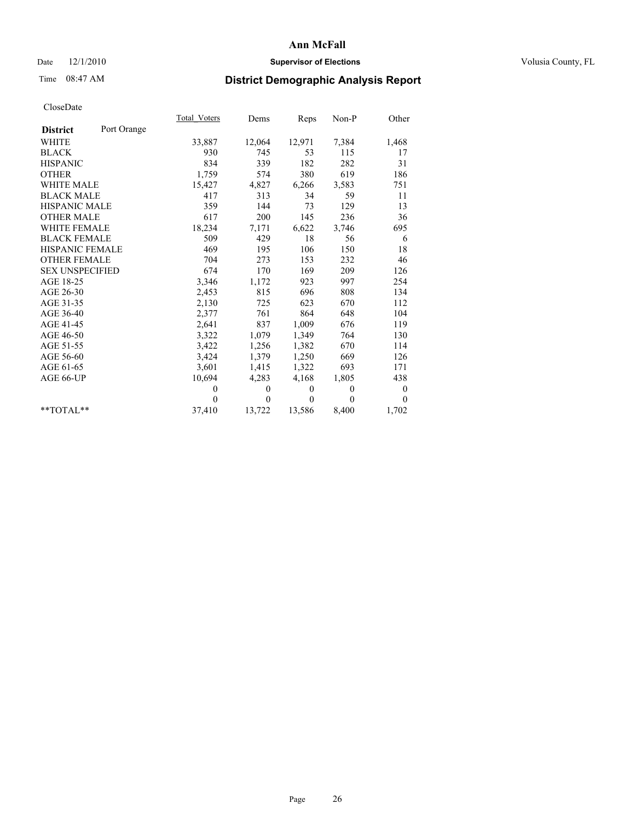## Date  $12/1/2010$  **Supervisor of Elections** Volusia County, FL

# Time 08:47 AM **District Demographic Analysis Report**

|                        |             | Total Voters | Dems           | Reps         | $Non-P$      | Other            |
|------------------------|-------------|--------------|----------------|--------------|--------------|------------------|
| <b>District</b>        | Port Orange |              |                |              |              |                  |
| <b>WHITE</b>           |             | 33,887       | 12,064         | 12,971       | 7,384        | 1,468            |
| <b>BLACK</b>           |             | 930          | 745            | 53           | 115          | 17               |
| <b>HISPANIC</b>        |             | 834          | 339            | 182          | 282          | 31               |
| <b>OTHER</b>           |             | 1,759        | 574            | 380          | 619          | 186              |
| WHITE MALE             |             | 15,427       | 4,827          | 6,266        | 3,583        | 751              |
| <b>BLACK MALE</b>      |             | 417          | 313            | 34           | 59           | 11               |
| <b>HISPANIC MALE</b>   |             | 359          | 144            | 73           | 129          | 13               |
| <b>OTHER MALE</b>      |             | 617          | 200            | 145          | 236          | 36               |
| <b>WHITE FEMALE</b>    |             | 18,234       | 7,171          | 6,622        | 3,746        | 695              |
| <b>BLACK FEMALE</b>    |             | 509          | 429            | 18           | 56           | 6                |
| HISPANIC FEMALE        |             | 469          | 195            | 106          | 150          | 18               |
| <b>OTHER FEMALE</b>    |             | 704          | 273            | 153          | 232          | 46               |
| <b>SEX UNSPECIFIED</b> |             | 674          | 170            | 169          | 209          | 126              |
| AGE 18-25              |             | 3,346        | 1,172          | 923          | 997          | 254              |
| AGE 26-30              |             | 2,453        | 815            | 696          | 808          | 134              |
| AGE 31-35              |             | 2,130        | 725            | 623          | 670          | 112              |
| AGE 36-40              |             | 2,377        | 761            | 864          | 648          | 104              |
| AGE 41-45              |             | 2,641        | 837            | 1,009        | 676          | 119              |
| AGE 46-50              |             | 3,322        | 1,079          | 1,349        | 764          | 130              |
| AGE 51-55              |             | 3,422        | 1,256          | 1,382        | 670          | 114              |
| AGE 56-60              |             | 3,424        | 1,379          | 1,250        | 669          | 126              |
| AGE 61-65              |             | 3,601        | 1,415          | 1,322        | 693          | 171              |
| AGE 66-UP              |             | 10,694       | 4,283          | 4,168        | 1,805        | 438              |
|                        |             | $\theta$     | $\theta$       | $\mathbf{0}$ | $\mathbf{0}$ | $\boldsymbol{0}$ |
|                        |             | $\Omega$     | $\overline{0}$ | $\Omega$     | $\theta$     | $\theta$         |
| $*$ $TOTAI.**$         |             | 37,410       | 13,722         | 13,586       | 8,400        | 1,702            |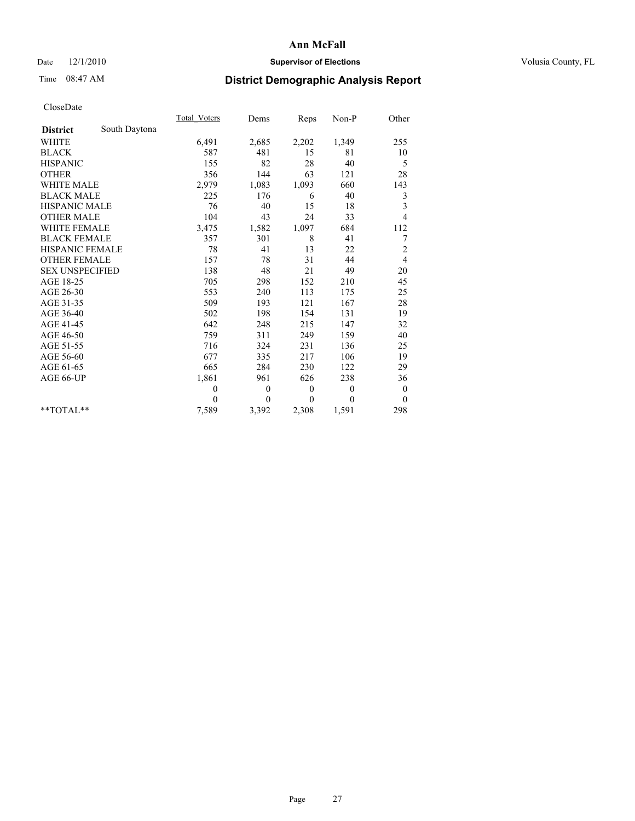## Date  $12/1/2010$  **Supervisor of Elections** Volusia County, FL

# Time 08:47 AM **District Demographic Analysis Report**

|                        |               | <b>Total Voters</b> | Dems             | Reps             | Non-P    | Other            |
|------------------------|---------------|---------------------|------------------|------------------|----------|------------------|
| <b>District</b>        | South Daytona |                     |                  |                  |          |                  |
| <b>WHITE</b>           |               | 6,491               | 2,685            | 2,202            | 1,349    | 255              |
| <b>BLACK</b>           |               | 587                 | 481              | 15               | 81       | 10               |
| <b>HISPANIC</b>        |               | 155                 | 82               | 28               | 40       | 5                |
| <b>OTHER</b>           |               | 356                 | 144              | 63               | 121      | 28               |
| <b>WHITE MALE</b>      |               | 2,979               | 1,083            | 1,093            | 660      | 143              |
| <b>BLACK MALE</b>      |               | 225                 | 176              | 6                | 40       | 3                |
| <b>HISPANIC MALE</b>   |               | 76                  | 40               | 15               | 18       | 3                |
| <b>OTHER MALE</b>      |               | 104                 | 43               | 24               | 33       | $\overline{4}$   |
| <b>WHITE FEMALE</b>    |               | 3,475               | 1,582            | 1,097            | 684      | 112              |
| <b>BLACK FEMALE</b>    |               | 357                 | 301              | 8                | 41       | 7                |
| <b>HISPANIC FEMALE</b> |               | 78                  | 41               | 13               | 22       | $\overline{c}$   |
| <b>OTHER FEMALE</b>    |               | 157                 | 78               | 31               | 44       | $\overline{4}$   |
| <b>SEX UNSPECIFIED</b> |               | 138                 | 48               | 21               | 49       | 20               |
| AGE 18-25              |               | 705                 | 298              | 152              | 210      | 45               |
| AGE 26-30              |               | 553                 | 240              | 113              | 175      | 25               |
| AGE 31-35              |               | 509                 | 193              | 121              | 167      | 28               |
| AGE 36-40              |               | 502                 | 198              | 154              | 131      | 19               |
| AGE 41-45              |               | 642                 | 248              | 215              | 147      | 32               |
| AGE 46-50              |               | 759                 | 311              | 249              | 159      | 40               |
| AGE 51-55              |               | 716                 | 324              | 231              | 136      | 25               |
| AGE 56-60              |               | 677                 | 335              | 217              | 106      | 19               |
| AGE 61-65              |               | 665                 | 284              | 230              | 122      | 29               |
| AGE 66-UP              |               | 1,861               | 961              | 626              | 238      | 36               |
|                        |               | $\boldsymbol{0}$    | $\boldsymbol{0}$ | $\boldsymbol{0}$ | $\theta$ | $\boldsymbol{0}$ |
|                        |               | $\theta$            | $\Omega$         | $\theta$         | $\theta$ | $\Omega$         |
| $**TOTAI.**$           |               | 7,589               | 3,392            | 2,308            | 1,591    | 298              |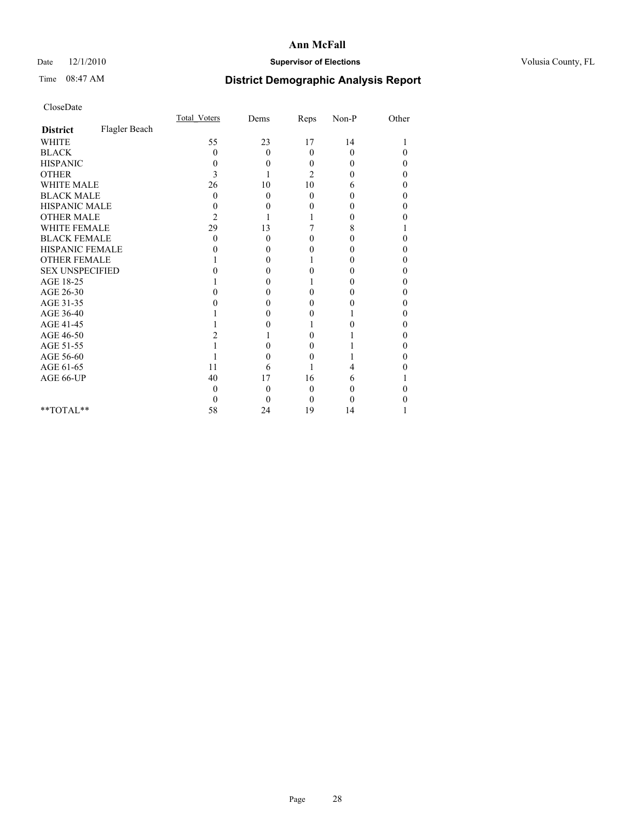## Date  $12/1/2010$  **Supervisor of Elections** Volusia County, FL

# Time 08:47 AM **District Demographic Analysis Report**

|                        |               | Total Voters | Dems     | Reps           | $Non-P$  | Other    |  |
|------------------------|---------------|--------------|----------|----------------|----------|----------|--|
| <b>District</b>        | Flagler Beach |              |          |                |          |          |  |
| <b>WHITE</b>           |               | 55           | 23       | 17             | 14       |          |  |
| <b>BLACK</b>           |               | 0            | $\theta$ | $\theta$       | $\theta$ | $\theta$ |  |
| <b>HISPANIC</b>        |               | 0            | 0        | $\Omega$       | 0        | 0        |  |
| <b>OTHER</b>           |               | 3            |          | $\overline{c}$ | 0        | 0        |  |
| <b>WHITE MALE</b>      |               | 26           | 10       | 10             | 6        | 0        |  |
| <b>BLACK MALE</b>      |               | 0            | $\theta$ | $\Omega$       | 0        | 0        |  |
| HISPANIC MALE          |               | 0            | 0        | 0              | 0        | 0        |  |
| <b>OTHER MALE</b>      |               | 2            |          |                | 0        | 0        |  |
| WHITE FEMALE           |               | 29           | 13       |                | 8        |          |  |
| <b>BLACK FEMALE</b>    |               | 0            | 0        | 0              | 0        | 0        |  |
| HISPANIC FEMALE        |               |              | 0        | 0              | 0        | 0        |  |
| <b>OTHER FEMALE</b>    |               |              | 0        |                | 0        | 0        |  |
| <b>SEX UNSPECIFIED</b> |               |              | 0        | 0              | 0        | 0        |  |
| AGE 18-25              |               |              | 0        |                | 0        | 0        |  |
| AGE 26-30              |               |              | 0        | 0              | 0        | 0        |  |
| AGE 31-35              |               |              | 0        | 0              | 0        | 0        |  |
| AGE 36-40              |               |              | 0        | 0              |          | 0        |  |
| AGE 41-45              |               |              |          |                | 0        | 0        |  |
| AGE 46-50              |               |              |          | 0              |          | 0        |  |
| AGE 51-55              |               |              | 0        | 0              |          | 0        |  |
| AGE 56-60              |               |              | 0        | $\theta$       |          | 0        |  |
| AGE 61-65              |               | 11           | 6        |                | 4        |          |  |
| AGE 66-UP              |               | 40           | 17       | 16             | 6        |          |  |
|                        |               | 0            | $\theta$ | 0              | 0        |          |  |
|                        |               | 0            | 0        | $\Omega$       | 0        |          |  |
| $*$ $TOTAI.**$         |               | 58           | 24       | 19             | 14       |          |  |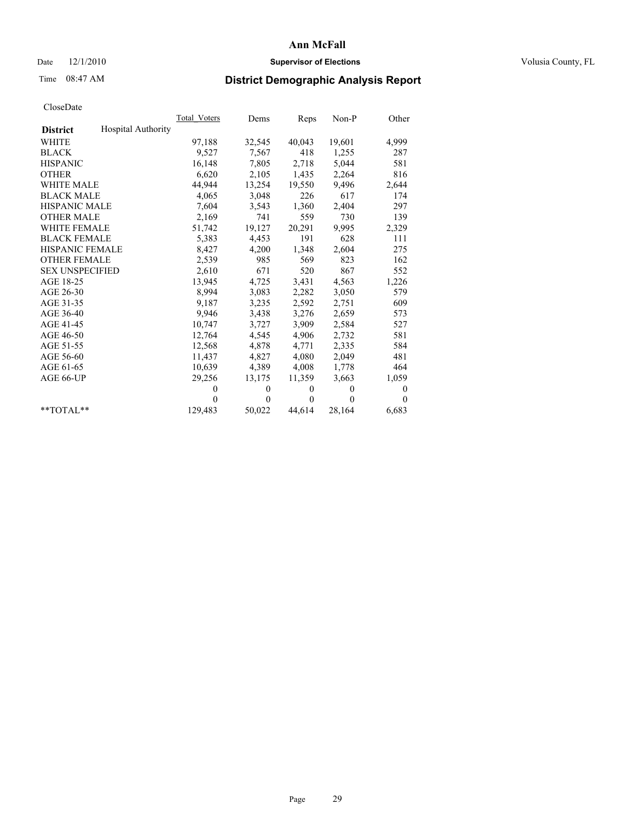## Date  $12/1/2010$  **Supervisor of Elections** Volusia County, FL

## Time 08:47 AM **District Demographic Analysis Report**

|                                       | Total Voters | Dems         | Reps         | $Non-P$      | Other        |
|---------------------------------------|--------------|--------------|--------------|--------------|--------------|
| Hospital Authority<br><b>District</b> |              |              |              |              |              |
| <b>WHITE</b>                          | 97,188       | 32,545       | 40,043       | 19,601       | 4,999        |
| <b>BLACK</b>                          | 9,527        | 7,567        | 418          | 1,255        | 287          |
| <b>HISPANIC</b>                       | 16,148       | 7,805        | 2,718        | 5,044        | 581          |
| <b>OTHER</b>                          | 6,620        | 2,105        | 1,435        | 2,264        | 816          |
| <b>WHITE MALE</b>                     | 44,944       | 13,254       | 19,550       | 9,496        | 2,644        |
| <b>BLACK MALE</b>                     | 4,065        | 3,048        | 226          | 617          | 174          |
| <b>HISPANIC MALE</b>                  | 7,604        | 3,543        | 1,360        | 2,404        | 297          |
| <b>OTHER MALE</b>                     | 2,169        | 741          | 559          | 730          | 139          |
| <b>WHITE FEMALE</b>                   | 51,742       | 19,127       | 20,291       | 9,995        | 2,329        |
| <b>BLACK FEMALE</b>                   | 5,383        | 4,453        | 191          | 628          | 111          |
| HISPANIC FEMALE                       | 8,427        | 4,200        | 1,348        | 2,604        | 275          |
| <b>OTHER FEMALE</b>                   | 2,539        | 985          | 569          | 823          | 162          |
| <b>SEX UNSPECIFIED</b>                | 2,610        | 671          | 520          | 867          | 552          |
| AGE 18-25                             | 13,945       | 4,725        | 3,431        | 4,563        | 1,226        |
| AGE 26-30                             | 8,994        | 3,083        | 2,282        | 3,050        | 579          |
| AGE 31-35                             | 9,187        | 3,235        | 2,592        | 2,751        | 609          |
| AGE 36-40                             | 9,946        | 3,438        | 3,276        | 2,659        | 573          |
| AGE 41-45                             | 10,747       | 3,727        | 3,909        | 2,584        | 527          |
| AGE 46-50                             | 12,764       | 4,545        | 4,906        | 2,732        | 581          |
| AGE 51-55                             | 12,568       | 4,878        | 4,771        | 2,335        | 584          |
| AGE 56-60                             | 11,437       | 4,827        | 4,080        | 2,049        | 481          |
| AGE 61-65                             | 10,639       | 4,389        | 4,008        | 1,778        | 464          |
| AGE 66-UP                             | 29,256       | 13,175       | 11,359       | 3,663        | 1,059        |
|                                       | $\theta$     | $\mathbf{0}$ | $\mathbf{0}$ | $\mathbf{0}$ | $\mathbf{0}$ |
|                                       | $\Omega$     | $\theta$     | $\mathbf{0}$ | $\Omega$     | $\theta$     |
| $*$ $TOTAI.**$                        | 129,483      | 50,022       | 44,614       | 28,164       | 6,683        |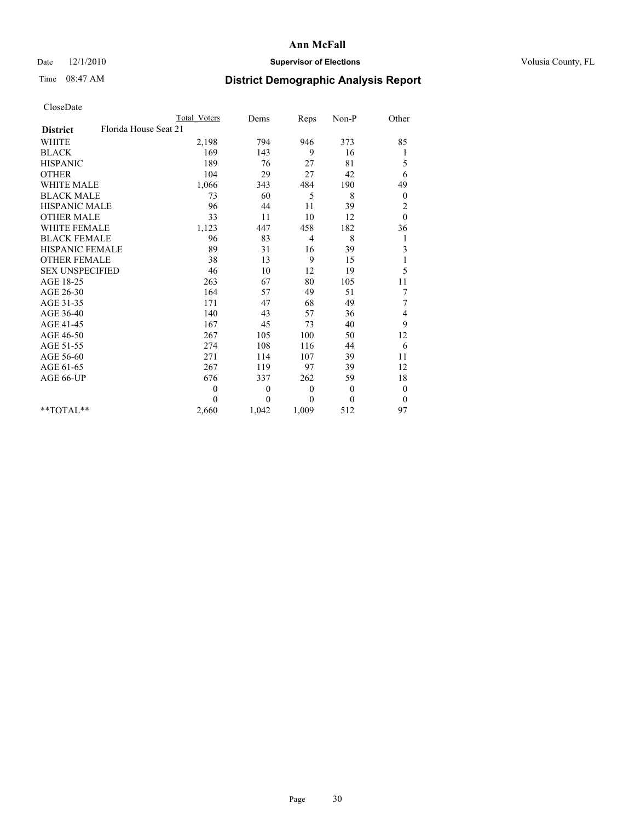## Date  $12/1/2010$  **Supervisor of Elections** Volusia County, FL

# Time 08:47 AM **District Demographic Analysis Report**

|                                          | <b>Total Voters</b> | Dems             | Reps         | Non-P    | Other            |  |
|------------------------------------------|---------------------|------------------|--------------|----------|------------------|--|
| Florida House Seat 21<br><b>District</b> |                     |                  |              |          |                  |  |
| <b>WHITE</b>                             | 2,198               | 794              | 946          | 373      | 85               |  |
| <b>BLACK</b>                             | 169                 | 143              | 9            | 16       | 1                |  |
| <b>HISPANIC</b>                          | 189                 | 76               | 27           | 81       | 5                |  |
| <b>OTHER</b>                             | 104                 | 29               | 27           | 42       | 6                |  |
| <b>WHITE MALE</b>                        | 1,066               | 343              | 484          | 190      | 49               |  |
| <b>BLACK MALE</b>                        | 73                  | 60               | 5            | 8        | $\theta$         |  |
| HISPANIC MALE                            | 96                  | 44               | 11           | 39       | $\overline{c}$   |  |
| <b>OTHER MALE</b>                        | 33                  | 11               | 10           | 12       | $\mathbf{0}$     |  |
| <b>WHITE FEMALE</b>                      | 1,123               | 447              | 458          | 182      | 36               |  |
| <b>BLACK FEMALE</b>                      | 96                  | 83               | 4            | 8        | 1                |  |
| HISPANIC FEMALE                          | 89                  | 31               | 16           | 39       | 3                |  |
| <b>OTHER FEMALE</b>                      | 38                  | 13               | 9            | 15       | 1                |  |
| <b>SEX UNSPECIFIED</b>                   | 46                  | 10               | 12           | 19       | 5                |  |
| AGE 18-25                                | 263                 | 67               | 80           | 105      | 11               |  |
| AGE 26-30                                | 164                 | 57               | 49           | 51       | 7                |  |
| AGE 31-35                                | 171                 | 47               | 68           | 49       | 7                |  |
| AGE 36-40                                | 140                 | 43               | 57           | 36       | 4                |  |
| AGE 41-45                                | 167                 | 45               | 73           | 40       | 9                |  |
| AGE 46-50                                | 267                 | 105              | 100          | 50       | 12               |  |
| AGE 51-55                                | 274                 | 108              | 116          | 44       | 6                |  |
| AGE 56-60                                | 271                 | 114              | 107          | 39       | 11               |  |
| AGE 61-65                                | 267                 | 119              | 97           | 39       | 12               |  |
| AGE 66-UP                                | 676                 | 337              | 262          | 59       | 18               |  |
|                                          | $\mathbf{0}$        | $\boldsymbol{0}$ | $\mathbf{0}$ | $\theta$ | $\boldsymbol{0}$ |  |
|                                          | $\theta$            | $\theta$         | $\theta$     | $\theta$ | $\theta$         |  |
| $*$ $TOTAI.**$                           | 2,660               | 1,042            | 1,009        | 512      | 97               |  |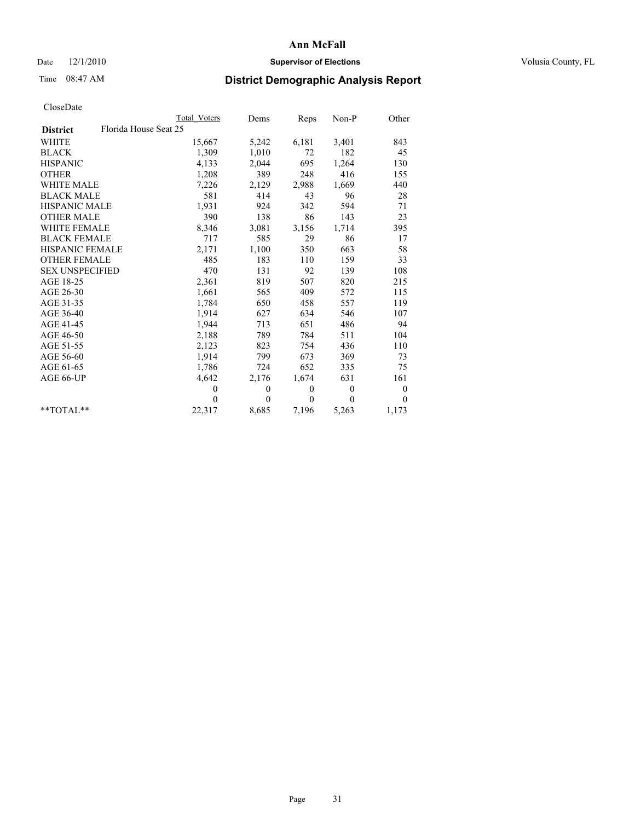## Date  $12/1/2010$  **Supervisor of Elections** Volusia County, FL

## Time 08:47 AM **District Demographic Analysis Report**

|                                          | Total Voters   | Dems     | Reps         | $Non-P$      | Other    |
|------------------------------------------|----------------|----------|--------------|--------------|----------|
| Florida House Seat 25<br><b>District</b> |                |          |              |              |          |
| <b>WHITE</b>                             | 15,667         | 5,242    | 6,181        | 3,401        | 843      |
| <b>BLACK</b>                             | 1,309          | 1,010    | 72           | 182          | 45       |
| <b>HISPANIC</b>                          | 4,133          | 2,044    | 695          | 1,264        | 130      |
| <b>OTHER</b>                             | 1,208          | 389      | 248          | 416          | 155      |
| <b>WHITE MALE</b>                        | 7,226          | 2,129    | 2,988        | 1,669        | 440      |
| <b>BLACK MALE</b>                        | 581            | 414      | 43           | 96           | 28       |
| <b>HISPANIC MALE</b>                     | 1,931          | 924      | 342          | 594          | 71       |
| <b>OTHER MALE</b>                        | 390            | 138      | 86           | 143          | 23       |
| <b>WHITE FEMALE</b>                      | 8,346          | 3,081    | 3,156        | 1,714        | 395      |
| <b>BLACK FEMALE</b>                      | 717            | 585      | 29           | 86           | 17       |
| HISPANIC FEMALE                          | 2,171          | 1,100    | 350          | 663          | 58       |
| <b>OTHER FEMALE</b>                      | 485            | 183      | 110          | 159          | 33       |
| <b>SEX UNSPECIFIED</b>                   | 470            | 131      | 92           | 139          | 108      |
| AGE 18-25                                | 2,361          | 819      | 507          | 820          | 215      |
| AGE 26-30                                | 1,661          | 565      | 409          | 572          | 115      |
| AGE 31-35                                | 1,784          | 650      | 458          | 557          | 119      |
| AGE 36-40                                | 1,914          | 627      | 634          | 546          | 107      |
| AGE 41-45                                | 1,944          | 713      | 651          | 486          | 94       |
| AGE 46-50                                | 2,188          | 789      | 784          | 511          | 104      |
| AGE 51-55                                | 2,123          | 823      | 754          | 436          | 110      |
| AGE 56-60                                | 1,914          | 799      | 673          | 369          | 73       |
| AGE 61-65                                | 1,786          | 724      | 652          | 335          | 75       |
| AGE 66-UP                                | 4,642          | 2,176    | 1,674        | 631          | 161      |
|                                          | $\overline{0}$ | $\theta$ | $\mathbf{0}$ | $\mathbf{0}$ | $\bf{0}$ |
|                                          | $\theta$       | $\theta$ | $\Omega$     | $\theta$     | $\theta$ |
| $*$ $TOTAI.**$                           | 22,317         | 8,685    | 7,196        | 5,263        | 1,173    |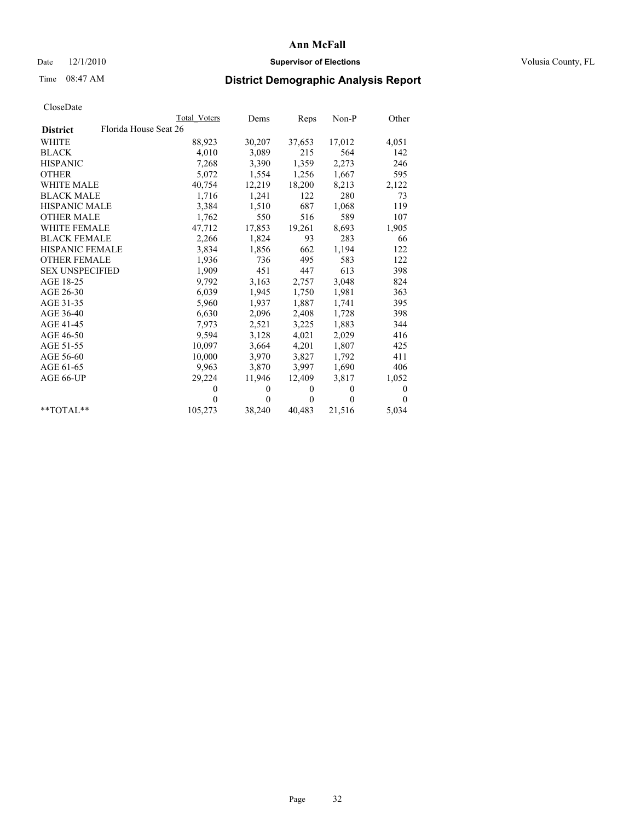## Date  $12/1/2010$  **Supervisor of Elections** Volusia County, FL

## Time 08:47 AM **District Demographic Analysis Report**

|                                          | Total Voters | Dems         | Reps         | Non-P    | Other        |
|------------------------------------------|--------------|--------------|--------------|----------|--------------|
| Florida House Seat 26<br><b>District</b> |              |              |              |          |              |
| WHITE                                    | 88,923       | 30,207       | 37,653       | 17,012   | 4,051        |
| <b>BLACK</b>                             | 4,010        | 3,089        | 215          | 564      | 142          |
| <b>HISPANIC</b>                          | 7,268        | 3,390        | 1,359        | 2,273    | 246          |
| <b>OTHER</b>                             | 5,072        | 1,554        | 1,256        | 1,667    | 595          |
| <b>WHITE MALE</b>                        | 40,754       | 12,219       | 18,200       | 8,213    | 2,122        |
| <b>BLACK MALE</b>                        | 1,716        | 1,241        | 122          | 280      | 73           |
| <b>HISPANIC MALE</b>                     | 3,384        | 1,510        | 687          | 1,068    | 119          |
| <b>OTHER MALE</b>                        | 1,762        | 550          | 516          | 589      | 107          |
| <b>WHITE FEMALE</b>                      | 47,712       | 17,853       | 19,261       | 8,693    | 1,905        |
| <b>BLACK FEMALE</b>                      | 2,266        | 1,824        | 93           | 283      | 66           |
| <b>HISPANIC FEMALE</b>                   | 3,834        | 1,856        | 662          | 1,194    | 122          |
| <b>OTHER FEMALE</b>                      | 1,936        | 736          | 495          | 583      | 122          |
| <b>SEX UNSPECIFIED</b>                   | 1,909        | 451          | 447          | 613      | 398          |
| AGE 18-25                                | 9,792        | 3,163        | 2,757        | 3,048    | 824          |
| AGE 26-30                                | 6,039        | 1,945        | 1,750        | 1,981    | 363          |
| AGE 31-35                                | 5,960        | 1,937        | 1,887        | 1,741    | 395          |
| AGE 36-40                                | 6,630        | 2,096        | 2,408        | 1,728    | 398          |
| AGE 41-45                                | 7,973        | 2,521        | 3,225        | 1,883    | 344          |
| AGE 46-50                                | 9,594        | 3,128        | 4,021        | 2,029    | 416          |
| AGE 51-55                                | 10,097       | 3,664        | 4,201        | 1,807    | 425          |
| AGE 56-60                                | 10,000       | 3,970        | 3,827        | 1,792    | 411          |
| AGE 61-65                                | 9,963        | 3,870        | 3,997        | 1,690    | 406          |
| AGE 66-UP                                | 29,224       | 11,946       | 12,409       | 3,817    | 1,052        |
|                                          | $\theta$     | $\mathbf{0}$ | $\mathbf{0}$ | $\theta$ | $\mathbf{0}$ |
|                                          | $\Omega$     | $\theta$     | $\mathbf{0}$ | $\theta$ | $\Omega$     |
| $*$ TOTAL $*$                            | 105,273      | 38,240       | 40,483       | 21,516   | 5,034        |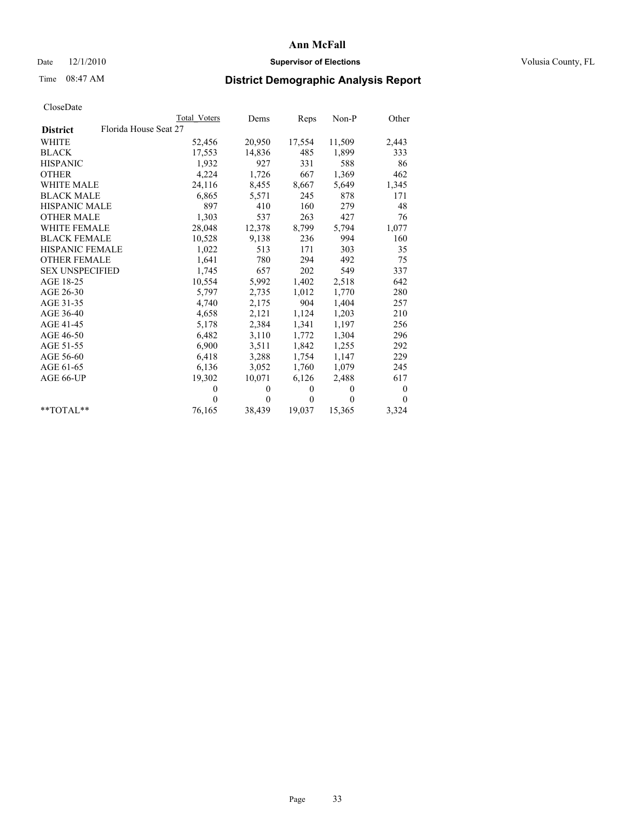## Date  $12/1/2010$  **Supervisor of Elections** Volusia County, FL

## Time 08:47 AM **District Demographic Analysis Report**

|                                          | Total Voters | Dems         | Reps         | $Non-P$  | Other            |
|------------------------------------------|--------------|--------------|--------------|----------|------------------|
| Florida House Seat 27<br><b>District</b> |              |              |              |          |                  |
| <b>WHITE</b>                             | 52,456       | 20,950       | 17,554       | 11,509   | 2,443            |
| <b>BLACK</b>                             | 17,553       | 14,836       | 485          | 1,899    | 333              |
| <b>HISPANIC</b>                          | 1.932        | 927          | 331          | 588      | 86               |
| <b>OTHER</b>                             | 4,224        | 1,726        | 667          | 1,369    | 462              |
| <b>WHITE MALE</b>                        | 24,116       | 8,455        | 8,667        | 5,649    | 1,345            |
| <b>BLACK MALE</b>                        | 6,865        | 5,571        | 245          | 878      | 171              |
| HISPANIC MALE                            | 897          | 410          | 160          | 279      | 48               |
| <b>OTHER MALE</b>                        | 1,303        | 537          | 263          | 427      | 76               |
| <b>WHITE FEMALE</b>                      | 28,048       | 12,378       | 8,799        | 5,794    | 1,077            |
| <b>BLACK FEMALE</b>                      | 10,528       | 9,138        | 236          | 994      | 160              |
| HISPANIC FEMALE                          | 1,022        | 513          | 171          | 303      | 35               |
| <b>OTHER FEMALE</b>                      | 1,641        | 780          | 294          | 492      | 75               |
| <b>SEX UNSPECIFIED</b>                   | 1,745        | 657          | 202          | 549      | 337              |
| AGE 18-25                                | 10,554       | 5,992        | 1,402        | 2,518    | 642              |
| AGE 26-30                                | 5,797        | 2,735        | 1,012        | 1,770    | 280              |
| AGE 31-35                                | 4,740        | 2,175        | 904          | 1,404    | 257              |
| AGE 36-40                                | 4,658        | 2,121        | 1,124        | 1,203    | 210              |
| AGE 41-45                                | 5,178        | 2,384        | 1,341        | 1,197    | 256              |
| AGE 46-50                                | 6,482        | 3,110        | 1,772        | 1,304    | 296              |
| AGE 51-55                                | 6,900        | 3,511        | 1,842        | 1,255    | 292              |
| AGE 56-60                                | 6,418        | 3,288        | 1,754        | 1,147    | 229              |
| AGE 61-65                                | 6,136        | 3,052        | 1,760        | 1,079    | 245              |
| AGE 66-UP                                | 19,302       | 10,071       | 6,126        | 2,488    | 617              |
|                                          | $\mathbf{0}$ | $\theta$     | $\mathbf{0}$ | $\theta$ | $\boldsymbol{0}$ |
|                                          | $\Omega$     | $\mathbf{0}$ | $\mathbf{0}$ | $\theta$ | $\theta$         |
| $*$ $TOTAI.**$                           | 76,165       | 38,439       | 19,037       | 15,365   | 3,324            |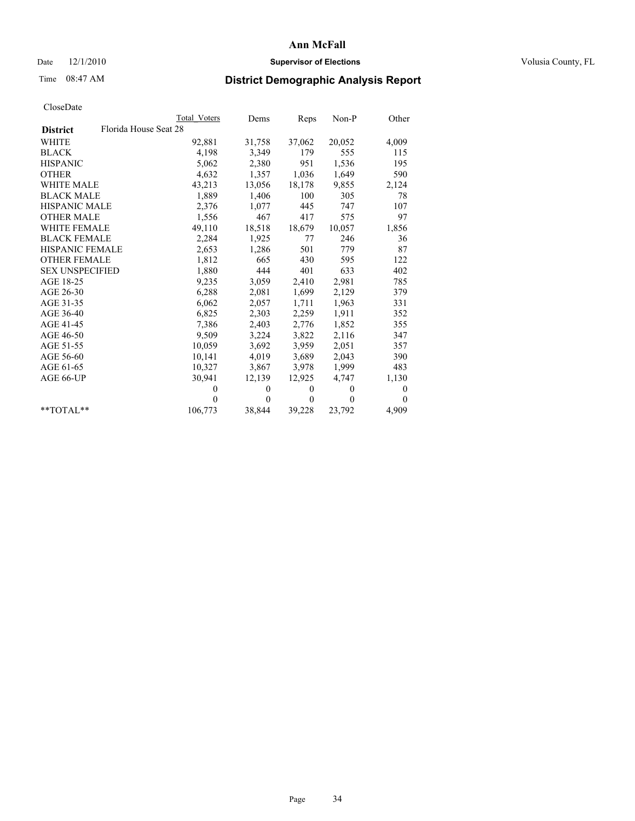## Date  $12/1/2010$  **Supervisor of Elections** Volusia County, FL

## Time 08:47 AM **District Demographic Analysis Report**

|                                          | Total Voters | Dems     | Reps         | $Non-P$  | Other    |
|------------------------------------------|--------------|----------|--------------|----------|----------|
| Florida House Seat 28<br><b>District</b> |              |          |              |          |          |
| <b>WHITE</b>                             | 92,881       | 31,758   | 37,062       | 20,052   | 4,009    |
| <b>BLACK</b>                             | 4,198        | 3,349    | 179          | 555      | 115      |
| <b>HISPANIC</b>                          | 5,062        | 2,380    | 951          | 1,536    | 195      |
| <b>OTHER</b>                             | 4,632        | 1,357    | 1,036        | 1,649    | 590      |
| <b>WHITE MALE</b>                        | 43,213       | 13,056   | 18,178       | 9,855    | 2,124    |
| <b>BLACK MALE</b>                        | 1,889        | 1,406    | 100          | 305      | 78       |
| HISPANIC MALE                            | 2,376        | 1,077    | 445          | 747      | 107      |
| <b>OTHER MALE</b>                        | 1,556        | 467      | 417          | 575      | 97       |
| <b>WHITE FEMALE</b>                      | 49,110       | 18,518   | 18,679       | 10,057   | 1,856    |
| <b>BLACK FEMALE</b>                      | 2,284        | 1,925    | 77           | 246      | 36       |
| HISPANIC FEMALE                          | 2,653        | 1,286    | 501          | 779      | 87       |
| <b>OTHER FEMALE</b>                      | 1,812        | 665      | 430          | 595      | 122      |
| <b>SEX UNSPECIFIED</b>                   | 1,880        | 444      | 401          | 633      | 402      |
| AGE 18-25                                | 9,235        | 3,059    | 2,410        | 2,981    | 785      |
| AGE 26-30                                | 6,288        | 2,081    | 1,699        | 2,129    | 379      |
| AGE 31-35                                | 6,062        | 2,057    | 1,711        | 1,963    | 331      |
| AGE 36-40                                | 6,825        | 2,303    | 2,259        | 1,911    | 352      |
| AGE 41-45                                | 7,386        | 2,403    | 2,776        | 1,852    | 355      |
| AGE 46-50                                | 9,509        | 3,224    | 3,822        | 2,116    | 347      |
| AGE 51-55                                | 10,059       | 3,692    | 3,959        | 2,051    | 357      |
| AGE 56-60                                | 10,141       | 4,019    | 3,689        | 2,043    | 390      |
| AGE 61-65                                | 10,327       | 3,867    | 3,978        | 1,999    | 483      |
| AGE 66-UP                                | 30,941       | 12,139   | 12,925       | 4,747    | 1,130    |
|                                          | $\theta$     | $\theta$ | $\mathbf{0}$ | $\theta$ | 0        |
|                                          | $\Omega$     | $\theta$ | $\mathbf{0}$ | $\theta$ | $\theta$ |
| $*$ $TOTAI.**$                           | 106,773      | 38,844   | 39,228       | 23,792   | 4,909    |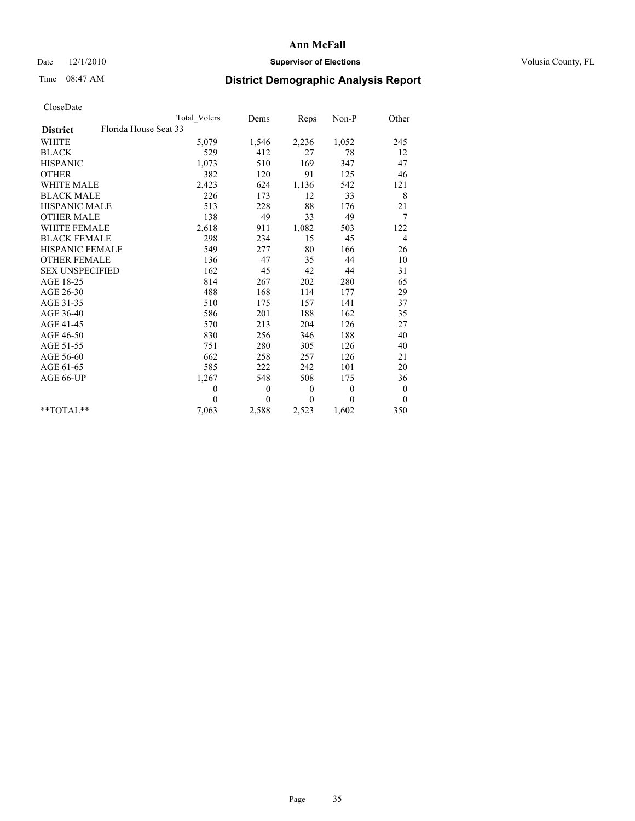## Date  $12/1/2010$  **Supervisor of Elections** Volusia County, FL

# Time 08:47 AM **District Demographic Analysis Report**

|                                          | Total Voters | Dems         | Reps         | Non-P        | Other            |
|------------------------------------------|--------------|--------------|--------------|--------------|------------------|
| Florida House Seat 33<br><b>District</b> |              |              |              |              |                  |
| <b>WHITE</b>                             | 5,079        | 1,546        | 2,236        | 1,052        | 245              |
| <b>BLACK</b>                             | 529          | 412          | 27           | 78           | 12               |
| <b>HISPANIC</b>                          | 1,073        | 510          | 169          | 347          | 47               |
| <b>OTHER</b>                             | 382          | 120          | 91           | 125          | 46               |
| <b>WHITE MALE</b>                        | 2,423        | 624          | 1,136        | 542          | 121              |
| <b>BLACK MALE</b>                        | 226          | 173          | 12           | 33           | 8                |
| <b>HISPANIC MALE</b>                     | 513          | 228          | 88           | 176          | 21               |
| <b>OTHER MALE</b>                        | 138          | 49           | 33           | 49           | 7                |
| <b>WHITE FEMALE</b>                      | 2,618        | 911          | 1,082        | 503          | 122              |
| <b>BLACK FEMALE</b>                      | 298          | 234          | 15           | 45           | $\overline{4}$   |
| HISPANIC FEMALE                          | 549          | 277          | 80           | 166          | 26               |
| <b>OTHER FEMALE</b>                      | 136          | 47           | 35           | 44           | 10               |
| <b>SEX UNSPECIFIED</b>                   | 162          | 45           | 42           | 44           | 31               |
| AGE 18-25                                | 814          | 267          | 202          | 280          | 65               |
| AGE 26-30                                | 488          | 168          | 114          | 177          | 29               |
| AGE 31-35                                | 510          | 175          | 157          | 141          | 37               |
| AGE 36-40                                | 586          | 201          | 188          | 162          | 35               |
| AGE 41-45                                | 570          | 213          | 204          | 126          | 27               |
| AGE 46-50                                | 830          | 256          | 346          | 188          | 40               |
| AGE 51-55                                | 751          | 280          | 305          | 126          | 40               |
| AGE 56-60                                | 662          | 258          | 257          | 126          | 21               |
| AGE 61-65                                | 585          | 222          | 242          | 101          | 20               |
| AGE 66-UP                                | 1,267        | 548          | 508          | 175          | 36               |
|                                          | $\mathbf{0}$ | $\mathbf{0}$ | $\mathbf{0}$ | $\mathbf{0}$ | $\boldsymbol{0}$ |
|                                          | $\theta$     | $\theta$     | $\theta$     | $\theta$     | $\theta$         |
| $*$ $TOTAI.**$                           | 7,063        | 2,588        | 2,523        | 1,602        | 350              |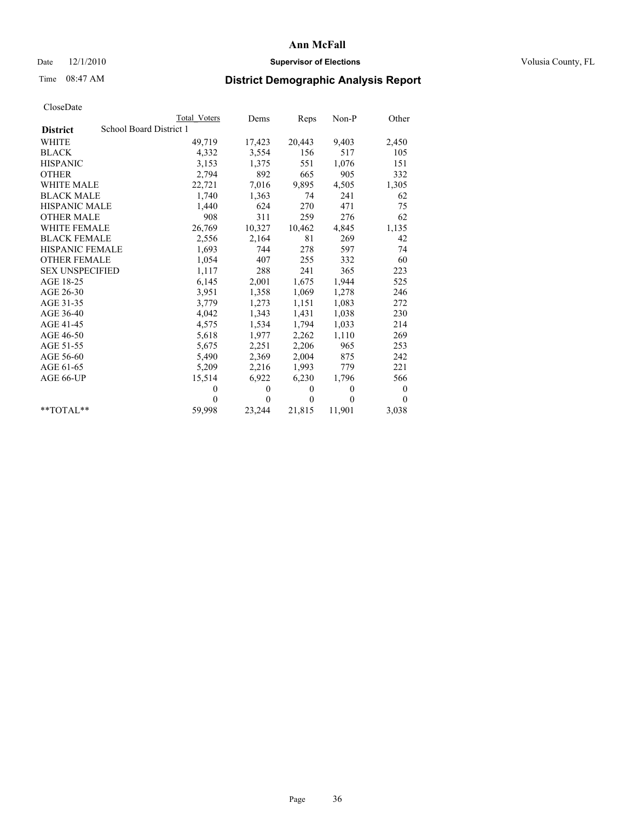## Date  $12/1/2010$  **Supervisor of Elections** Volusia County, FL

## Time 08:47 AM **District Demographic Analysis Report**

|                        |                         | Total Voters | Dems         | Reps         | $Non-P$  | Other        |
|------------------------|-------------------------|--------------|--------------|--------------|----------|--------------|
| <b>District</b>        | School Board District 1 |              |              |              |          |              |
| WHITE                  |                         | 49,719       | 17,423       | 20,443       | 9,403    | 2,450        |
| <b>BLACK</b>           |                         | 4,332        | 3,554        | 156          | 517      | 105          |
| <b>HISPANIC</b>        |                         | 3,153        | 1,375        | 551          | 1,076    | 151          |
| <b>OTHER</b>           |                         | 2,794        | 892          | 665          | 905      | 332          |
| <b>WHITE MALE</b>      |                         | 22,721       | 7,016        | 9,895        | 4,505    | 1,305        |
| <b>BLACK MALE</b>      |                         | 1,740        | 1,363        | 74           | 241      | 62           |
| <b>HISPANIC MALE</b>   |                         | 1,440        | 624          | 270          | 471      | 75           |
| <b>OTHER MALE</b>      |                         | 908          | 311          | 259          | 276      | 62           |
| WHITE FEMALE           |                         | 26,769       | 10,327       | 10,462       | 4,845    | 1,135        |
| <b>BLACK FEMALE</b>    |                         | 2,556        | 2,164        | 81           | 269      | 42           |
| HISPANIC FEMALE        |                         | 1,693        | 744          | 278          | 597      | 74           |
| <b>OTHER FEMALE</b>    |                         | 1,054        | 407          | 255          | 332      | 60           |
| <b>SEX UNSPECIFIED</b> |                         | 1,117        | 288          | 241          | 365      | 223          |
| AGE 18-25              |                         | 6,145        | 2,001        | 1,675        | 1,944    | 525          |
| AGE 26-30              |                         | 3,951        | 1,358        | 1,069        | 1,278    | 246          |
| AGE 31-35              |                         | 3,779        | 1,273        | 1,151        | 1,083    | 272          |
| AGE 36-40              |                         | 4,042        | 1,343        | 1,431        | 1,038    | 230          |
| AGE 41-45              |                         | 4,575        | 1,534        | 1,794        | 1,033    | 214          |
| AGE 46-50              |                         | 5,618        | 1,977        | 2,262        | 1,110    | 269          |
| AGE 51-55              |                         | 5,675        | 2,251        | 2,206        | 965      | 253          |
| AGE 56-60              |                         | 5,490        | 2,369        | 2,004        | 875      | 242          |
| AGE 61-65              |                         | 5,209        | 2,216        | 1,993        | 779      | 221          |
| AGE 66-UP              |                         | 15,514       | 6,922        | 6,230        | 1,796    | 566          |
|                        |                         | $\Omega$     | $\theta$     | $\mathbf{0}$ | $\theta$ | $\mathbf{0}$ |
|                        |                         | $\Omega$     | $\mathbf{0}$ | $\theta$     | $\theta$ | $\theta$     |
| $*$ $TOTAI.**$         |                         | 59,998       | 23,244       | 21,815       | 11,901   | 3,038        |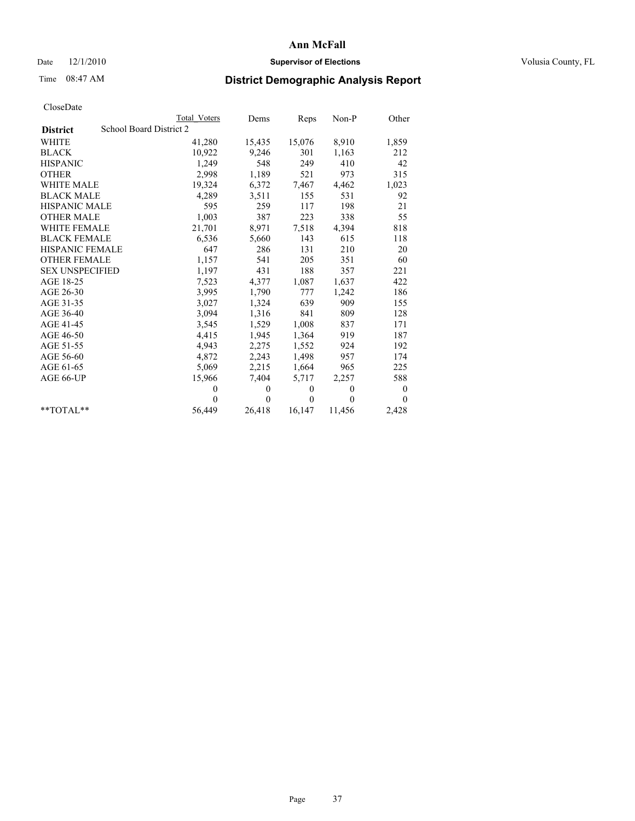## Date  $12/1/2010$  **Supervisor of Elections** Volusia County, FL

## Time 08:47 AM **District Demographic Analysis Report**

|                        | <b>Total Voters</b>     | Dems           | Reps     | $Non-P$  | Other            |
|------------------------|-------------------------|----------------|----------|----------|------------------|
| <b>District</b>        | School Board District 2 |                |          |          |                  |
| <b>WHITE</b>           | 41,280                  | 15,435         | 15,076   | 8,910    | 1,859            |
| <b>BLACK</b>           | 10,922                  | 9,246          | 301      | 1,163    | 212              |
| <b>HISPANIC</b>        | 1,249                   | 548            | 249      | 410      | 42               |
| <b>OTHER</b>           | 2,998                   | 1,189          | 521      | 973      | 315              |
| <b>WHITE MALE</b>      | 19,324                  | 6,372          | 7,467    | 4,462    | 1,023            |
| <b>BLACK MALE</b>      | 4,289                   | 3,511          | 155      | 531      | 92               |
| <b>HISPANIC MALE</b>   | 595                     | 259            | 117      | 198      | 21               |
| <b>OTHER MALE</b>      | 1,003                   | 387            | 223      | 338      | 55               |
| <b>WHITE FEMALE</b>    | 21,701                  | 8,971          | 7,518    | 4,394    | 818              |
| <b>BLACK FEMALE</b>    | 6,536                   | 5,660          | 143      | 615      | 118              |
| HISPANIC FEMALE        | 647                     | 286            | 131      | 210      | 20               |
| <b>OTHER FEMALE</b>    | 1,157                   | 541            | 205      | 351      | 60               |
| <b>SEX UNSPECIFIED</b> | 1,197                   | 431            | 188      | 357      | 221              |
| AGE 18-25              | 7,523                   | 4,377          | 1,087    | 1,637    | 422              |
| AGE 26-30              | 3,995                   | 1,790          | 777      | 1,242    | 186              |
| AGE 31-35              | 3,027                   | 1,324          | 639      | 909      | 155              |
| AGE 36-40              | 3,094                   | 1,316          | 841      | 809      | 128              |
| AGE 41-45              | 3,545                   | 1,529          | 1,008    | 837      | 171              |
| AGE 46-50              | 4,415                   | 1,945          | 1,364    | 919      | 187              |
| AGE 51-55              | 4,943                   | 2,275          | 1,552    | 924      | 192              |
| AGE 56-60              | 4,872                   | 2,243          | 1,498    | 957      | 174              |
| AGE 61-65              | 5,069                   | 2,215          | 1,664    | 965      | 225              |
| AGE 66-UP              | 15,966                  | 7,404          | 5,717    | 2,257    | 588              |
|                        | $\theta$                | $\theta$       | $\theta$ | $\theta$ | $\boldsymbol{0}$ |
|                        | $\Omega$                | $\overline{0}$ | $\theta$ | $\theta$ | $\mathbf{0}$     |
| $*$ $TOTAI.**$         | 56,449                  | 26,418         | 16,147   | 11,456   | 2,428            |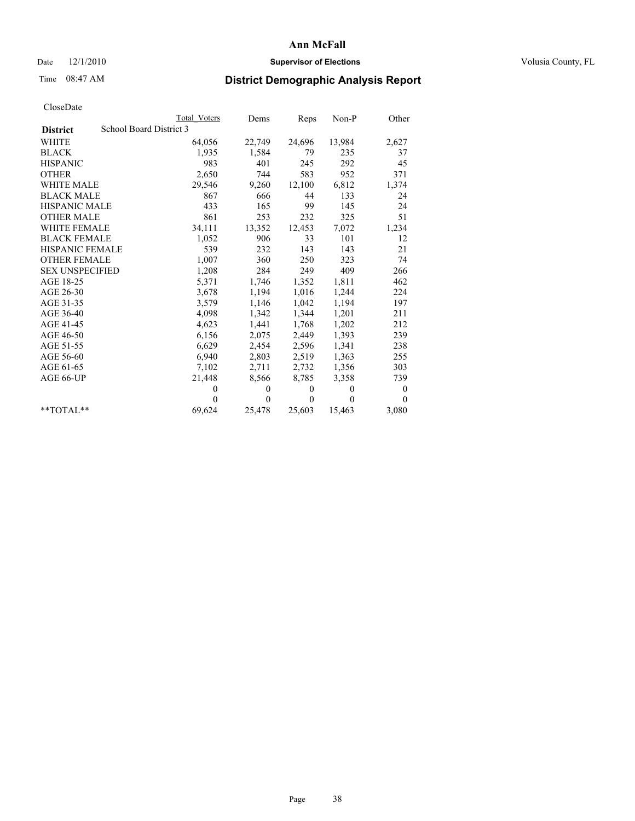## Date  $12/1/2010$  **Supervisor of Elections** Volusia County, FL

## Time 08:47 AM **District Demographic Analysis Report**

|                        |                         | <b>Total Voters</b> | Dems         | Reps     | $Non-P$        | Other            |
|------------------------|-------------------------|---------------------|--------------|----------|----------------|------------------|
| <b>District</b>        | School Board District 3 |                     |              |          |                |                  |
| <b>WHITE</b>           |                         | 64,056              | 22,749       | 24,696   | 13,984         | 2,627            |
| <b>BLACK</b>           |                         | 1,935               | 1,584        | 79       | 235            | 37               |
| <b>HISPANIC</b>        |                         | 983                 | 401          | 245      | 292            | 45               |
| <b>OTHER</b>           |                         | 2,650               | 744          | 583      | 952            | 371              |
| <b>WHITE MALE</b>      |                         | 29,546              | 9,260        | 12,100   | 6,812          | 1,374            |
| <b>BLACK MALE</b>      |                         | 867                 | 666          | 44       | 133            | 24               |
| <b>HISPANIC MALE</b>   |                         | 433                 | 165          | 99       | 145            | 24               |
| <b>OTHER MALE</b>      |                         | 861                 | 253          | 232      | 325            | 51               |
| WHITE FEMALE           |                         | 34,111              | 13,352       | 12,453   | 7,072          | 1,234            |
| <b>BLACK FEMALE</b>    |                         | 1,052               | 906          | 33       | 101            | 12               |
| <b>HISPANIC FEMALE</b> |                         | 539                 | 232          | 143      | 143            | 21               |
| <b>OTHER FEMALE</b>    |                         | 1,007               | 360          | 250      | 323            | 74               |
| <b>SEX UNSPECIFIED</b> |                         | 1,208               | 284          | 249      | 409            | 266              |
| AGE 18-25              |                         | 5,371               | 1,746        | 1,352    | 1,811          | 462              |
| AGE 26-30              |                         | 3,678               | 1,194        | 1,016    | 1,244          | 224              |
| AGE 31-35              |                         | 3,579               | 1,146        | 1,042    | 1,194          | 197              |
| AGE 36-40              |                         | 4,098               | 1,342        | 1,344    | 1,201          | 211              |
| AGE 41-45              |                         | 4,623               | 1,441        | 1,768    | 1,202          | 212              |
| AGE 46-50              |                         | 6,156               | 2,075        | 2,449    | 1,393          | 239              |
| AGE 51-55              |                         | 6,629               | 2,454        | 2,596    | 1,341          | 238              |
| AGE 56-60              |                         | 6,940               | 2,803        | 2,519    | 1,363          | 255              |
| AGE 61-65              |                         | 7,102               | 2,711        | 2,732    | 1,356          | 303              |
| AGE 66-UP              |                         | 21,448              | 8,566        | 8,785    | 3,358          | 739              |
|                        |                         | $\theta$            | $\mathbf{0}$ | $\theta$ | $\overline{0}$ | $\boldsymbol{0}$ |
|                        |                         | $\theta$            | $\theta$     | $\theta$ | $\theta$       | $\theta$         |
| $*$ TOTAL $*$          |                         | 69,624              | 25,478       | 25,603   | 15,463         | 3,080            |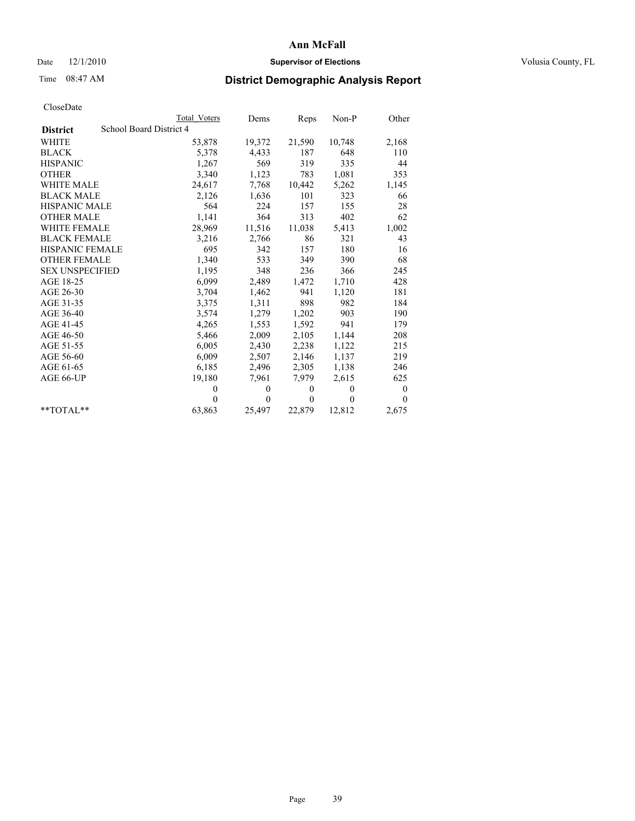## Date  $12/1/2010$  **Supervisor of Elections** Volusia County, FL

## Time 08:47 AM **District Demographic Analysis Report**

|                        | Total Voters            | Dems           | Reps     | $Non-P$  | Other            |  |  |  |
|------------------------|-------------------------|----------------|----------|----------|------------------|--|--|--|
| <b>District</b>        | School Board District 4 |                |          |          |                  |  |  |  |
| WHITE                  | 53,878                  | 19,372         | 21,590   | 10,748   | 2,168            |  |  |  |
| <b>BLACK</b>           | 5,378                   | 4,433          | 187      | 648      | 110              |  |  |  |
| <b>HISPANIC</b>        | 1,267                   | 569            | 319      | 335      | 44               |  |  |  |
| <b>OTHER</b>           | 3,340                   | 1,123          | 783      | 1,081    | 353              |  |  |  |
| <b>WHITE MALE</b>      | 24,617                  | 7,768          | 10,442   | 5,262    | 1,145            |  |  |  |
| <b>BLACK MALE</b>      | 2,126                   | 1,636          | 101      | 323      | 66               |  |  |  |
| HISPANIC MALE          | 564                     | 224            | 157      | 155      | 28               |  |  |  |
| <b>OTHER MALE</b>      | 1,141                   | 364            | 313      | 402      | 62               |  |  |  |
| WHITE FEMALE           | 28,969                  | 11,516         | 11,038   | 5,413    | 1,002            |  |  |  |
| <b>BLACK FEMALE</b>    | 3,216                   | 2,766          | 86       | 321      | 43               |  |  |  |
| HISPANIC FEMALE        | 695                     | 342            | 157      | 180      | 16               |  |  |  |
| <b>OTHER FEMALE</b>    | 1,340                   | 533            | 349      | 390      | 68               |  |  |  |
| <b>SEX UNSPECIFIED</b> | 1,195                   | 348            | 236      | 366      | 245              |  |  |  |
| AGE 18-25              | 6,099                   | 2,489          | 1,472    | 1,710    | 428              |  |  |  |
| AGE 26-30              | 3,704                   | 1,462          | 941      | 1,120    | 181              |  |  |  |
| AGE 31-35              | 3,375                   | 1,311          | 898      | 982      | 184              |  |  |  |
| AGE 36-40              | 3,574                   | 1,279          | 1,202    | 903      | 190              |  |  |  |
| AGE 41-45              | 4,265                   | 1,553          | 1,592    | 941      | 179              |  |  |  |
| AGE 46-50              | 5,466                   | 2,009          | 2,105    | 1,144    | 208              |  |  |  |
| AGE 51-55              | 6,005                   | 2,430          | 2,238    | 1,122    | 215              |  |  |  |
| AGE 56-60              | 6,009                   | 2,507          | 2,146    | 1,137    | 219              |  |  |  |
| AGE 61-65              | 6,185                   | 2,496          | 2,305    | 1,138    | 246              |  |  |  |
| AGE 66-UP              | 19,180                  | 7,961          | 7,979    | 2,615    | 625              |  |  |  |
|                        | $\theta$                | $\theta$       | $\theta$ | $\theta$ | $\boldsymbol{0}$ |  |  |  |
|                        | $\Omega$                | $\overline{0}$ | $\theta$ | $\theta$ | $\mathbf{0}$     |  |  |  |
| $*$ $TOTAI.**$         | 63,863                  | 25,497         | 22,879   | 12,812   | 2,675            |  |  |  |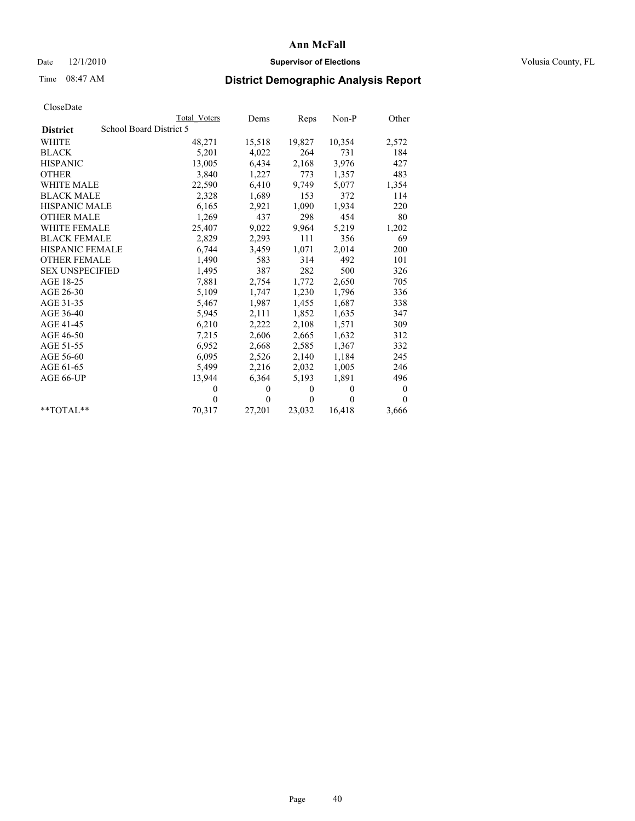## Date  $12/1/2010$  **Supervisor of Elections** Volusia County, FL

## Time 08:47 AM **District Demographic Analysis Report**

|                        |                         | Total Voters | Dems     | Reps         | $Non-P$  | Other            |
|------------------------|-------------------------|--------------|----------|--------------|----------|------------------|
| <b>District</b>        | School Board District 5 |              |          |              |          |                  |
| <b>WHITE</b>           |                         | 48,271       | 15,518   | 19,827       | 10,354   | 2,572            |
| <b>BLACK</b>           |                         | 5,201        | 4,022    | 264          | 731      | 184              |
| <b>HISPANIC</b>        |                         | 13,005       | 6,434    | 2,168        | 3,976    | 427              |
| <b>OTHER</b>           |                         | 3,840        | 1,227    | 773          | 1,357    | 483              |
| WHITE MALE             |                         | 22,590       | 6,410    | 9,749        | 5,077    | 1,354            |
| <b>BLACK MALE</b>      |                         | 2,328        | 1,689    | 153          | 372      | 114              |
| <b>HISPANIC MALE</b>   |                         | 6,165        | 2,921    | 1,090        | 1,934    | 220              |
| <b>OTHER MALE</b>      |                         | 1,269        | 437      | 298          | 454      | 80               |
| <b>WHITE FEMALE</b>    |                         | 25,407       | 9,022    | 9,964        | 5,219    | 1,202            |
| <b>BLACK FEMALE</b>    |                         | 2,829        | 2,293    | 111          | 356      | 69               |
| HISPANIC FEMALE        |                         | 6,744        | 3,459    | 1,071        | 2,014    | 200              |
| <b>OTHER FEMALE</b>    |                         | 1,490        | 583      | 314          | 492      | 101              |
| <b>SEX UNSPECIFIED</b> |                         | 1,495        | 387      | 282          | 500      | 326              |
| AGE 18-25              |                         | 7,881        | 2,754    | 1,772        | 2,650    | 705              |
| AGE 26-30              |                         | 5,109        | 1,747    | 1,230        | 1,796    | 336              |
| AGE 31-35              |                         | 5,467        | 1,987    | 1,455        | 1,687    | 338              |
| AGE 36-40              |                         | 5,945        | 2,111    | 1,852        | 1,635    | 347              |
| AGE 41-45              |                         | 6,210        | 2,222    | 2,108        | 1,571    | 309              |
| AGE 46-50              |                         | 7,215        | 2,606    | 2,665        | 1,632    | 312              |
| AGE 51-55              |                         | 6,952        | 2,668    | 2,585        | 1,367    | 332              |
| AGE 56-60              |                         | 6,095        | 2,526    | 2,140        | 1,184    | 245              |
| AGE 61-65              |                         | 5,499        | 2,216    | 2,032        | 1,005    | 246              |
| AGE 66-UP              |                         | 13,944       | 6,364    | 5,193        | 1,891    | 496              |
|                        |                         | $\mathbf{0}$ | $\theta$ | $\mathbf{0}$ | $\theta$ | $\boldsymbol{0}$ |
|                        |                         | $\Omega$     | $\theta$ | $\mathbf{0}$ | $\theta$ | $\theta$         |
| $*$ $TOTAI.**$         |                         | 70,317       | 27,201   | 23,032       | 16,418   | 3,666            |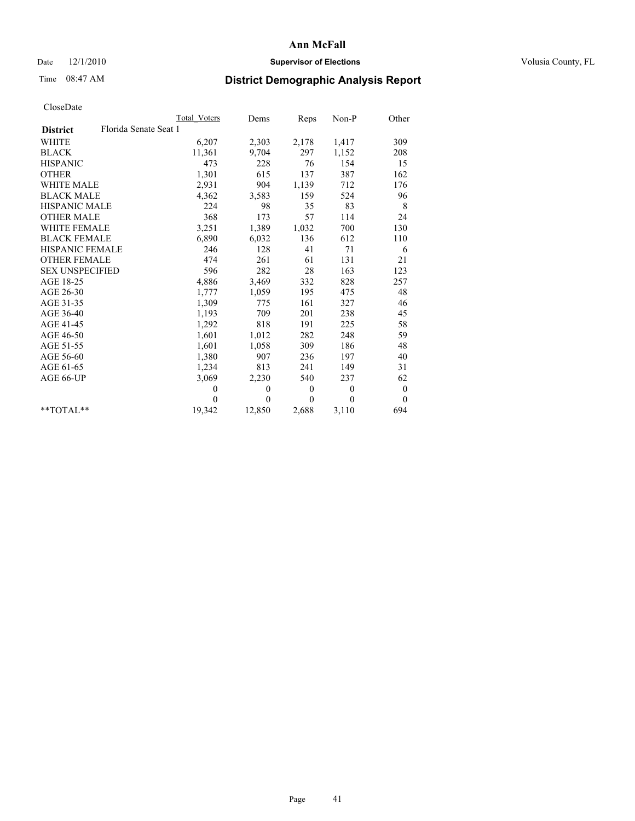## Date  $12/1/2010$  **Supervisor of Elections** Volusia County, FL

# Time 08:47 AM **District Demographic Analysis Report**

|                                          | <b>Total Voters</b> | Dems     | <b>Reps</b>  | Non-P        | Other        |
|------------------------------------------|---------------------|----------|--------------|--------------|--------------|
| Florida Senate Seat 1<br><b>District</b> |                     |          |              |              |              |
| WHITE                                    | 6,207               | 2,303    | 2,178        | 1,417        | 309          |
| <b>BLACK</b>                             | 11,361              | 9,704    | 297          | 1,152        | 208          |
| <b>HISPANIC</b>                          | 473                 | 228      | 76           | 154          | 15           |
| <b>OTHER</b>                             | 1,301               | 615      | 137          | 387          | 162          |
| <b>WHITE MALE</b>                        | 2,931               | 904      | 1,139        | 712          | 176          |
| <b>BLACK MALE</b>                        | 4,362               | 3,583    | 159          | 524          | 96           |
| HISPANIC MALE                            | 224                 | 98       | 35           | 83           | 8            |
| <b>OTHER MALE</b>                        | 368                 | 173      | 57           | 114          | 24           |
| WHITE FEMALE                             | 3,251               | 1,389    | 1,032        | 700          | 130          |
| <b>BLACK FEMALE</b>                      | 6,890               | 6,032    | 136          | 612          | 110          |
| HISPANIC FEMALE                          | 246                 | 128      | 41           | 71           | 6            |
| <b>OTHER FEMALE</b>                      | 474                 | 261      | 61           | 131          | 21           |
| <b>SEX UNSPECIFIED</b>                   | 596                 | 282      | 28           | 163          | 123          |
| AGE 18-25                                | 4,886               | 3,469    | 332          | 828          | 257          |
| AGE 26-30                                | 1.777               | 1,059    | 195          | 475          | 48           |
| AGE 31-35                                | 1,309               | 775      | 161          | 327          | 46           |
| AGE 36-40                                | 1,193               | 709      | 201          | 238          | 45           |
| AGE 41-45                                | 1,292               | 818      | 191          | 225          | 58           |
| AGE 46-50                                | 1,601               | 1,012    | 282          | 248          | 59           |
| AGE 51-55                                | 1,601               | 1,058    | 309          | 186          | 48           |
| AGE 56-60                                | 1,380               | 907      | 236          | 197          | 40           |
| AGE 61-65                                | 1,234               | 813      | 241          | 149          | 31           |
| AGE 66-UP                                | 3,069               | 2,230    | 540          | 237          | 62           |
|                                          | $\theta$            | $\theta$ | $\mathbf{0}$ | $\mathbf{0}$ | $\mathbf{0}$ |
|                                          | $\theta$            | $\theta$ | $\Omega$     | $\theta$     | $\theta$     |
| $*$ $TOTAI.**$                           | 19,342              | 12,850   | 2,688        | 3,110        | 694          |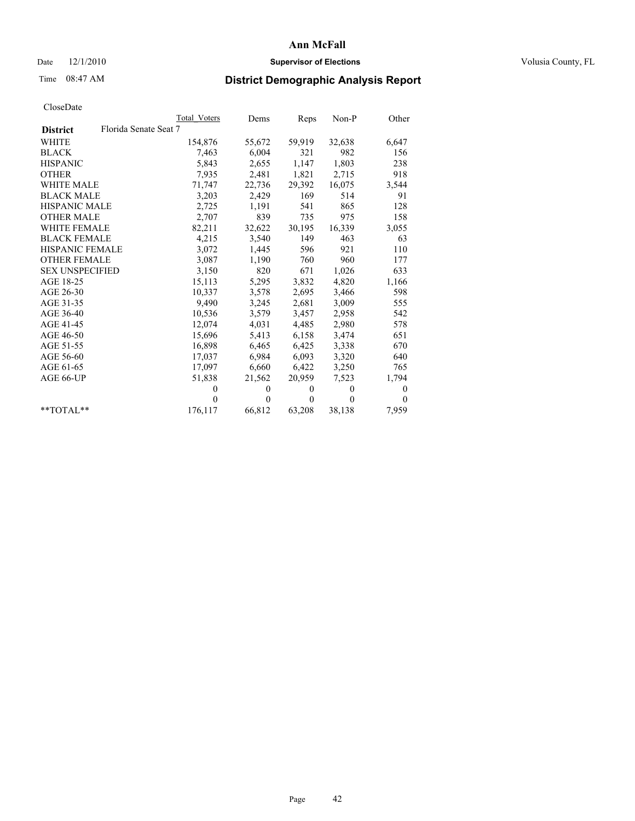## Date  $12/1/2010$  **Supervisor of Elections** Volusia County, FL

## Time 08:47 AM **District Demographic Analysis Report**

|                                          | Total Voters | Dems     | Reps         | $Non-P$  | Other        |
|------------------------------------------|--------------|----------|--------------|----------|--------------|
| Florida Senate Seat 7<br><b>District</b> |              |          |              |          |              |
| <b>WHITE</b>                             | 154,876      | 55,672   | 59,919       | 32,638   | 6,647        |
| <b>BLACK</b>                             | 7.463        | 6,004    | 321          | 982      | 156          |
| <b>HISPANIC</b>                          | 5,843        | 2,655    | 1,147        | 1,803    | 238          |
| <b>OTHER</b>                             | 7,935        | 2,481    | 1,821        | 2,715    | 918          |
| <b>WHITE MALE</b>                        | 71,747       | 22,736   | 29,392       | 16,075   | 3,544        |
| <b>BLACK MALE</b>                        | 3,203        | 2,429    | 169          | 514      | 91           |
| <b>HISPANIC MALE</b>                     | 2,725        | 1,191    | 541          | 865      | 128          |
| <b>OTHER MALE</b>                        | 2,707        | 839      | 735          | 975      | 158          |
| <b>WHITE FEMALE</b>                      | 82,211       | 32,622   | 30,195       | 16,339   | 3,055        |
| <b>BLACK FEMALE</b>                      | 4,215        | 3,540    | 149          | 463      | 63           |
| HISPANIC FEMALE                          | 3,072        | 1,445    | 596          | 921      | 110          |
| <b>OTHER FEMALE</b>                      | 3,087        | 1,190    | 760          | 960      | 177          |
| <b>SEX UNSPECIFIED</b>                   | 3,150        | 820      | 671          | 1,026    | 633          |
| AGE 18-25                                | 15,113       | 5,295    | 3,832        | 4,820    | 1,166        |
| AGE 26-30                                | 10,337       | 3,578    | 2,695        | 3,466    | 598          |
| AGE 31-35                                | 9,490        | 3,245    | 2,681        | 3,009    | 555          |
| AGE 36-40                                | 10,536       | 3,579    | 3,457        | 2,958    | 542          |
| AGE 41-45                                | 12,074       | 4,031    | 4,485        | 2,980    | 578          |
| AGE 46-50                                | 15,696       | 5,413    | 6,158        | 3,474    | 651          |
| AGE 51-55                                | 16,898       | 6,465    | 6,425        | 3,338    | 670          |
| AGE 56-60                                | 17,037       | 6,984    | 6,093        | 3,320    | 640          |
| AGE 61-65                                | 17,097       | 6,660    | 6,422        | 3,250    | 765          |
| AGE 66-UP                                | 51,838       | 21,562   | 20,959       | 7,523    | 1,794        |
|                                          | $\Omega$     | $\theta$ | $\mathbf{0}$ | $\theta$ | $\mathbf{0}$ |
|                                          | $\Omega$     | $\theta$ | $\theta$     | $\theta$ | $\theta$     |
| $*$ $TOTAI.**$                           | 176,117      | 66,812   | 63,208       | 38,138   | 7,959        |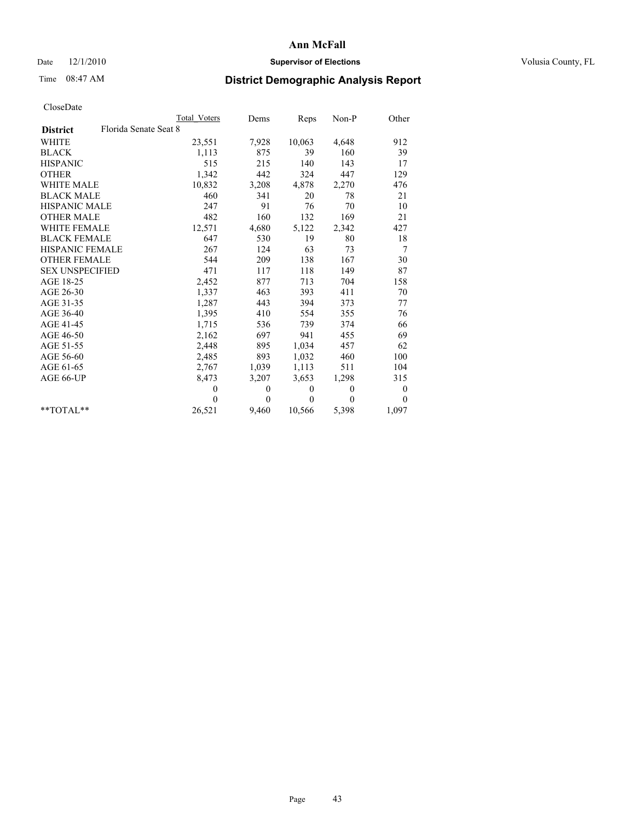## Date  $12/1/2010$  **Supervisor of Elections** Volusia County, FL

## Time 08:47 AM **District Demographic Analysis Report**

|                                          | <b>Total Voters</b> | Dems         | Reps         | Non-P        | Other            |
|------------------------------------------|---------------------|--------------|--------------|--------------|------------------|
| Florida Senate Seat 8<br><b>District</b> |                     |              |              |              |                  |
| <b>WHITE</b>                             | 23,551              | 7,928        | 10,063       | 4,648        | 912              |
| <b>BLACK</b>                             | 1,113               | 875          | 39           | 160          | 39               |
| <b>HISPANIC</b>                          | 515                 | 215          | 140          | 143          | 17               |
| <b>OTHER</b>                             | 1,342               | 442          | 324          | 447          | 129              |
| <b>WHITE MALE</b>                        | 10,832              | 3,208        | 4,878        | 2,270        | 476              |
| <b>BLACK MALE</b>                        | 460                 | 341          | 20           | 78           | 21               |
| <b>HISPANIC MALE</b>                     | 247                 | 91           | 76           | 70           | 10               |
| <b>OTHER MALE</b>                        | 482                 | 160          | 132          | 169          | 21               |
| <b>WHITE FEMALE</b>                      | 12,571              | 4,680        | 5,122        | 2,342        | 427              |
| <b>BLACK FEMALE</b>                      | 647                 | 530          | 19           | 80           | 18               |
| HISPANIC FEMALE                          | 267                 | 124          | 63           | 73           | 7                |
| <b>OTHER FEMALE</b>                      | 544                 | 209          | 138          | 167          | 30               |
| <b>SEX UNSPECIFIED</b>                   | 471                 | 117          | 118          | 149          | 87               |
| AGE 18-25                                | 2,452               | 877          | 713          | 704          | 158              |
| AGE 26-30                                | 1,337               | 463          | 393          | 411          | 70               |
| AGE 31-35                                | 1,287               | 443          | 394          | 373          | 77               |
| AGE 36-40                                | 1,395               | 410          | 554          | 355          | 76               |
| AGE 41-45                                | 1,715               | 536          | 739          | 374          | 66               |
| AGE 46-50                                | 2,162               | 697          | 941          | 455          | 69               |
| AGE 51-55                                | 2,448               | 895          | 1,034        | 457          | 62               |
| AGE 56-60                                | 2,485               | 893          | 1,032        | 460          | 100              |
| AGE 61-65                                | 2,767               | 1,039        | 1,113        | 511          | 104              |
| AGE 66-UP                                | 8,473               | 3,207        | 3,653        | 1,298        | 315              |
|                                          | $\mathbf{0}$        | $\mathbf{0}$ | $\mathbf{0}$ | $\mathbf{0}$ | $\boldsymbol{0}$ |
|                                          | $\theta$            | $\theta$     | $\theta$     | $\theta$     | $\theta$         |
| $*$ $TOTAI.**$                           | 26,521              | 9,460        | 10,566       | 5,398        | 1,097            |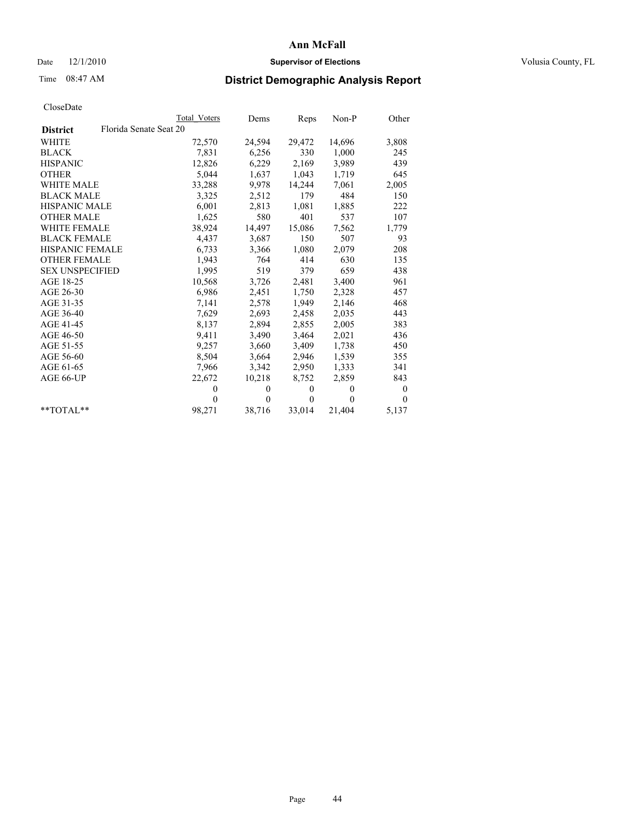## Date  $12/1/2010$  **Supervisor of Elections** Volusia County, FL

## Time 08:47 AM **District Demographic Analysis Report**

|                                           | Total Voters | Dems         | Reps         | $Non-P$  | Other        |
|-------------------------------------------|--------------|--------------|--------------|----------|--------------|
| Florida Senate Seat 20<br><b>District</b> |              |              |              |          |              |
| WHITE                                     | 72,570       | 24,594       | 29,472       | 14,696   | 3,808        |
| <b>BLACK</b>                              | 7,831        | 6,256        | 330          | 1,000    | 245          |
| <b>HISPANIC</b>                           | 12,826       | 6,229        | 2,169        | 3,989    | 439          |
| <b>OTHER</b>                              | 5,044        | 1,637        | 1,043        | 1,719    | 645          |
| <b>WHITE MALE</b>                         | 33,288       | 9,978        | 14,244       | 7,061    | 2,005        |
| <b>BLACK MALE</b>                         | 3,325        | 2,512        | 179          | 484      | 150          |
| <b>HISPANIC MALE</b>                      | 6,001        | 2,813        | 1,081        | 1,885    | 222          |
| <b>OTHER MALE</b>                         | 1,625        | 580          | 401          | 537      | 107          |
| <b>WHITE FEMALE</b>                       | 38,924       | 14,497       | 15,086       | 7,562    | 1,779        |
| <b>BLACK FEMALE</b>                       | 4,437        | 3,687        | 150          | 507      | 93           |
| <b>HISPANIC FEMALE</b>                    | 6,733        | 3,366        | 1,080        | 2,079    | 208          |
| <b>OTHER FEMALE</b>                       | 1,943        | 764          | 414          | 630      | 135          |
| <b>SEX UNSPECIFIED</b>                    | 1,995        | 519          | 379          | 659      | 438          |
| AGE 18-25                                 | 10,568       | 3,726        | 2,481        | 3,400    | 961          |
| AGE 26-30                                 | 6,986        | 2,451        | 1,750        | 2,328    | 457          |
| AGE 31-35                                 | 7,141        | 2,578        | 1,949        | 2,146    | 468          |
| AGE 36-40                                 | 7,629        | 2,693        | 2,458        | 2,035    | 443          |
| AGE 41-45                                 | 8,137        | 2,894        | 2,855        | 2,005    | 383          |
| AGE 46-50                                 | 9,411        | 3,490        | 3,464        | 2,021    | 436          |
| AGE 51-55                                 | 9,257        | 3,660        | 3,409        | 1,738    | 450          |
| AGE 56-60                                 | 8,504        | 3,664        | 2,946        | 1,539    | 355          |
| AGE 61-65                                 | 7,966        | 3,342        | 2,950        | 1,333    | 341          |
| AGE 66-UP                                 | 22,672       | 10,218       | 8,752        | 2,859    | 843          |
|                                           | $\mathbf{0}$ | $\mathbf{0}$ | $\mathbf{0}$ | $\theta$ | $\mathbf{0}$ |
|                                           | $\Omega$     | $\theta$     | $\theta$     | $\theta$ | $\theta$     |
| $*$ $TOTAI.**$                            | 98,271       | 38,716       | 33,014       | 21,404   | 5,137        |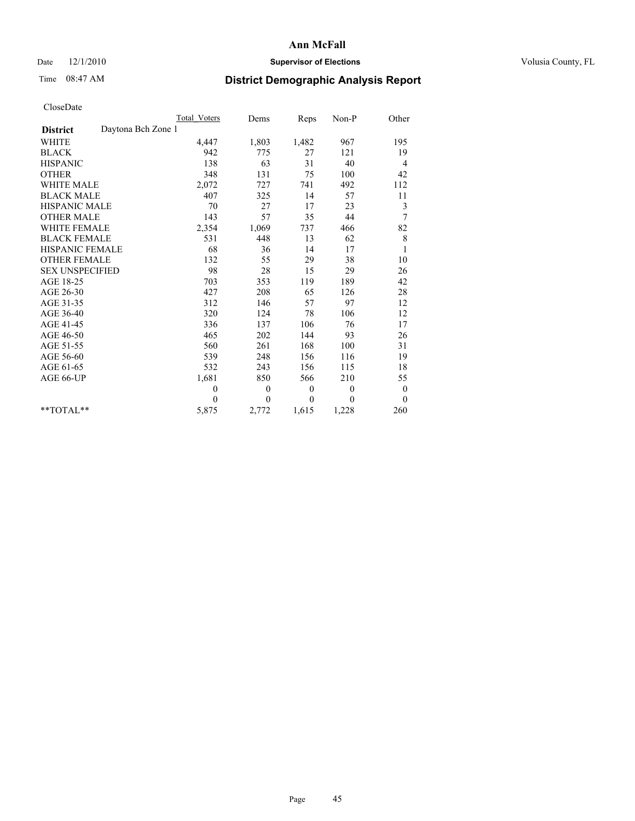## Date  $12/1/2010$  **Supervisor of Elections** Volusia County, FL

## Time 08:47 AM **District Demographic Analysis Report**

|                                       | Total Voters | Dems     | Reps     | Non-P        | Other        |
|---------------------------------------|--------------|----------|----------|--------------|--------------|
| Daytona Bch Zone 1<br><b>District</b> |              |          |          |              |              |
| <b>WHITE</b>                          | 4,447        | 1,803    | 1,482    | 967          | 195          |
| <b>BLACK</b>                          | 942          | 775      | 27       | 121          | 19           |
| <b>HISPANIC</b>                       | 138          | 63       | 31       | 40           | 4            |
| <b>OTHER</b>                          | 348          | 131      | 75       | 100          | 42           |
| <b>WHITE MALE</b>                     | 2,072        | 727      | 741      | 492          | 112          |
| <b>BLACK MALE</b>                     | 407          | 325      | 14       | 57           | 11           |
| <b>HISPANIC MALE</b>                  | 70           | 27       | 17       | 23           | 3            |
| <b>OTHER MALE</b>                     | 143          | 57       | 35       | 44           | 7            |
| <b>WHITE FEMALE</b>                   | 2,354        | 1,069    | 737      | 466          | 82           |
| <b>BLACK FEMALE</b>                   | 531          | 448      | 13       | 62           | 8            |
| HISPANIC FEMALE                       | 68           | 36       | 14       | 17           | $\mathbf{1}$ |
| <b>OTHER FEMALE</b>                   | 132          | 55       | 29       | 38           | 10           |
| <b>SEX UNSPECIFIED</b>                | 98           | 28       | 15       | 29           | 26           |
| AGE 18-25                             | 703          | 353      | 119      | 189          | 42           |
| AGE 26-30                             | 427          | 208      | 65       | 126          | 28           |
| AGE 31-35                             | 312          | 146      | 57       | 97           | 12           |
| AGE 36-40                             | 320          | 124      | 78       | 106          | 12           |
| AGE 41-45                             | 336          | 137      | 106      | 76           | 17           |
| AGE 46-50                             | 465          | 202      | 144      | 93           | 26           |
| AGE 51-55                             | 560          | 261      | 168      | 100          | 31           |
| AGE 56-60                             | 539          | 248      | 156      | 116          | 19           |
| AGE 61-65                             | 532          | 243      | 156      | 115          | 18           |
| AGE 66-UP                             | 1,681        | 850      | 566      | 210          | 55           |
|                                       | $\mathbf{0}$ | $\theta$ | $\theta$ | $\mathbf{0}$ | $\bf{0}$     |
|                                       | $\theta$     | $\theta$ | $\theta$ | $\theta$     | $\theta$     |
| $*$ $TOTAI.**$                        | 5,875        | 2,772    | 1,615    | 1,228        | 260          |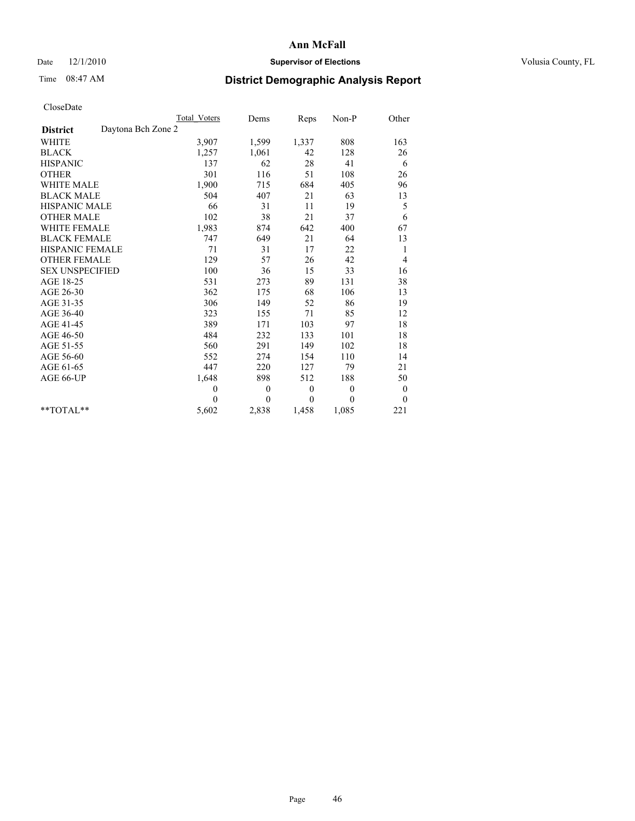## Date  $12/1/2010$  **Supervisor of Elections** Volusia County, FL

# Time 08:47 AM **District Demographic Analysis Report**

|                                       | Total Voters | Dems         | Reps         | $Non-P$  | Other            |
|---------------------------------------|--------------|--------------|--------------|----------|------------------|
| Daytona Bch Zone 2<br><b>District</b> |              |              |              |          |                  |
| <b>WHITE</b>                          | 3,907        | 1,599        | 1,337        | 808      | 163              |
| <b>BLACK</b>                          | 1,257        | 1,061        | 42           | 128      | 26               |
| <b>HISPANIC</b>                       | 137          | 62           | 28           | 41       | 6                |
| <b>OTHER</b>                          | 301          | 116          | 51           | 108      | 26               |
| <b>WHITE MALE</b>                     | 1,900        | 715          | 684          | 405      | 96               |
| <b>BLACK MALE</b>                     | 504          | 407          | 21           | 63       | 13               |
| <b>HISPANIC MALE</b>                  | 66           | 31           | 11           | 19       | 5                |
| <b>OTHER MALE</b>                     | 102          | 38           | 21           | 37       | 6                |
| WHITE FEMALE                          | 1,983        | 874          | 642          | 400      | 67               |
| <b>BLACK FEMALE</b>                   | 747          | 649          | 21           | 64       | 13               |
| HISPANIC FEMALE                       | 71           | 31           | 17           | 22       | 1                |
| <b>OTHER FEMALE</b>                   | 129          | 57           | 26           | 42       | 4                |
| <b>SEX UNSPECIFIED</b>                | 100          | 36           | 15           | 33       | 16               |
| AGE 18-25                             | 531          | 273          | 89           | 131      | 38               |
| AGE 26-30                             | 362          | 175          | 68           | 106      | 13               |
| AGE 31-35                             | 306          | 149          | 52           | 86       | 19               |
| AGE 36-40                             | 323          | 155          | 71           | 85       | 12               |
| AGE 41-45                             | 389          | 171          | 103          | 97       | 18               |
| AGE 46-50                             | 484          | 232          | 133          | 101      | 18               |
| AGE 51-55                             | 560          | 291          | 149          | 102      | 18               |
| AGE 56-60                             | 552          | 274          | 154          | 110      | 14               |
| AGE 61-65                             | 447          | 220          | 127          | 79       | 21               |
| AGE 66-UP                             | 1,648        | 898          | 512          | 188      | 50               |
|                                       | $\mathbf{0}$ | $\mathbf{0}$ | $\mathbf{0}$ | $\theta$ | $\boldsymbol{0}$ |
|                                       | $\Omega$     | $\theta$     | $\theta$     | $\theta$ | $\theta$         |
| $*$ $TOTAI.**$                        | 5,602        | 2,838        | 1,458        | 1,085    | 221              |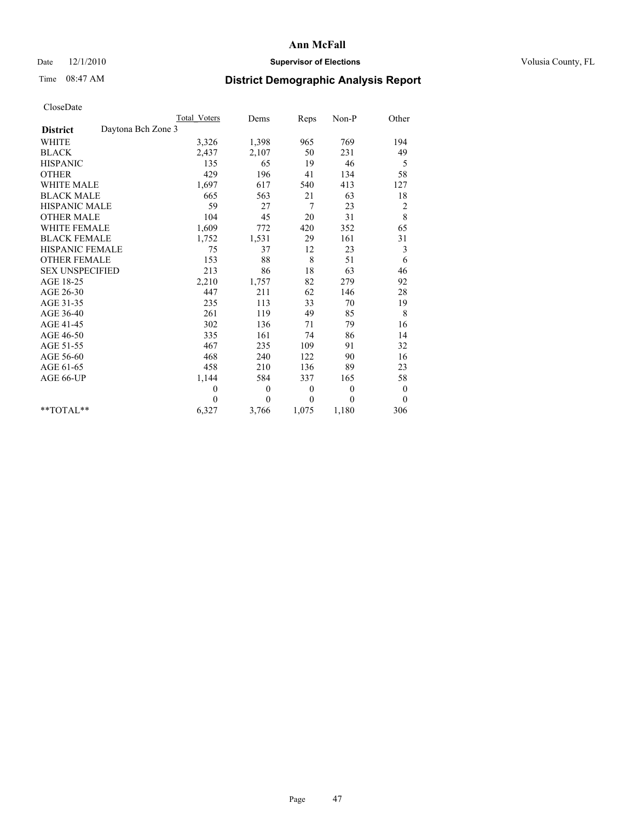## Date  $12/1/2010$  **Supervisor of Elections** Volusia County, FL

# Time 08:47 AM **District Demographic Analysis Report**

|                                       | <b>Total Voters</b> | Dems         | Reps     | Non-P        | Other            |
|---------------------------------------|---------------------|--------------|----------|--------------|------------------|
| Daytona Bch Zone 3<br><b>District</b> |                     |              |          |              |                  |
| WHITE                                 | 3,326               | 1,398        | 965      | 769          | 194              |
| <b>BLACK</b>                          | 2,437               | 2,107        | 50       | 231          | 49               |
| <b>HISPANIC</b>                       | 135                 | 65           | 19       | 46           | 5                |
| <b>OTHER</b>                          | 429                 | 196          | 41       | 134          | 58               |
| <b>WHITE MALE</b>                     | 1,697               | 617          | 540      | 413          | 127              |
| <b>BLACK MALE</b>                     | 665                 | 563          | 21       | 63           | 18               |
| <b>HISPANIC MALE</b>                  | 59                  | 27           | 7        | 23           | $\overline{c}$   |
| <b>OTHER MALE</b>                     | 104                 | 45           | 20       | 31           | 8                |
| WHITE FEMALE                          | 1,609               | 772          | 420      | 352          | 65               |
| <b>BLACK FEMALE</b>                   | 1,752               | 1,531        | 29       | 161          | 31               |
| HISPANIC FEMALE                       | 75                  | 37           | 12       | 23           | 3                |
| <b>OTHER FEMALE</b>                   | 153                 | 88           | 8        | 51           | 6                |
| <b>SEX UNSPECIFIED</b>                | 213                 | 86           | 18       | 63           | 46               |
| AGE 18-25                             | 2,210               | 1,757        | 82       | 279          | 92               |
| AGE 26-30                             | 447                 | 211          | 62       | 146          | 28               |
| AGE 31-35                             | 235                 | 113          | 33       | 70           | 19               |
| AGE 36-40                             | 261                 | 119          | 49       | 85           | 8                |
| AGE 41-45                             | 302                 | 136          | 71       | 79           | 16               |
| AGE 46-50                             | 335                 | 161          | 74       | 86           | 14               |
| AGE 51-55                             | 467                 | 235          | 109      | 91           | 32               |
| AGE 56-60                             | 468                 | 240          | 122      | 90           | 16               |
| AGE 61-65                             | 458                 | 210          | 136      | 89           | 23               |
| AGE 66-UP                             | 1,144               | 584          | 337      | 165          | 58               |
|                                       | $\mathbf{0}$        | $\mathbf{0}$ | $\theta$ | $\mathbf{0}$ | $\boldsymbol{0}$ |
|                                       | $\theta$            | $\theta$     | $\theta$ | $\theta$     | $\theta$         |
| $*$ TOTAL $*$                         | 6,327               | 3,766        | 1,075    | 1,180        | 306              |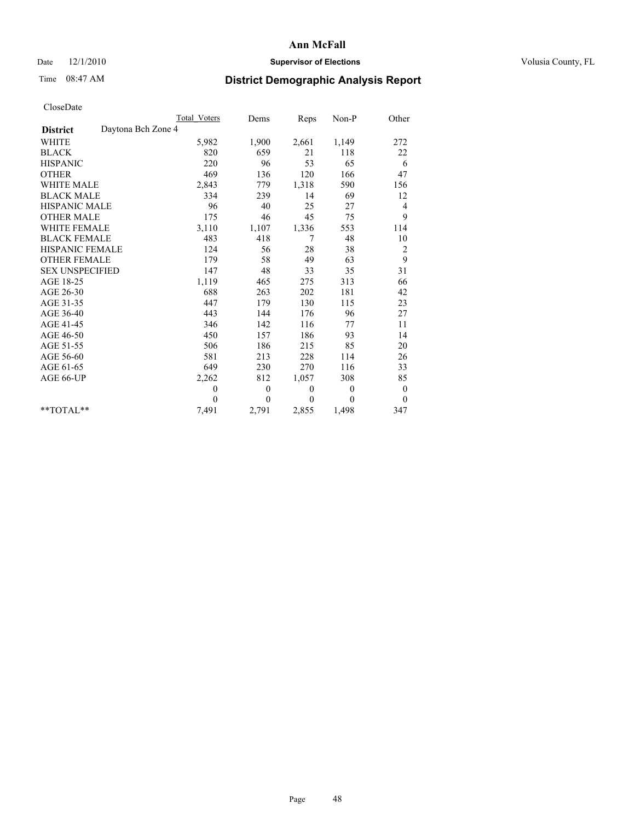## Date  $12/1/2010$  **Supervisor of Elections** Volusia County, FL

## Time 08:47 AM **District Demographic Analysis Report**

|                                       | Total Voters | Dems     | <b>Reps</b>  | Non-P        | Other        |
|---------------------------------------|--------------|----------|--------------|--------------|--------------|
| Daytona Bch Zone 4<br><b>District</b> |              |          |              |              |              |
| <b>WHITE</b>                          | 5,982        | 1,900    | 2,661        | 1,149        | 272          |
| <b>BLACK</b>                          | 820          | 659      | 21           | 118          | 22           |
| <b>HISPANIC</b>                       | 220          | 96       | 53           | 65           | 6            |
| <b>OTHER</b>                          | 469          | 136      | 120          | 166          | 47           |
| <b>WHITE MALE</b>                     | 2,843        | 779      | 1,318        | 590          | 156          |
| <b>BLACK MALE</b>                     | 334          | 239      | 14           | 69           | 12           |
| <b>HISPANIC MALE</b>                  | 96           | 40       | 25           | 27           | 4            |
| <b>OTHER MALE</b>                     | 175          | 46       | 45           | 75           | 9            |
| <b>WHITE FEMALE</b>                   | 3,110        | 1,107    | 1,336        | 553          | 114          |
| <b>BLACK FEMALE</b>                   | 483          | 418      | 7            | 48           | 10           |
| HISPANIC FEMALE                       | 124          | 56       | 28           | 38           | 2            |
| <b>OTHER FEMALE</b>                   | 179          | 58       | 49           | 63           | 9            |
| <b>SEX UNSPECIFIED</b>                | 147          | 48       | 33           | 35           | 31           |
| AGE 18-25                             | 1,119        | 465      | 275          | 313          | 66           |
| AGE 26-30                             | 688          | 263      | 202          | 181          | 42           |
| AGE 31-35                             | 447          | 179      | 130          | 115          | 23           |
| AGE 36-40                             | 443          | 144      | 176          | 96           | 27           |
| AGE 41-45                             | 346          | 142      | 116          | 77           | 11           |
| AGE 46-50                             | 450          | 157      | 186          | 93           | 14           |
| AGE 51-55                             | 506          | 186      | 215          | 85           | 20           |
| AGE 56-60                             | 581          | 213      | 228          | 114          | 26           |
| AGE 61-65                             | 649          | 230      | 270          | 116          | 33           |
| AGE 66-UP                             | 2,262        | 812      | 1,057        | 308          | 85           |
|                                       | $\mathbf{0}$ | $\theta$ | $\mathbf{0}$ | $\mathbf{0}$ | $\mathbf{0}$ |
|                                       | $\theta$     | $\theta$ | $\Omega$     | $\theta$     | $\mathbf{0}$ |
| $*$ $TOTAI.**$                        | 7,491        | 2,791    | 2,855        | 1,498        | 347          |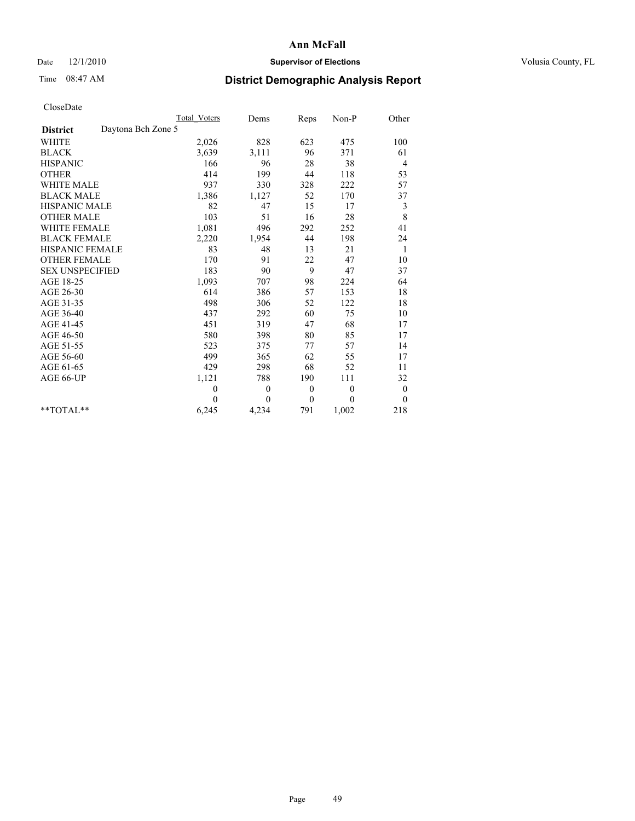## Date  $12/1/2010$  **Supervisor of Elections** Volusia County, FL

# Time 08:47 AM **District Demographic Analysis Report**

|                                       | Total Voters | Dems     | Reps         | $Non-P$      | Other            |
|---------------------------------------|--------------|----------|--------------|--------------|------------------|
| Daytona Bch Zone 5<br><b>District</b> |              |          |              |              |                  |
| <b>WHITE</b>                          | 2,026        | 828      | 623          | 475          | 100              |
| <b>BLACK</b>                          | 3,639        | 3,111    | 96           | 371          | 61               |
| <b>HISPANIC</b>                       | 166          | 96       | 28           | 38           | 4                |
| <b>OTHER</b>                          | 414          | 199      | 44           | 118          | 53               |
| <b>WHITE MALE</b>                     | 937          | 330      | 328          | 222          | 57               |
| <b>BLACK MALE</b>                     | 1,386        | 1,127    | 52           | 170          | 37               |
| <b>HISPANIC MALE</b>                  | 82           | 47       | 15           | 17           | 3                |
| <b>OTHER MALE</b>                     | 103          | 51       | 16           | 28           | 8                |
| WHITE FEMALE                          | 1,081        | 496      | 292          | 252          | 41               |
| <b>BLACK FEMALE</b>                   | 2,220        | 1,954    | 44           | 198          | 24               |
| HISPANIC FEMALE                       | 83           | 48       | 13           | 21           | 1                |
| <b>OTHER FEMALE</b>                   | 170          | 91       | 22           | 47           | 10               |
| <b>SEX UNSPECIFIED</b>                | 183          | 90       | 9            | 47           | 37               |
| AGE 18-25                             | 1,093        | 707      | 98           | 224          | 64               |
| AGE 26-30                             | 614          | 386      | 57           | 153          | $18\,$           |
| AGE 31-35                             | 498          | 306      | 52           | 122          | 18               |
| AGE 36-40                             | 437          | 292      | 60           | 75           | 10               |
| AGE 41-45                             | 451          | 319      | 47           | 68           | 17               |
| AGE 46-50                             | 580          | 398      | 80           | 85           | 17               |
| AGE 51-55                             | 523          | 375      | 77           | 57           | 14               |
| AGE 56-60                             | 499          | 365      | 62           | 55           | 17               |
| AGE 61-65                             | 429          | 298      | 68           | 52           | 11               |
| AGE 66-UP                             | 1,121        | 788      | 190          | 111          | 32               |
|                                       | $\mathbf{0}$ | $\theta$ | $\mathbf{0}$ | $\mathbf{0}$ | $\boldsymbol{0}$ |
|                                       | $\theta$     | $\theta$ | $\mathbf{0}$ | $\theta$     | $\theta$         |
| $*$ $TOTAI.**$                        | 6,245        | 4,234    | 791          | 1,002        | 218              |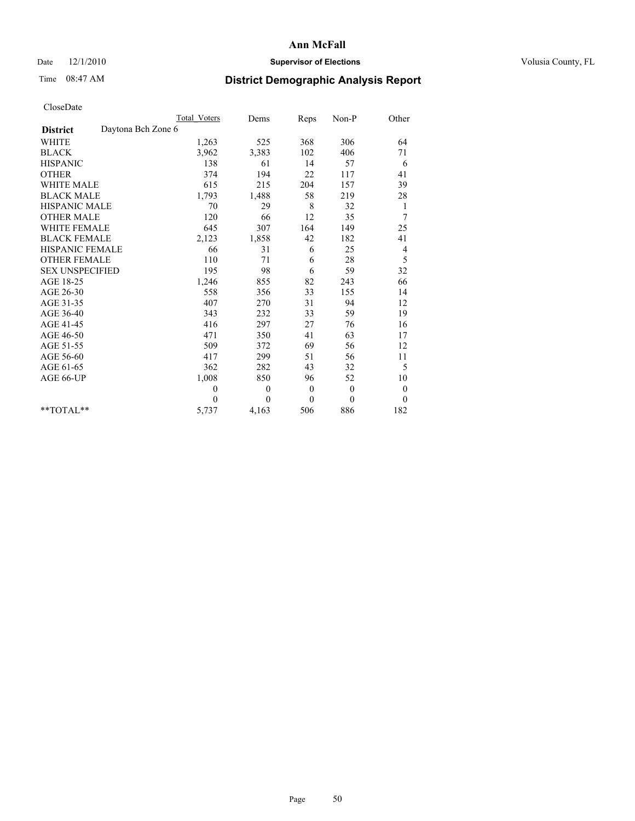## Date  $12/1/2010$  **Supervisor of Elections** Volusia County, FL

# Time 08:47 AM **District Demographic Analysis Report**

|                                       | Total Voters   | Dems     | Reps         | $Non-P$      | Other            |
|---------------------------------------|----------------|----------|--------------|--------------|------------------|
| Daytona Bch Zone 6<br><b>District</b> |                |          |              |              |                  |
| <b>WHITE</b>                          | 1,263          | 525      | 368          | 306          | 64               |
| <b>BLACK</b>                          | 3,962          | 3,383    | 102          | 406          | 71               |
| <b>HISPANIC</b>                       | 138            | 61       | 14           | 57           | 6                |
| <b>OTHER</b>                          | 374            | 194      | 22           | 117          | 41               |
| <b>WHITE MALE</b>                     | 615            | 215      | 204          | 157          | 39               |
| <b>BLACK MALE</b>                     | 1,793          | 1,488    | 58           | 219          | 28               |
| <b>HISPANIC MALE</b>                  | 70             | 29       | 8            | 32           | 1                |
| <b>OTHER MALE</b>                     | 120            | 66       | 12           | 35           | 7                |
| <b>WHITE FEMALE</b>                   | 645            | 307      | 164          | 149          | 25               |
| <b>BLACK FEMALE</b>                   | 2,123          | 1,858    | 42           | 182          | 41               |
| HISPANIC FEMALE                       | 66             | 31       | 6            | 25           | 4                |
| <b>OTHER FEMALE</b>                   | 110            | 71       | 6            | 28           | 5                |
| <b>SEX UNSPECIFIED</b>                | 195            | 98       | 6            | 59           | 32               |
| AGE 18-25                             | 1,246          | 855      | 82           | 243          | 66               |
| AGE 26-30                             | 558            | 356      | 33           | 155          | 14               |
| AGE 31-35                             | 407            | 270      | 31           | 94           | 12               |
| AGE 36-40                             | 343            | 232      | 33           | 59           | 19               |
| AGE 41-45                             | 416            | 297      | 27           | 76           | 16               |
| AGE 46-50                             | 471            | 350      | 41           | 63           | 17               |
| AGE 51-55                             | 509            | 372      | 69           | 56           | 12               |
| AGE 56-60                             | 417            | 299      | 51           | 56           | 11               |
| AGE 61-65                             | 362            | 282      | 43           | 32           | 5                |
| AGE 66-UP                             | 1,008          | 850      | 96           | 52           | 10               |
|                                       | $\overline{0}$ | $\theta$ | $\mathbf{0}$ | $\mathbf{0}$ | $\boldsymbol{0}$ |
|                                       | $\theta$       | $\theta$ | $\theta$     | $\theta$     | $\mathbf{0}$     |
| $**TOTAI.**$                          | 5,737          | 4,163    | 506          | 886          | 182              |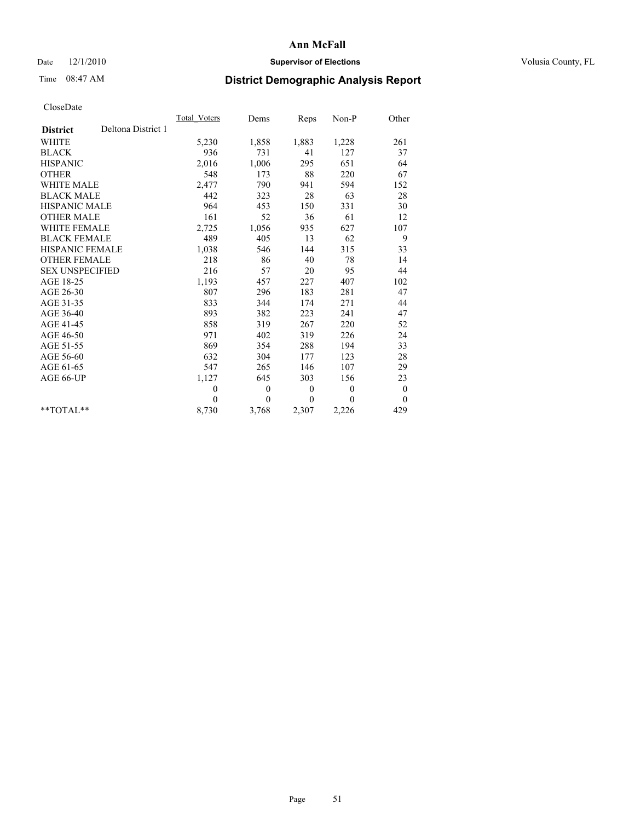## Date  $12/1/2010$  **Supervisor of Elections** Volusia County, FL

# Time 08:47 AM **District Demographic Analysis Report**

|                                       | Total Voters | Dems         | Reps         | Non-P        | Other            |  |
|---------------------------------------|--------------|--------------|--------------|--------------|------------------|--|
| Deltona District 1<br><b>District</b> |              |              |              |              |                  |  |
| <b>WHITE</b>                          | 5,230        | 1,858        | 1,883        | 1,228        | 261              |  |
| <b>BLACK</b>                          | 936          | 731          | 41           | 127          | 37               |  |
| <b>HISPANIC</b>                       | 2,016        | 1,006        | 295          | 651          | 64               |  |
| <b>OTHER</b>                          | 548          | 173          | 88           | 220          | 67               |  |
| <b>WHITE MALE</b>                     | 2,477        | 790          | 941          | 594          | 152              |  |
| <b>BLACK MALE</b>                     | 442          | 323          | 28           | 63           | 28               |  |
| <b>HISPANIC MALE</b>                  | 964          | 453          | 150          | 331          | 30               |  |
| <b>OTHER MALE</b>                     | 161          | 52           | 36           | 61           | 12               |  |
| WHITE FEMALE                          | 2,725        | 1,056        | 935          | 627          | 107              |  |
| <b>BLACK FEMALE</b>                   | 489          | 405          | 13           | 62           | 9                |  |
| HISPANIC FEMALE                       | 1,038        | 546          | 144          | 315          | 33               |  |
| <b>OTHER FEMALE</b>                   | 218          | 86           | 40           | 78           | 14               |  |
| <b>SEX UNSPECIFIED</b>                | 216          | 57           | 20           | 95           | 44               |  |
| AGE 18-25                             | 1,193        | 457          | 227          | 407          | 102              |  |
| AGE 26-30                             | 807          | 296          | 183          | 281          | 47               |  |
| AGE 31-35                             | 833          | 344          | 174          | 271          | 44               |  |
| AGE 36-40                             | 893          | 382          | 223          | 241          | 47               |  |
| AGE 41-45                             | 858          | 319          | 267          | 220          | 52               |  |
| AGE 46-50                             | 971          | 402          | 319          | 226          | 24               |  |
| AGE 51-55                             | 869          | 354          | 288          | 194          | 33               |  |
| AGE 56-60                             | 632          | 304          | 177          | 123          | 28               |  |
| AGE 61-65                             | 547          | 265          | 146          | 107          | 29               |  |
| AGE 66-UP                             | 1,127        | 645          | 303          | 156          | 23               |  |
|                                       | $\theta$     | $\mathbf{0}$ | $\mathbf{0}$ | $\mathbf{0}$ | $\boldsymbol{0}$ |  |
|                                       | $\Omega$     | $\theta$     | $\theta$     | $\theta$     | $\theta$         |  |
| $*$ $TOTAI$ **                        | 8,730        | 3,768        | 2,307        | 2,226        | 429              |  |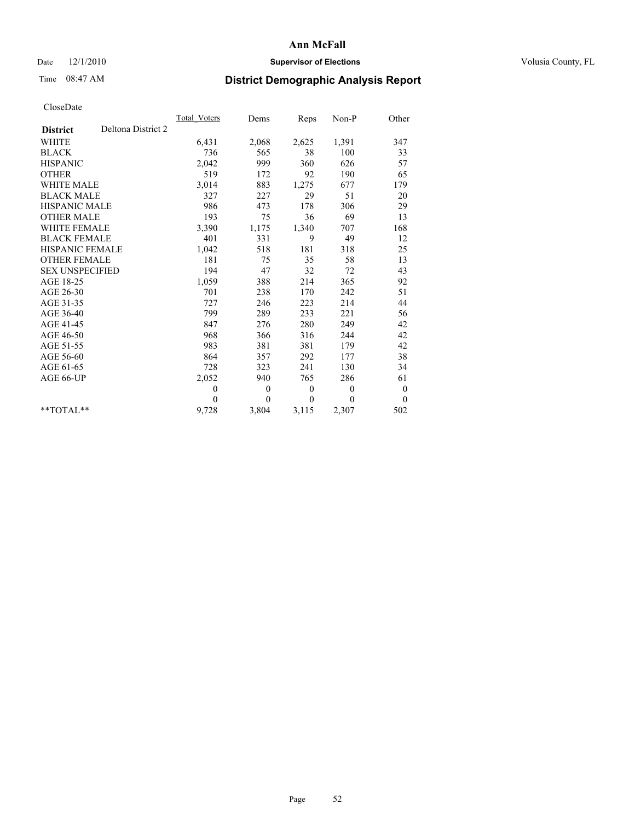## Date  $12/1/2010$  **Supervisor of Elections** Volusia County, FL

## Time 08:47 AM **District Demographic Analysis Report**

|                                       | <b>Total Voters</b> | Dems     | Reps     | Non-P        | Other            |  |
|---------------------------------------|---------------------|----------|----------|--------------|------------------|--|
| Deltona District 2<br><b>District</b> |                     |          |          |              |                  |  |
| <b>WHITE</b>                          | 6,431               | 2,068    | 2,625    | 1,391        | 347              |  |
| <b>BLACK</b>                          | 736                 | 565      | 38       | 100          | 33               |  |
| <b>HISPANIC</b>                       | 2,042               | 999      | 360      | 626          | 57               |  |
| <b>OTHER</b>                          | 519                 | 172      | 92       | 190          | 65               |  |
| <b>WHITE MALE</b>                     | 3,014               | 883      | 1,275    | 677          | 179              |  |
| <b>BLACK MALE</b>                     | 327                 | 227      | 29       | 51           | 20               |  |
| <b>HISPANIC MALE</b>                  | 986                 | 473      | 178      | 306          | 29               |  |
| <b>OTHER MALE</b>                     | 193                 | 75       | 36       | 69           | 13               |  |
| <b>WHITE FEMALE</b>                   | 3,390               | 1,175    | 1,340    | 707          | 168              |  |
| <b>BLACK FEMALE</b>                   | 401                 | 331      | 9        | 49           | 12               |  |
| HISPANIC FEMALE                       | 1,042               | 518      | 181      | 318          | 25               |  |
| <b>OTHER FEMALE</b>                   | 181                 | 75       | 35       | 58           | 13               |  |
| <b>SEX UNSPECIFIED</b>                | 194                 | 47       | 32       | 72           | 43               |  |
| AGE 18-25                             | 1,059               | 388      | 214      | 365          | 92               |  |
| AGE 26-30                             | 701                 | 238      | 170      | 242          | 51               |  |
| AGE 31-35                             | 727                 | 246      | 223      | 214          | 44               |  |
| AGE 36-40                             | 799                 | 289      | 233      | 221          | 56               |  |
| AGE 41-45                             | 847                 | 276      | 280      | 249          | 42               |  |
| AGE 46-50                             | 968                 | 366      | 316      | 244          | 42               |  |
| AGE 51-55                             | 983                 | 381      | 381      | 179          | 42               |  |
| AGE 56-60                             | 864                 | 357      | 292      | 177          | 38               |  |
| AGE 61-65                             | 728                 | 323      | 241      | 130          | 34               |  |
| AGE 66-UP                             | 2,052               | 940      | 765      | 286          | 61               |  |
|                                       | $\mathbf{0}$        | $\theta$ | $\theta$ | $\mathbf{0}$ | $\boldsymbol{0}$ |  |
|                                       | $\theta$            | $\theta$ | $\Omega$ | $\theta$     | $\mathbf{0}$     |  |
| $*$ $TOTAI.**$                        | 9,728               | 3,804    | 3,115    | 2,307        | 502              |  |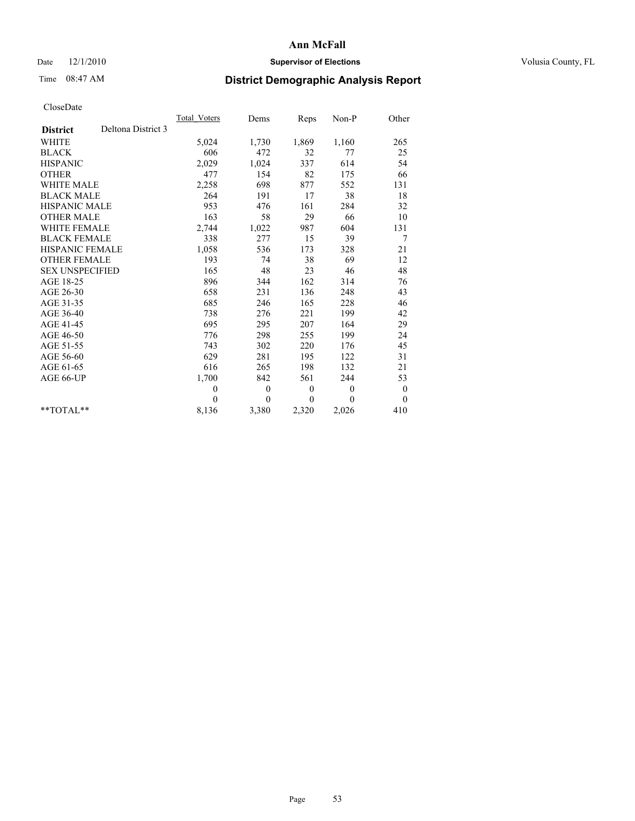## Date  $12/1/2010$  **Supervisor of Elections** Volusia County, FL

# Time 08:47 AM **District Demographic Analysis Report**

|                                       | Total Voters | Dems         | Reps         | Non-P        | Other            |  |
|---------------------------------------|--------------|--------------|--------------|--------------|------------------|--|
| Deltona District 3<br><b>District</b> |              |              |              |              |                  |  |
| <b>WHITE</b>                          | 5,024        | 1,730        | 1,869        | 1,160        | 265              |  |
| <b>BLACK</b>                          | 606          | 472          | 32           | 77           | 25               |  |
| <b>HISPANIC</b>                       | 2,029        | 1,024        | 337          | 614          | 54               |  |
| <b>OTHER</b>                          | 477          | 154          | 82           | 175          | 66               |  |
| <b>WHITE MALE</b>                     | 2,258        | 698          | 877          | 552          | 131              |  |
| <b>BLACK MALE</b>                     | 264          | 191          | 17           | 38           | 18               |  |
| HISPANIC MALE                         | 953          | 476          | 161          | 284          | 32               |  |
| <b>OTHER MALE</b>                     | 163          | 58           | 29           | 66           | 10               |  |
| WHITE FEMALE                          | 2,744        | 1,022        | 987          | 604          | 131              |  |
| <b>BLACK FEMALE</b>                   | 338          | 277          | 15           | 39           | 7                |  |
| HISPANIC FEMALE                       | 1,058        | 536          | 173          | 328          | 21               |  |
| <b>OTHER FEMALE</b>                   | 193          | 74           | 38           | 69           | 12               |  |
| <b>SEX UNSPECIFIED</b>                | 165          | 48           | 23           | 46           | 48               |  |
| AGE 18-25                             | 896          | 344          | 162          | 314          | 76               |  |
| AGE 26-30                             | 658          | 231          | 136          | 248          | 43               |  |
| AGE 31-35                             | 685          | 246          | 165          | 228          | 46               |  |
| AGE 36-40                             | 738          | 276          | 221          | 199          | 42               |  |
| AGE 41-45                             | 695          | 295          | 207          | 164          | 29               |  |
| AGE 46-50                             | 776          | 298          | 255          | 199          | 24               |  |
| AGE 51-55                             | 743          | 302          | 220          | 176          | 45               |  |
| AGE 56-60                             | 629          | 281          | 195          | 122          | 31               |  |
| AGE 61-65                             | 616          | 265          | 198          | 132          | 21               |  |
| AGE 66-UP                             | 1,700        | 842          | 561          | 244          | 53               |  |
|                                       | $\theta$     | $\mathbf{0}$ | $\mathbf{0}$ | $\mathbf{0}$ | $\boldsymbol{0}$ |  |
|                                       | $\Omega$     | $\theta$     | $\mathbf{0}$ | $\theta$     | $\overline{0}$   |  |
| $*$ $TOTAI$ **                        | 8,136        | 3,380        | 2,320        | 2,026        | 410              |  |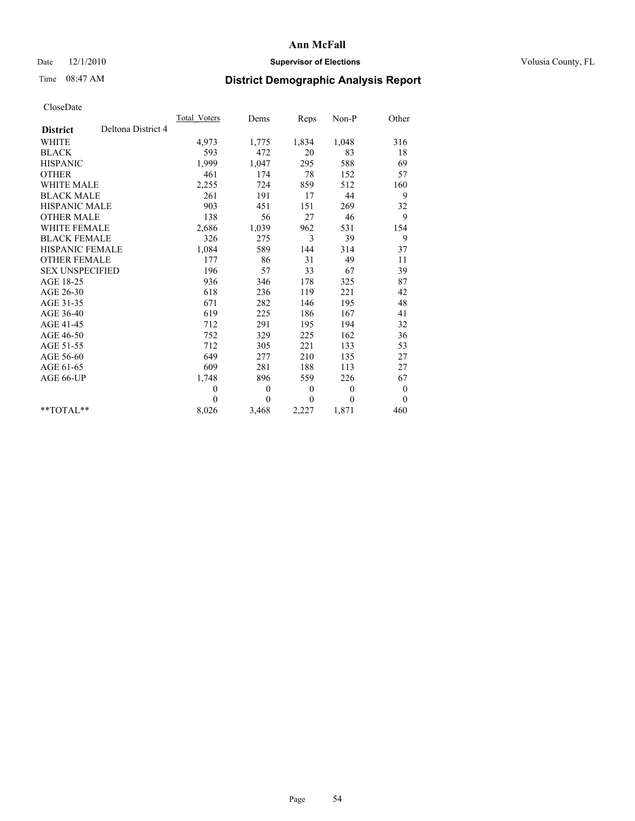## Date  $12/1/2010$  **Supervisor of Elections** Volusia County, FL

## Time 08:47 AM **District Demographic Analysis Report**

|                                       | <b>Total Voters</b> | Dems         | Reps         | Non-P        | Other            |  |
|---------------------------------------|---------------------|--------------|--------------|--------------|------------------|--|
| Deltona District 4<br><b>District</b> |                     |              |              |              |                  |  |
| <b>WHITE</b>                          | 4,973               | 1,775        | 1,834        | 1,048        | 316              |  |
| <b>BLACK</b>                          | 593                 | 472          | 20           | 83           | 18               |  |
| <b>HISPANIC</b>                       | 1,999               | 1,047        | 295          | 588          | 69               |  |
| <b>OTHER</b>                          | 461                 | 174          | 78           | 152          | 57               |  |
| <b>WHITE MALE</b>                     | 2,255               | 724          | 859          | 512          | 160              |  |
| <b>BLACK MALE</b>                     | 261                 | 191          | 17           | 44           | 9                |  |
| <b>HISPANIC MALE</b>                  | 903                 | 451          | 151          | 269          | 32               |  |
| <b>OTHER MALE</b>                     | 138                 | 56           | 27           | 46           | 9                |  |
| <b>WHITE FEMALE</b>                   | 2,686               | 1,039        | 962          | 531          | 154              |  |
| <b>BLACK FEMALE</b>                   | 326                 | 275          | 3            | 39           | 9                |  |
| HISPANIC FEMALE                       | 1,084               | 589          | 144          | 314          | 37               |  |
| <b>OTHER FEMALE</b>                   | 177                 | 86           | 31           | 49           | 11               |  |
| <b>SEX UNSPECIFIED</b>                | 196                 | 57           | 33           | 67           | 39               |  |
| AGE 18-25                             | 936                 | 346          | 178          | 325          | 87               |  |
| AGE 26-30                             | 618                 | 236          | 119          | 221          | 42               |  |
| AGE 31-35                             | 671                 | 282          | 146          | 195          | 48               |  |
| AGE 36-40                             | 619                 | 225          | 186          | 167          | 41               |  |
| AGE 41-45                             | 712                 | 291          | 195          | 194          | 32               |  |
| AGE 46-50                             | 752                 | 329          | 225          | 162          | 36               |  |
| AGE 51-55                             | 712                 | 305          | 221          | 133          | 53               |  |
| AGE 56-60                             | 649                 | 277          | 210          | 135          | 27               |  |
| AGE 61-65                             | 609                 | 281          | 188          | 113          | 27               |  |
| AGE 66-UP                             | 1,748               | 896          | 559          | 226          | 67               |  |
|                                       | $\mathbf{0}$        | $\mathbf{0}$ | $\mathbf{0}$ | $\mathbf{0}$ | $\boldsymbol{0}$ |  |
|                                       | $\theta$            | $\theta$     | $\theta$     | $\theta$     | $\theta$         |  |
| $*$ TOTAL $*$                         | 8,026               | 3,468        | 2,227        | 1,871        | 460              |  |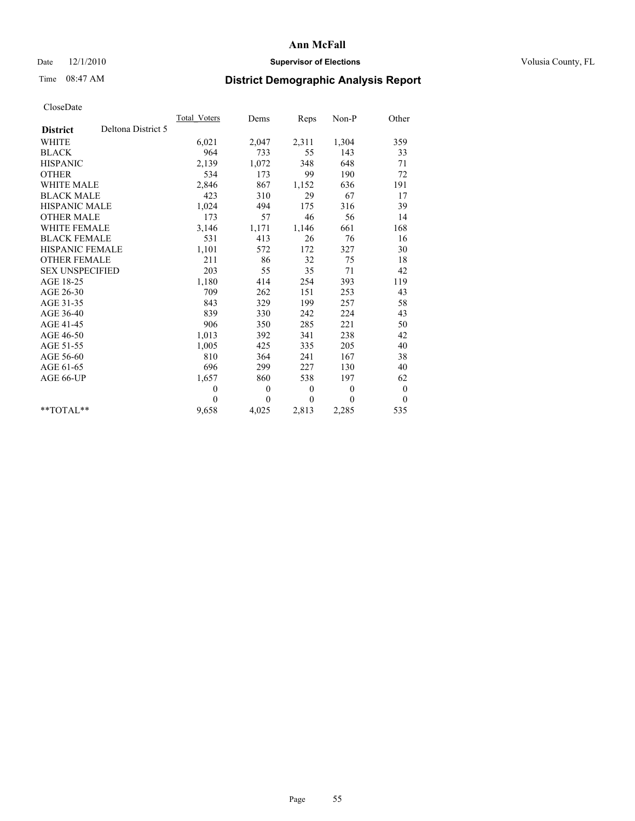## Date  $12/1/2010$  **Supervisor of Elections** Volusia County, FL

## Time 08:47 AM **District Demographic Analysis Report**

|                                       | Total Voters | Dems           | Reps             | $Non-P$      | Other            |
|---------------------------------------|--------------|----------------|------------------|--------------|------------------|
| Deltona District 5<br><b>District</b> |              |                |                  |              |                  |
| <b>WHITE</b>                          | 6,021        | 2,047          | 2,311            | 1,304        | 359              |
| <b>BLACK</b>                          | 964          | 733            | 55               | 143          | 33               |
| <b>HISPANIC</b>                       | 2,139        | 1,072          | 348              | 648          | 71               |
| <b>OTHER</b>                          | 534          | 173            | 99               | 190          | 72               |
| <b>WHITE MALE</b>                     | 2,846        | 867            | 1,152            | 636          | 191              |
| <b>BLACK MALE</b>                     | 423          | 310            | 29               | 67           | 17               |
| <b>HISPANIC MALE</b>                  | 1,024        | 494            | 175              | 316          | 39               |
| <b>OTHER MALE</b>                     | 173          | 57             | 46               | 56           | 14               |
| <b>WHITE FEMALE</b>                   | 3,146        | 1,171          | 1,146            | 661          | 168              |
| <b>BLACK FEMALE</b>                   | 531          | 413            | 26               | 76           | 16               |
| HISPANIC FEMALE                       | 1,101        | 572            | 172              | 327          | 30               |
| <b>OTHER FEMALE</b>                   | 211          | 86             | 32               | 75           | 18               |
| <b>SEX UNSPECIFIED</b>                | 203          | 55             | 35               | 71           | 42               |
| AGE 18-25                             | 1,180        | 414            | 254              | 393          | 119              |
| AGE 26-30                             | 709          | 262            | 151              | 253          | 43               |
| AGE 31-35                             | 843          | 329            | 199              | 257          | 58               |
| AGE 36-40                             | 839          | 330            | 242              | 224          | 43               |
| AGE 41-45                             | 906          | 350            | 285              | 221          | 50               |
| AGE 46-50                             | 1,013        | 392            | 341              | 238          | 42               |
| AGE 51-55                             | 1,005        | 425            | 335              | 205          | 40               |
| AGE 56-60                             | 810          | 364            | 241              | 167          | 38               |
| AGE 61-65                             | 696          | 299            | 227              | 130          | 40               |
| AGE 66-UP                             | 1,657        | 860            | 538              | 197          | 62               |
|                                       | $\theta$     | $\mathbf{0}$   | $\boldsymbol{0}$ | $\mathbf{0}$ | $\boldsymbol{0}$ |
|                                       | $\Omega$     | $\overline{0}$ | $\theta$         | $\theta$     | $\theta$         |
| $*$ $TOTAI.**$                        | 9,658        | 4,025          | 2,813            | 2,285        | 535              |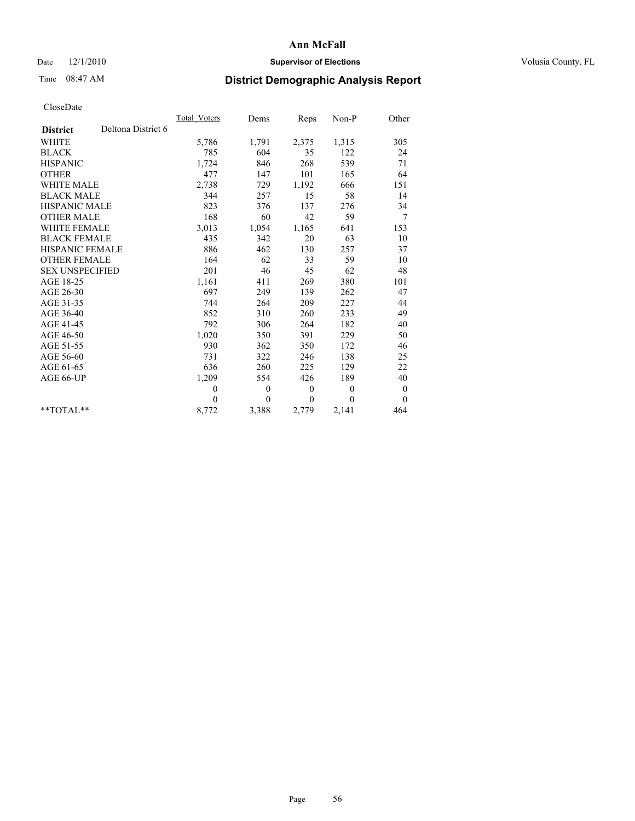## Date  $12/1/2010$  **Supervisor of Elections** Volusia County, FL

# Time 08:47 AM **District Demographic Analysis Report**

|                                       | Total Voters | Dems         | Reps             | $Non-P$      | Other            |
|---------------------------------------|--------------|--------------|------------------|--------------|------------------|
| Deltona District 6<br><b>District</b> |              |              |                  |              |                  |
| <b>WHITE</b>                          | 5,786        | 1,791        | 2,375            | 1,315        | 305              |
| <b>BLACK</b>                          | 785          | 604          | 35               | 122          | 24               |
| <b>HISPANIC</b>                       | 1,724        | 846          | 268              | 539          | 71               |
| <b>OTHER</b>                          | 477          | 147          | 101              | 165          | 64               |
| <b>WHITE MALE</b>                     | 2,738        | 729          | 1,192            | 666          | 151              |
| <b>BLACK MALE</b>                     | 344          | 257          | 15               | 58           | 14               |
| <b>HISPANIC MALE</b>                  | 823          | 376          | 137              | 276          | 34               |
| <b>OTHER MALE</b>                     | 168          | 60           | 42               | 59           | 7                |
| <b>WHITE FEMALE</b>                   | 3,013        | 1,054        | 1,165            | 641          | 153              |
| <b>BLACK FEMALE</b>                   | 435          | 342          | 20               | 63           | 10               |
| HISPANIC FEMALE                       | 886          | 462          | 130              | 257          | 37               |
| <b>OTHER FEMALE</b>                   | 164          | 62           | 33               | 59           | 10               |
| <b>SEX UNSPECIFIED</b>                | 201          | 46           | 45               | 62           | 48               |
| AGE 18-25                             | 1,161        | 411          | 269              | 380          | 101              |
| AGE 26-30                             | 697          | 249          | 139              | 262          | 47               |
| AGE 31-35                             | 744          | 264          | 209              | 227          | 44               |
| AGE 36-40                             | 852          | 310          | 260              | 233          | 49               |
| AGE 41-45                             | 792          | 306          | 264              | 182          | 40               |
| AGE 46-50                             | 1,020        | 350          | 391              | 229          | 50               |
| AGE 51-55                             | 930          | 362          | 350              | 172          | 46               |
| AGE 56-60                             | 731          | 322          | 246              | 138          | 25               |
| AGE 61-65                             | 636          | 260          | 225              | 129          | 22               |
| AGE 66-UP                             | 1,209        | 554          | 426              | 189          | 40               |
|                                       | $\theta$     | $\theta$     | $\boldsymbol{0}$ | $\mathbf{0}$ | $\boldsymbol{0}$ |
|                                       | $\theta$     | $\mathbf{0}$ | $\mathbf{0}$     | $\mathbf{0}$ | $\theta$         |
| $*$ TOTAL $*$                         | 8,772        | 3,388        | 2,779            | 2,141        | 464              |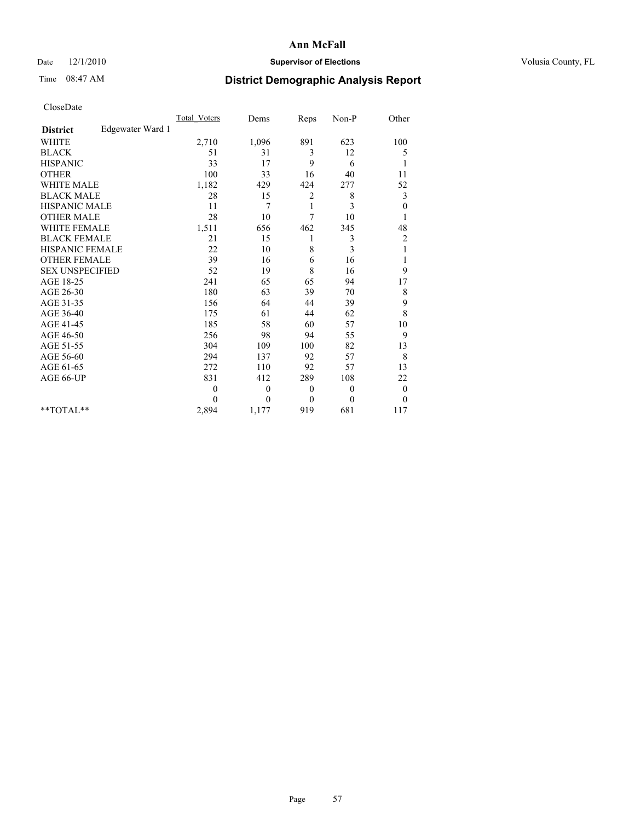## Date  $12/1/2010$  **Supervisor of Elections** Volusia County, FL

# Time 08:47 AM **District Demographic Analysis Report**

|                                     | <b>Total Voters</b> | Dems     | Reps           | Non-P    | Other            |  |
|-------------------------------------|---------------------|----------|----------------|----------|------------------|--|
| Edgewater Ward 1<br><b>District</b> |                     |          |                |          |                  |  |
| <b>WHITE</b>                        | 2,710               | 1,096    | 891            | 623      | 100              |  |
| <b>BLACK</b>                        | 51                  | 31       | 3              | 12       | 5                |  |
| <b>HISPANIC</b>                     | 33                  | 17       | 9              | 6        | 1                |  |
| <b>OTHER</b>                        | 100                 | 33       | 16             | 40       | 11               |  |
| <b>WHITE MALE</b>                   | 1,182               | 429      | 424            | 277      | 52               |  |
| <b>BLACK MALE</b>                   | 28                  | 15       | $\overline{c}$ | 8        | 3                |  |
| <b>HISPANIC MALE</b>                | 11                  | 7        | 1              | 3        | $\boldsymbol{0}$ |  |
| <b>OTHER MALE</b>                   | 28                  | 10       | 7              | 10       |                  |  |
| <b>WHITE FEMALE</b>                 | 1,511               | 656      | 462            | 345      | 48               |  |
| <b>BLACK FEMALE</b>                 | 21                  | 15       | 1              | 3        | $\overline{c}$   |  |
| <b>HISPANIC FEMALE</b>              | 22                  | 10       | 8              | 3        | 1                |  |
| <b>OTHER FEMALE</b>                 | 39                  | 16       | 6              | 16       | 1                |  |
| <b>SEX UNSPECIFIED</b>              | 52                  | 19       | 8              | 16       | 9                |  |
| AGE 18-25                           | 241                 | 65       | 65             | 94       | 17               |  |
| AGE 26-30                           | 180                 | 63       | 39             | 70       | $\,$ 8 $\,$      |  |
| AGE 31-35                           | 156                 | 64       | 44             | 39       | 9                |  |
| AGE 36-40                           | 175                 | 61       | 44             | 62       | 8                |  |
| AGE 41-45                           | 185                 | 58       | 60             | 57       | 10               |  |
| AGE 46-50                           | 256                 | 98       | 94             | 55       | 9                |  |
| AGE 51-55                           | 304                 | 109      | 100            | 82       | 13               |  |
| AGE 56-60                           | 294                 | 137      | 92             | 57       | 8                |  |
| AGE 61-65                           | 272                 | 110      | 92             | 57       | 13               |  |
| AGE 66-UP                           | 831                 | 412      | 289            | 108      | 22               |  |
|                                     | $\mathbf{0}$        | $\theta$ | $\mathbf{0}$   | $\theta$ | $\boldsymbol{0}$ |  |
|                                     | $\theta$            | $\theta$ | $\theta$       | $\theta$ | $\theta$         |  |
| $*$ TOTAL $*$                       | 2,894               | 1,177    | 919            | 681      | 117              |  |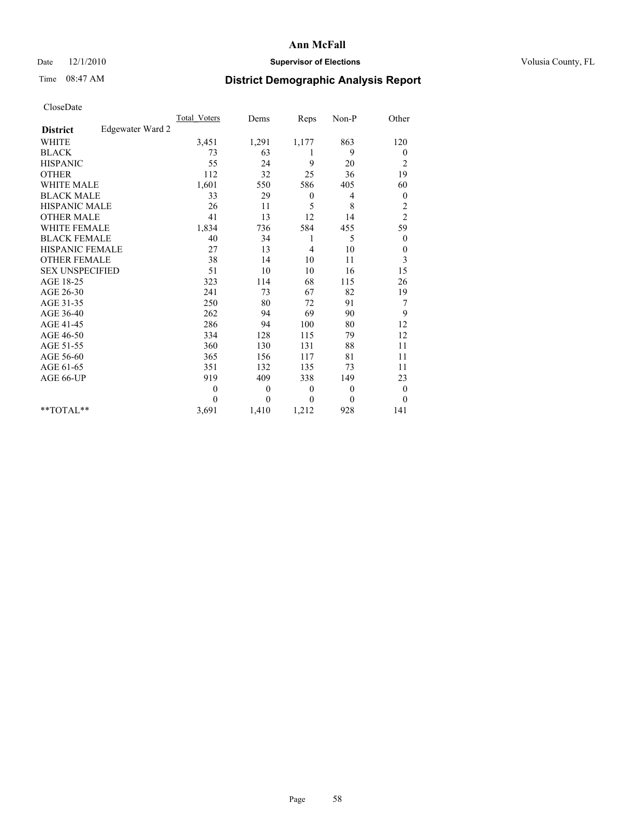## Date  $12/1/2010$  **Supervisor of Elections** Volusia County, FL

## Time 08:47 AM **District Demographic Analysis Report**

|                                     | <b>Total Voters</b> | Dems         | Reps         | Non-P        | Other            |
|-------------------------------------|---------------------|--------------|--------------|--------------|------------------|
| Edgewater Ward 2<br><b>District</b> |                     |              |              |              |                  |
| <b>WHITE</b>                        | 3,451               | 1,291        | 1,177        | 863          | 120              |
| <b>BLACK</b>                        | 73                  | 63           | 1            | 9            | $\boldsymbol{0}$ |
| <b>HISPANIC</b>                     | 55                  | 24           | 9            | 20           | $\overline{c}$   |
| <b>OTHER</b>                        | 112                 | 32           | 25           | 36           | 19               |
| <b>WHITE MALE</b>                   | 1,601               | 550          | 586          | 405          | 60               |
| <b>BLACK MALE</b>                   | 33                  | 29           | $\mathbf{0}$ | 4            | $\mathbf{0}$     |
| <b>HISPANIC MALE</b>                | 26                  | 11           | 5            | 8            | $\overline{c}$   |
| <b>OTHER MALE</b>                   | 41                  | 13           | 12           | 14           | $\overline{c}$   |
| <b>WHITE FEMALE</b>                 | 1,834               | 736          | 584          | 455          | 59               |
| <b>BLACK FEMALE</b>                 | 40                  | 34           | 1            | 5            | $\mathbf{0}$     |
| HISPANIC FEMALE                     | 27                  | 13           | 4            | 10           | $\boldsymbol{0}$ |
| <b>OTHER FEMALE</b>                 | 38                  | 14           | 10           | 11           | 3                |
| <b>SEX UNSPECIFIED</b>              | 51                  | 10           | 10           | 16           | 15               |
| AGE 18-25                           | 323                 | 114          | 68           | 115          | 26               |
| AGE 26-30                           | 241                 | 73           | 67           | 82           | 19               |
| AGE 31-35                           | 250                 | 80           | 72           | 91           | 7                |
| AGE 36-40                           | 262                 | 94           | 69           | 90           | 9                |
| AGE 41-45                           | 286                 | 94           | 100          | 80           | 12               |
| AGE 46-50                           | 334                 | 128          | 115          | 79           | 12               |
| AGE 51-55                           | 360                 | 130          | 131          | 88           | 11               |
| AGE 56-60                           | 365                 | 156          | 117          | 81           | 11               |
| AGE 61-65                           | 351                 | 132          | 135          | 73           | 11               |
| AGE 66-UP                           | 919                 | 409          | 338          | 149          | 23               |
|                                     | $\theta$            | $\theta$     | $\mathbf{0}$ | $\theta$     | $\boldsymbol{0}$ |
|                                     | $\theta$            | $\mathbf{0}$ | $\mathbf{0}$ | $\mathbf{0}$ | $\overline{0}$   |
| $*$ TOTAL $*$                       | 3,691               | 1,410        | 1,212        | 928          | 141              |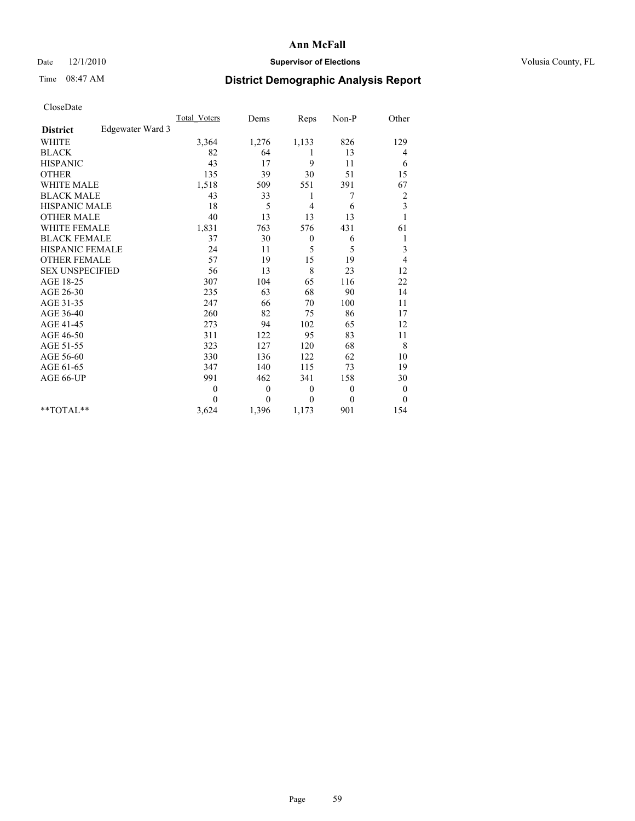## Date  $12/1/2010$  **Supervisor of Elections** Volusia County, FL

## Time 08:47 AM **District Demographic Analysis Report**

|                                     | <b>Total Voters</b> | Dems         | Reps             | Non-P    | Other                   |  |
|-------------------------------------|---------------------|--------------|------------------|----------|-------------------------|--|
| Edgewater Ward 3<br><b>District</b> |                     |              |                  |          |                         |  |
| <b>WHITE</b>                        | 3,364               | 1,276        | 1,133            | 826      | 129                     |  |
| <b>BLACK</b>                        | 82                  | 64           | 1                | 13       | 4                       |  |
| <b>HISPANIC</b>                     | 43                  | 17           | 9                | 11       | 6                       |  |
| <b>OTHER</b>                        | 135                 | 39           | 30               | 51       | 15                      |  |
| <b>WHITE MALE</b>                   | 1,518               | 509          | 551              | 391      | 67                      |  |
| <b>BLACK MALE</b>                   | 43                  | 33           | 1                | 7        | $\overline{\mathbf{c}}$ |  |
| HISPANIC MALE                       | 18                  | 5            | $\overline{4}$   | 6        | 3                       |  |
| <b>OTHER MALE</b>                   | 40                  | 13           | 13               | 13       |                         |  |
| <b>WHITE FEMALE</b>                 | 1,831               | 763          | 576              | 431      | 61                      |  |
| <b>BLACK FEMALE</b>                 | 37                  | 30           | $\boldsymbol{0}$ | 6        | 1                       |  |
| HISPANIC FEMALE                     | 24                  | 11           | 5                | 5        | 3                       |  |
| <b>OTHER FEMALE</b>                 | 57                  | 19           | 15               | 19       | 4                       |  |
| <b>SEX UNSPECIFIED</b>              | 56                  | 13           | 8                | 23       | 12                      |  |
| AGE 18-25                           | 307                 | 104          | 65               | 116      | 22                      |  |
| AGE 26-30                           | 235                 | 63           | 68               | 90       | 14                      |  |
| AGE 31-35                           | 247                 | 66           | 70               | 100      | 11                      |  |
| AGE 36-40                           | 260                 | 82           | 75               | 86       | 17                      |  |
| AGE 41-45                           | 273                 | 94           | 102              | 65       | 12                      |  |
| AGE 46-50                           | 311                 | 122          | 95               | 83       | 11                      |  |
| AGE 51-55                           | 323                 | 127          | 120              | 68       | 8                       |  |
| AGE 56-60                           | 330                 | 136          | 122              | 62       | 10                      |  |
| AGE 61-65                           | 347                 | 140          | 115              | 73       | 19                      |  |
| AGE 66-UP                           | 991                 | 462          | 341              | 158      | 30                      |  |
|                                     | $\mathbf{0}$        | $\mathbf{0}$ | $\theta$         | $\theta$ | $\boldsymbol{0}$        |  |
|                                     | $\theta$            | $\theta$     | $\theta$         | $\theta$ | $\theta$                |  |
| $*$ TOTAL $*$                       | 3,624               | 1,396        | 1,173            | 901      | 154                     |  |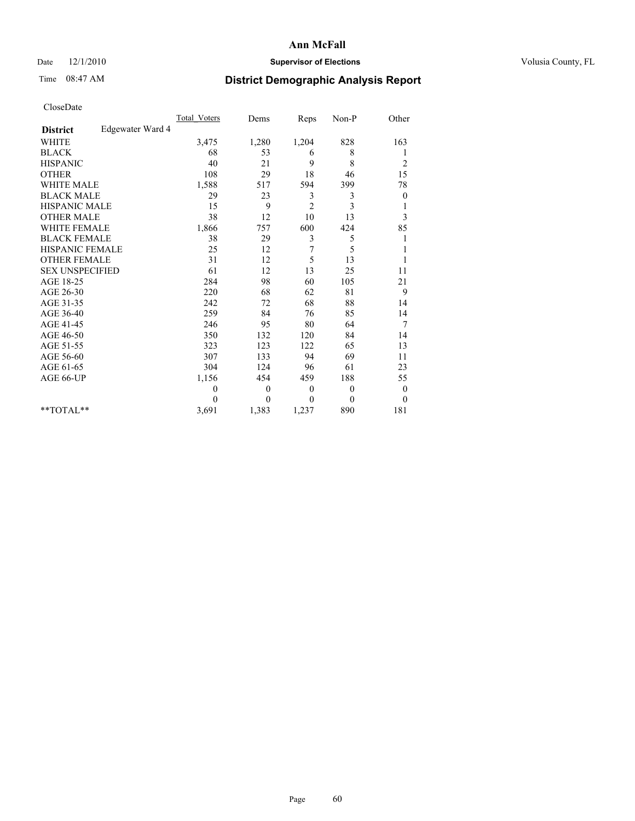## Date  $12/1/2010$  **Supervisor of Elections** Volusia County, FL

## Time 08:47 AM **District Demographic Analysis Report**

|                                     | <b>Total Voters</b> | Dems         | Reps           | Non-P          | Other            |  |
|-------------------------------------|---------------------|--------------|----------------|----------------|------------------|--|
| Edgewater Ward 4<br><b>District</b> |                     |              |                |                |                  |  |
| <b>WHITE</b>                        | 3,475               | 1,280        | 1,204          | 828            | 163              |  |
| <b>BLACK</b>                        | 68                  | 53           | 6              | 8              |                  |  |
| <b>HISPANIC</b>                     | 40                  | 21           | 9              | 8              | $\overline{c}$   |  |
| <b>OTHER</b>                        | 108                 | 29           | 18             | 46             | 15               |  |
| <b>WHITE MALE</b>                   | 1,588               | 517          | 594            | 399            | 78               |  |
| <b>BLACK MALE</b>                   | 29                  | 23           | 3              | 3              | $\boldsymbol{0}$ |  |
| <b>HISPANIC MALE</b>                | 15                  | 9            | $\overline{c}$ | 3              | 1                |  |
| <b>OTHER MALE</b>                   | 38                  | 12           | 10             | 13             | 3                |  |
| <b>WHITE FEMALE</b>                 | 1,866               | 757          | 600            | 424            | 85               |  |
| <b>BLACK FEMALE</b>                 | 38                  | 29           | 3              | 5              |                  |  |
| HISPANIC FEMALE                     | 25                  | 12           | 7              | 5              |                  |  |
| <b>OTHER FEMALE</b>                 | 31                  | 12           | 5              | 13             |                  |  |
| <b>SEX UNSPECIFIED</b>              | 61                  | 12           | 13             | 25             | 11               |  |
| AGE 18-25                           | 284                 | 98           | 60             | 105            | 21               |  |
| AGE 26-30                           | 220                 | 68           | 62             | 81             | 9                |  |
| AGE 31-35                           | 242                 | 72           | 68             | 88             | 14               |  |
| AGE 36-40                           | 259                 | 84           | 76             | 85             | 14               |  |
| AGE 41-45                           | 246                 | 95           | 80             | 64             | 7                |  |
| AGE 46-50                           | 350                 | 132          | 120            | 84             | 14               |  |
| AGE 51-55                           | 323                 | 123          | 122            | 65             | 13               |  |
| AGE 56-60                           | 307                 | 133          | 94             | 69             | 11               |  |
| AGE 61-65                           | 304                 | 124          | 96             | 61             | 23               |  |
| AGE 66-UP                           | 1,156               | 454          | 459            | 188            | 55               |  |
|                                     | $\theta$            | $\mathbf{0}$ | $\theta$       | $\overline{0}$ | $\boldsymbol{0}$ |  |
|                                     | $\Omega$            | $\mathbf{0}$ | $\mathbf{0}$   | $\theta$       | $\theta$         |  |
| $*$ TOTAL $*$                       | 3,691               | 1,383        | 1,237          | 890            | 181              |  |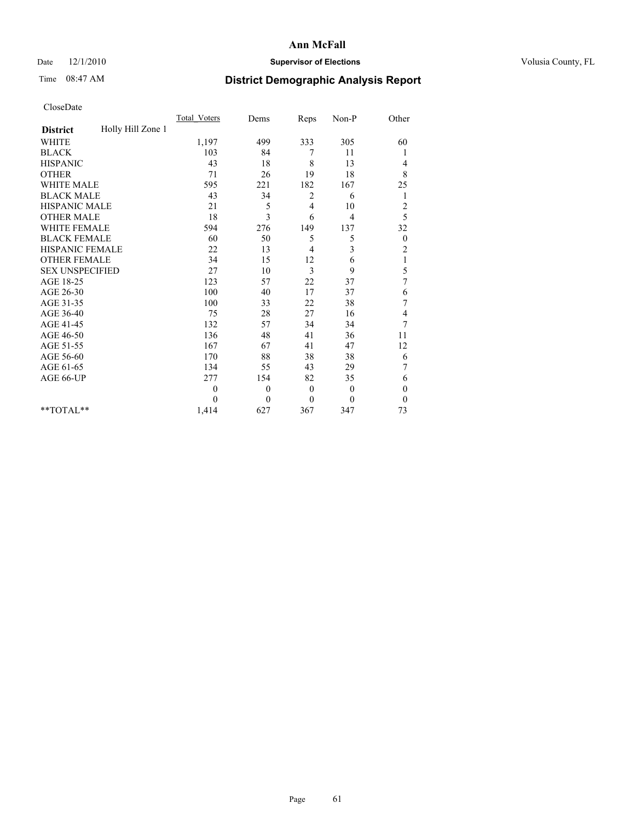## Date  $12/1/2010$  **Supervisor of Elections** Volusia County, FL

# Time 08:47 AM **District Demographic Analysis Report**

|                                      | <b>Total Voters</b> | Dems     | Reps         | Non-P          | Other          |
|--------------------------------------|---------------------|----------|--------------|----------------|----------------|
| Holly Hill Zone 1<br><b>District</b> |                     |          |              |                |                |
| <b>WHITE</b>                         | 1,197               | 499      | 333          | 305            | 60             |
| <b>BLACK</b>                         | 103                 | 84       | 7            | 11             |                |
| <b>HISPANIC</b>                      | 43                  | 18       | 8            | 13             | 4              |
| <b>OTHER</b>                         | 71                  | 26       | 19           | 18             | 8              |
| <b>WHITE MALE</b>                    | 595                 | 221      | 182          | 167            | 25             |
| <b>BLACK MALE</b>                    | 43                  | 34       | 2            | 6              | 1              |
| HISPANIC MALE                        | 21                  | 5        | 4            | 10             | $\overline{c}$ |
| <b>OTHER MALE</b>                    | 18                  | 3        | 6            | $\overline{4}$ | 5              |
| <b>WHITE FEMALE</b>                  | 594                 | 276      | 149          | 137            | 32             |
| <b>BLACK FEMALE</b>                  | 60                  | 50       | 5            | 5              | $\mathbf{0}$   |
| HISPANIC FEMALE                      | 22                  | 13       | 4            | 3              | $\overline{c}$ |
| <b>OTHER FEMALE</b>                  | 34                  | 15       | 12           | 6              | $\mathbf{1}$   |
| <b>SEX UNSPECIFIED</b>               | 27                  | 10       | 3            | 9              | 5              |
| AGE 18-25                            | 123                 | 57       | 22           | 37             | $\overline{7}$ |
| AGE 26-30                            | 100                 | 40       | 17           | 37             | 6              |
| AGE 31-35                            | 100                 | 33       | 22           | 38             | 7              |
| AGE 36-40                            | 75                  | 28       | 27           | 16             | 4              |
| AGE 41-45                            | 132                 | 57       | 34           | 34             | 7              |
| AGE 46-50                            | 136                 | 48       | 41           | 36             | 11             |
| AGE 51-55                            | 167                 | 67       | 41           | 47             | 12             |
| AGE 56-60                            | 170                 | 88       | 38           | 38             | 6              |
| AGE 61-65                            | 134                 | 55       | 43           | 29             | 7              |
| AGE 66-UP                            | 277                 | 154      | 82           | 35             | 6              |
|                                      | $\theta$            | $\theta$ | $\mathbf{0}$ | $\overline{0}$ | $\theta$       |
|                                      | $\theta$            | $\theta$ | $\theta$     | $\theta$       | $\overline{0}$ |
| **TOTAL**                            | 1,414               | 627      | 367          | 347            | 73             |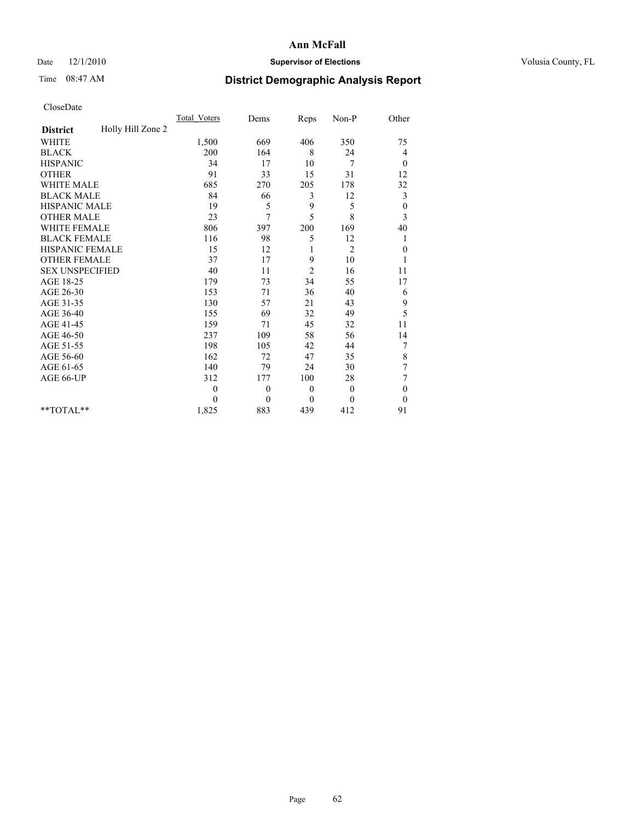## Date  $12/1/2010$  **Supervisor of Elections** Volusia County, FL

## Time 08:47 AM **District Demographic Analysis Report**

|                                      | <b>Total Voters</b> | Dems         | Reps           | Non-P          | Other            |  |
|--------------------------------------|---------------------|--------------|----------------|----------------|------------------|--|
| Holly Hill Zone 2<br><b>District</b> |                     |              |                |                |                  |  |
| <b>WHITE</b>                         | 1,500               | 669          | 406            | 350            | 75               |  |
| <b>BLACK</b>                         | 200                 | 164          | 8              | 24             | 4                |  |
| <b>HISPANIC</b>                      | 34                  | 17           | 10             | 7              | $\theta$         |  |
| <b>OTHER</b>                         | 91                  | 33           | 15             | 31             | 12               |  |
| <b>WHITE MALE</b>                    | 685                 | 270          | 205            | 178            | 32               |  |
| <b>BLACK MALE</b>                    | 84                  | 66           | 3              | 12             | 3                |  |
| HISPANIC MALE                        | 19                  | 5            | 9              | 5              | $\boldsymbol{0}$ |  |
| <b>OTHER MALE</b>                    | 23                  | 7            | 5              | 8              | 3                |  |
| <b>WHITE FEMALE</b>                  | 806                 | 397          | 200            | 169            | 40               |  |
| <b>BLACK FEMALE</b>                  | 116                 | 98           | 5              | 12             | 1                |  |
| HISPANIC FEMALE                      | 15                  | 12           |                | $\overline{2}$ | $\boldsymbol{0}$ |  |
| <b>OTHER FEMALE</b>                  | 37                  | 17           | 9              | 10             |                  |  |
| <b>SEX UNSPECIFIED</b>               | 40                  | 11           | $\overline{2}$ | 16             | 11               |  |
| AGE 18-25                            | 179                 | 73           | 34             | 55             | 17               |  |
| AGE 26-30                            | 153                 | 71           | 36             | 40             | 6                |  |
| AGE 31-35                            | 130                 | 57           | 21             | 43             | 9                |  |
| AGE 36-40                            | 155                 | 69           | 32             | 49             | 5                |  |
| AGE 41-45                            | 159                 | 71           | 45             | 32             | 11               |  |
| AGE 46-50                            | 237                 | 109          | 58             | 56             | 14               |  |
| AGE 51-55                            | 198                 | 105          | 42             | 44             | 7                |  |
| AGE 56-60                            | 162                 | 72           | 47             | 35             | $8\,$            |  |
| AGE 61-65                            | 140                 | 79           | 24             | 30             | $\sqrt{ }$       |  |
| AGE 66-UP                            | 312                 | 177          | 100            | 28             | 7                |  |
|                                      | $\overline{0}$      | $\mathbf{0}$ | $\theta$       | $\mathbf{0}$   | $\theta$         |  |
|                                      | $\theta$            | $\mathbf{0}$ | $\mathbf{0}$   | $\theta$       | $\theta$         |  |
| $*$ $TOTAI.**$                       | 1,825               | 883          | 439            | 412            | 91               |  |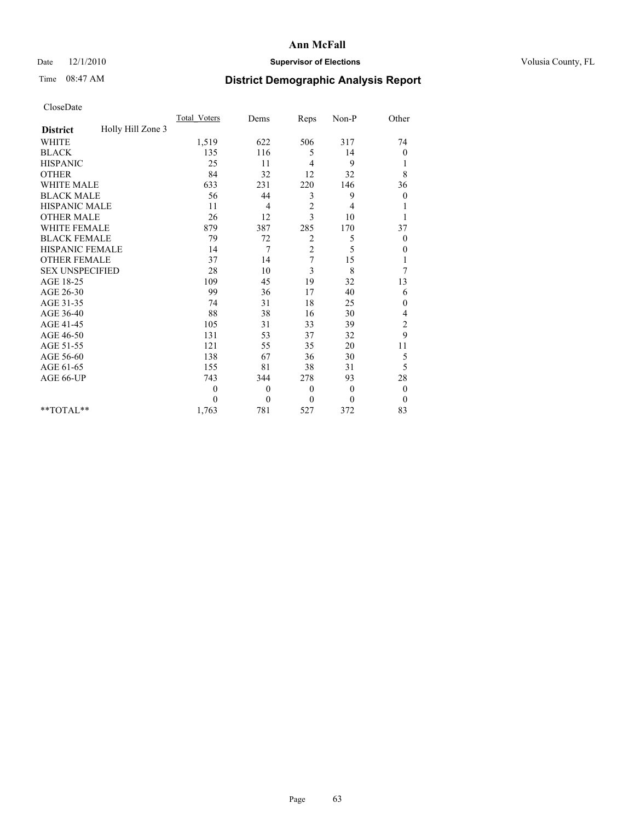## Date  $12/1/2010$  **Supervisor of Elections** Volusia County, FL

# Time 08:47 AM **District Demographic Analysis Report**

|                                      | <b>Total Voters</b> | Dems         | Reps           | Non-P        | Other            |
|--------------------------------------|---------------------|--------------|----------------|--------------|------------------|
| Holly Hill Zone 3<br><b>District</b> |                     |              |                |              |                  |
| <b>WHITE</b>                         | 1,519               | 622          | 506            | 317          | 74               |
| <b>BLACK</b>                         | 135                 | 116          | 5              | 14           | 0                |
| <b>HISPANIC</b>                      | 25                  | 11           | $\overline{4}$ | 9            | 1                |
| <b>OTHER</b>                         | 84                  | 32           | 12             | 32           | 8                |
| <b>WHITE MALE</b>                    | 633                 | 231          | 220            | 146          | 36               |
| <b>BLACK MALE</b>                    | 56                  | 44           | 3              | 9            | $\boldsymbol{0}$ |
| <b>HISPANIC MALE</b>                 | 11                  | 4            | $\sqrt{2}$     | 4            |                  |
| <b>OTHER MALE</b>                    | 26                  | 12           | 3              | 10           |                  |
| <b>WHITE FEMALE</b>                  | 879                 | 387          | 285            | 170          | 37               |
| <b>BLACK FEMALE</b>                  | 79                  | 72           | 2              | 5            | $\theta$         |
| HISPANIC FEMALE                      | 14                  | 7            | $\overline{c}$ | 5            | 0                |
| <b>OTHER FEMALE</b>                  | 37                  | 14           | 7              | 15           | 1                |
| <b>SEX UNSPECIFIED</b>               | 28                  | 10           | 3              | 8            | 7                |
| AGE 18-25                            | 109                 | 45           | 19             | 32           | 13               |
| AGE 26-30                            | 99                  | 36           | 17             | 40           | 6                |
| AGE 31-35                            | 74                  | 31           | 18             | 25           | 0                |
| AGE 36-40                            | 88                  | 38           | 16             | 30           | 4                |
| AGE 41-45                            | 105                 | 31           | 33             | 39           | $\overline{c}$   |
| AGE 46-50                            | 131                 | 53           | 37             | 32           | 9                |
| AGE 51-55                            | 121                 | 55           | 35             | 20           | 11               |
| AGE 56-60                            | 138                 | 67           | 36             | 30           | 5                |
| AGE 61-65                            | 155                 | 81           | 38             | 31           | 5                |
| AGE 66-UP                            | 743                 | 344          | 278            | 93           | 28               |
|                                      | $\theta$            | $\mathbf{0}$ | $\theta$       | $\mathbf{0}$ | $\boldsymbol{0}$ |
|                                      | $\Omega$            | $\mathbf{0}$ | $\mathbf{0}$   | $\theta$     | $\mathbf{0}$     |
| **TOTAL**                            | 1,763               | 781          | 527            | 372          | 83               |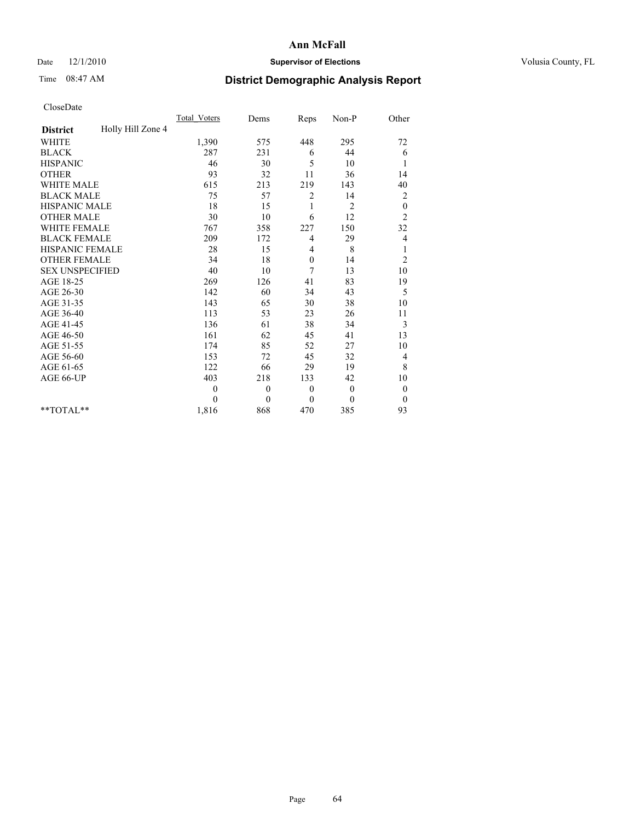## Date  $12/1/2010$  **Supervisor of Elections** Volusia County, FL

# Time 08:47 AM **District Demographic Analysis Report**

|                                      | <b>Total Voters</b> | Dems     | Reps         | Non-P          | Other            |
|--------------------------------------|---------------------|----------|--------------|----------------|------------------|
| Holly Hill Zone 4<br><b>District</b> |                     |          |              |                |                  |
| <b>WHITE</b>                         | 1,390               | 575      | 448          | 295            | 72               |
| <b>BLACK</b>                         | 287                 | 231      | 6            | 44             | 6                |
| <b>HISPANIC</b>                      | 46                  | 30       | 5            | 10             | 1                |
| <b>OTHER</b>                         | 93                  | 32       | 11           | 36             | 14               |
| <b>WHITE MALE</b>                    | 615                 | 213      | 219          | 143            | 40               |
| <b>BLACK MALE</b>                    | 75                  | 57       | 2            | 14             | $\overline{c}$   |
| <b>HISPANIC MALE</b>                 | 18                  | 15       | 1            | $\overline{c}$ | $\boldsymbol{0}$ |
| <b>OTHER MALE</b>                    | 30                  | 10       | 6            | 12             | $\overline{c}$   |
| WHITE FEMALE                         | 767                 | 358      | 227          | 150            | 32               |
| <b>BLACK FEMALE</b>                  | 209                 | 172      | 4            | 29             | 4                |
| HISPANIC FEMALE                      | 28                  | 15       | 4            | 8              | $\mathbf{1}$     |
| <b>OTHER FEMALE</b>                  | 34                  | 18       | $\mathbf{0}$ | 14             | $\overline{c}$   |
| <b>SEX UNSPECIFIED</b>               | 40                  | 10       | 7            | 13             | 10               |
| AGE 18-25                            | 269                 | 126      | 41           | 83             | 19               |
| AGE 26-30                            | 142                 | 60       | 34           | 43             | 5                |
| AGE 31-35                            | 143                 | 65       | 30           | 38             | 10               |
| AGE 36-40                            | 113                 | 53       | 23           | 26             | 11               |
| AGE 41-45                            | 136                 | 61       | 38           | 34             | 3                |
| AGE 46-50                            | 161                 | 62       | 45           | 41             | 13               |
| AGE 51-55                            | 174                 | 85       | 52           | 27             | 10               |
| AGE 56-60                            | 153                 | 72       | 45           | 32             | 4                |
| AGE 61-65                            | 122                 | 66       | 29           | 19             | $\,$ 8 $\,$      |
| AGE 66-UP                            | 403                 | 218      | 133          | 42             | 10               |
|                                      | $\theta$            | $\theta$ | $\theta$     | $\mathbf{0}$   | $\boldsymbol{0}$ |
|                                      | $\theta$            | $\theta$ | $\theta$     | $\theta$       | $\theta$         |
| **TOTAL**                            | 1,816               | 868      | 470          | 385            | 93               |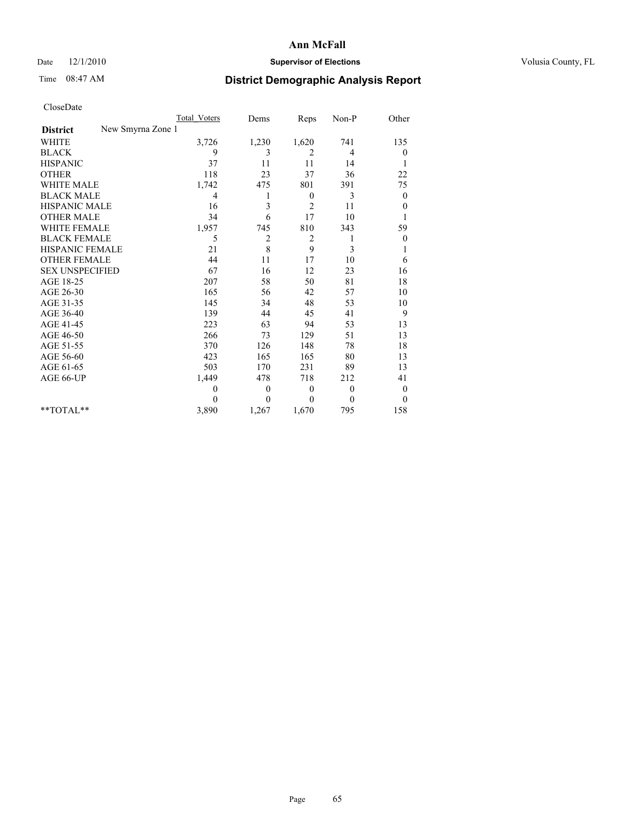## Date  $12/1/2010$  **Supervisor of Elections** Volusia County, FL

## Time 08:47 AM **District Demographic Analysis Report**

|                                      | Total Voters | Dems           | Reps             | $Non-P$      | Other            |
|--------------------------------------|--------------|----------------|------------------|--------------|------------------|
| New Smyrna Zone 1<br><b>District</b> |              |                |                  |              |                  |
| <b>WHITE</b>                         | 3,726        | 1,230          | 1,620            | 741          | 135              |
| <b>BLACK</b>                         | 9            | 3              | 2                | 4            | $\boldsymbol{0}$ |
| <b>HISPANIC</b>                      | 37           | 11             | 11               | 14           |                  |
| <b>OTHER</b>                         | 118          | 23             | 37               | 36           | 22               |
| WHITE MALE                           | 1,742        | 475            | 801              | 391          | 75               |
| <b>BLACK MALE</b>                    | 4            | 1              | $\mathbf{0}$     | 3            | $\overline{0}$   |
| HISPANIC MALE                        | 16           | 3              | 2                | 11           | $\theta$         |
| <b>OTHER MALE</b>                    | 34           | 6              | 17               | 10           |                  |
| <b>WHITE FEMALE</b>                  | 1,957        | 745            | 810              | 343          | 59               |
| <b>BLACK FEMALE</b>                  | 5            | $\overline{c}$ | $\overline{c}$   |              | $\boldsymbol{0}$ |
| HISPANIC FEMALE                      | 21           | 8              | 9                | 3            |                  |
| <b>OTHER FEMALE</b>                  | 44           | 11             | 17               | 10           | 6                |
| <b>SEX UNSPECIFIED</b>               | 67           | 16             | 12               | 23           | 16               |
| AGE 18-25                            | 207          | 58             | 50               | 81           | 18               |
| AGE 26-30                            | 165          | 56             | 42               | 57           | 10               |
| AGE 31-35                            | 145          | 34             | 48               | 53           | 10               |
| AGE 36-40                            | 139          | 44             | 45               | 41           | 9                |
| AGE 41-45                            | 223          | 63             | 94               | 53           | 13               |
| AGE 46-50                            | 266          | 73             | 129              | 51           | 13               |
| AGE 51-55                            | 370          | 126            | 148              | 78           | 18               |
| AGE 56-60                            | 423          | 165            | 165              | 80           | 13               |
| AGE 61-65                            | 503          | 170            | 231              | 89           | 13               |
| AGE 66-UP                            | 1,449        | 478            | 718              | 212          | 41               |
|                                      | $\mathbf{0}$ | $\overline{0}$ | $\boldsymbol{0}$ | $\theta$     | $\boldsymbol{0}$ |
|                                      | $\theta$     | $\theta$       | $\theta$         | $\mathbf{0}$ | $\theta$         |
| $*$ TOTAL $*$                        | 3,890        | 1,267          | 1,670            | 795          | 158              |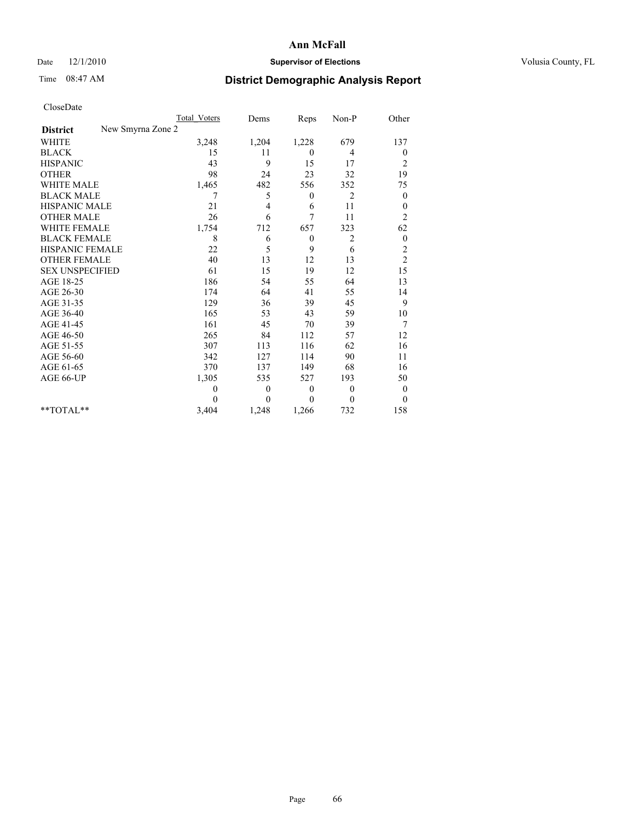## Date  $12/1/2010$  **Supervisor of Elections** Volusia County, FL

# Time 08:47 AM **District Demographic Analysis Report**

|                                      | Total Voters | Dems         | Reps             | Non-P          | Other            |
|--------------------------------------|--------------|--------------|------------------|----------------|------------------|
| New Smyrna Zone 2<br><b>District</b> |              |              |                  |                |                  |
| <b>WHITE</b>                         | 3,248        | 1,204        | 1,228            | 679            | 137              |
| <b>BLACK</b>                         | 15           | 11           | $\overline{0}$   | 4              | 0                |
| <b>HISPANIC</b>                      | 43           | 9            | 15               | 17             | 2                |
| <b>OTHER</b>                         | 98           | 24           | 23               | 32             | 19               |
| <b>WHITE MALE</b>                    | 1,465        | 482          | 556              | 352            | 75               |
| <b>BLACK MALE</b>                    | 7            | 5            | $\mathbf{0}$     | $\overline{c}$ | $\overline{0}$   |
| <b>HISPANIC MALE</b>                 | 21           | 4            | 6                | 11             | $\boldsymbol{0}$ |
| <b>OTHER MALE</b>                    | 26           | 6            | 7                | 11             | $\overline{c}$   |
| <b>WHITE FEMALE</b>                  | 1,754        | 712          | 657              | 323            | 62               |
| <b>BLACK FEMALE</b>                  | 8            | 6            | $\boldsymbol{0}$ | 2              | $\boldsymbol{0}$ |
| <b>HISPANIC FEMALE</b>               | 22           | 5            | 9                | 6              | $\overline{c}$   |
| <b>OTHER FEMALE</b>                  | 40           | 13           | 12               | 13             | $\overline{c}$   |
| <b>SEX UNSPECIFIED</b>               | 61           | 15           | 19               | 12             | 15               |
| AGE 18-25                            | 186          | 54           | 55               | 64             | 13               |
| AGE 26-30                            | 174          | 64           | 41               | 55             | 14               |
| AGE 31-35                            | 129          | 36           | 39               | 45             | 9                |
| AGE 36-40                            | 165          | 53           | 43               | 59             | 10               |
| AGE 41-45                            | 161          | 45           | 70               | 39             | 7                |
| AGE 46-50                            | 265          | 84           | 112              | 57             | 12               |
| AGE 51-55                            | 307          | 113          | 116              | 62             | 16               |
| AGE 56-60                            | 342          | 127          | 114              | 90             | 11               |
| AGE 61-65                            | 370          | 137          | 149              | 68             | 16               |
| AGE 66-UP                            | 1,305        | 535          | 527              | 193            | 50               |
|                                      | $\mathbf{0}$ | $\mathbf{0}$ | $\boldsymbol{0}$ | $\mathbf{0}$   | $\boldsymbol{0}$ |
|                                      | $\theta$     | $\theta$     | $\theta$         | 0              | $\theta$         |
| $*$ TOTAL $*$                        | 3,404        | 1,248        | 1,266            | 732            | 158              |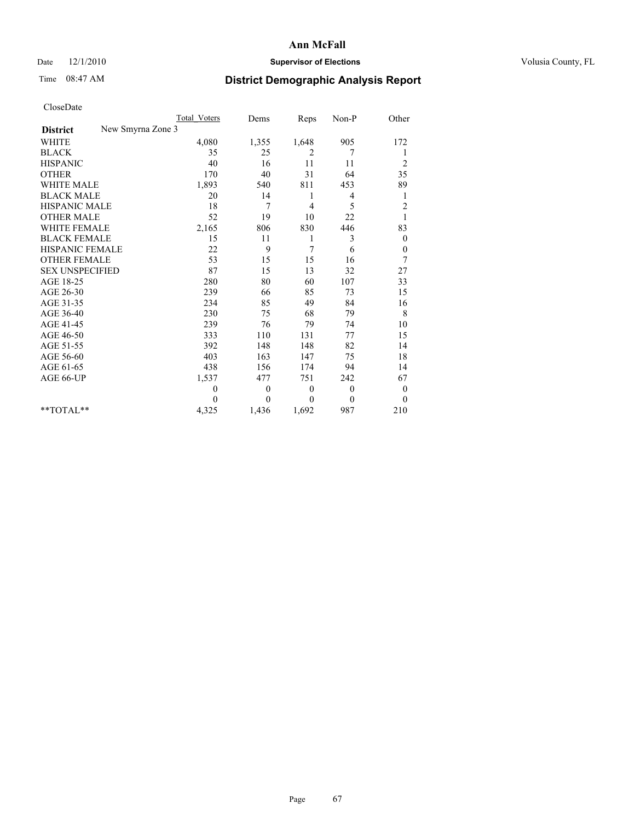## Date  $12/1/2010$  **Supervisor of Elections** Volusia County, FL

## Time 08:47 AM **District Demographic Analysis Report**

|                                      | Total Voters | Dems     | Reps         | Non-P        | Other            |
|--------------------------------------|--------------|----------|--------------|--------------|------------------|
| New Smyrna Zone 3<br><b>District</b> |              |          |              |              |                  |
| <b>WHITE</b>                         | 4,080        | 1,355    | 1,648        | 905          | 172              |
| <b>BLACK</b>                         | 35           | 25       | 2            | 7            |                  |
| <b>HISPANIC</b>                      | 40           | 16       | 11           | 11           | $\overline{c}$   |
| <b>OTHER</b>                         | 170          | 40       | 31           | 64           | 35               |
| <b>WHITE MALE</b>                    | 1,893        | 540      | 811          | 453          | 89               |
| <b>BLACK MALE</b>                    | 20           | 14       | 1            | 4            | 1                |
| <b>HISPANIC MALE</b>                 | 18           | 7        | 4            | 5            | $\overline{c}$   |
| <b>OTHER MALE</b>                    | 52           | 19       | 10           | 22           |                  |
| <b>WHITE FEMALE</b>                  | 2,165        | 806      | 830          | 446          | 83               |
| <b>BLACK FEMALE</b>                  | 15           | 11       | 1            | 3            | $\theta$         |
| HISPANIC FEMALE                      | 22           | 9        | 7            | 6            | $\boldsymbol{0}$ |
| <b>OTHER FEMALE</b>                  | 53           | 15       | 15           | 16           | 7                |
| <b>SEX UNSPECIFIED</b>               | 87           | 15       | 13           | 32           | 27               |
| AGE 18-25                            | 280          | 80       | 60           | 107          | 33               |
| AGE 26-30                            | 239          | 66       | 85           | 73           | 15               |
| AGE 31-35                            | 234          | 85       | 49           | 84           | 16               |
| AGE 36-40                            | 230          | 75       | 68           | 79           | 8                |
| AGE 41-45                            | 239          | 76       | 79           | 74           | 10               |
| AGE 46-50                            | 333          | 110      | 131          | 77           | 15               |
| AGE 51-55                            | 392          | 148      | 148          | 82           | 14               |
| AGE 56-60                            | 403          | 163      | 147          | 75           | 18               |
| AGE 61-65                            | 438          | 156      | 174          | 94           | 14               |
| AGE 66-UP                            | 1,537        | 477      | 751          | 242          | 67               |
|                                      | $\mathbf{0}$ | $\theta$ | $\theta$     | $\mathbf{0}$ | $\overline{0}$   |
|                                      | $\theta$     | $\theta$ | $\mathbf{0}$ | $\mathbf{0}$ | $\overline{0}$   |
| **TOTAL**                            | 4,325        | 1,436    | 1,692        | 987          | 210              |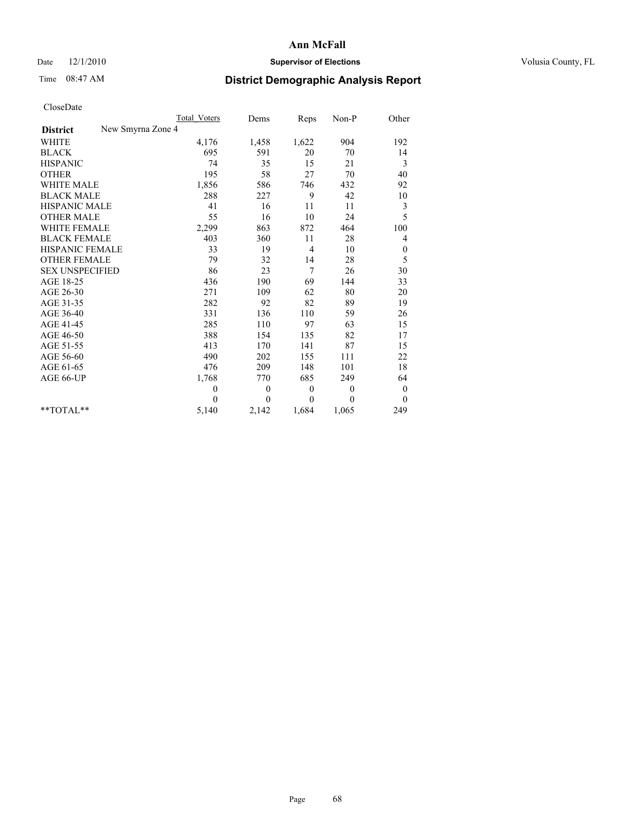## Date  $12/1/2010$  **Supervisor of Elections** Volusia County, FL

## Time 08:47 AM **District Demographic Analysis Report**

|                                      | Total Voters | Dems         | Reps     | Non-P        | Other            |
|--------------------------------------|--------------|--------------|----------|--------------|------------------|
| New Smyrna Zone 4<br><b>District</b> |              |              |          |              |                  |
| <b>WHITE</b>                         | 4,176        | 1,458        | 1,622    | 904          | 192              |
| <b>BLACK</b>                         | 695          | 591          | 20       | 70           | 14               |
| <b>HISPANIC</b>                      | 74           | 35           | 15       | 21           | 3                |
| <b>OTHER</b>                         | 195          | 58           | 27       | 70           | 40               |
| <b>WHITE MALE</b>                    | 1,856        | 586          | 746      | 432          | 92               |
| <b>BLACK MALE</b>                    | 288          | 227          | 9        | 42           | 10               |
| <b>HISPANIC MALE</b>                 | 41           | 16           | 11       | 11           | 3                |
| <b>OTHER MALE</b>                    | 55           | 16           | 10       | 24           | 5                |
| <b>WHITE FEMALE</b>                  | 2,299        | 863          | 872      | 464          | 100              |
| <b>BLACK FEMALE</b>                  | 403          | 360          | 11       | 28           | 4                |
| HISPANIC FEMALE                      | 33           | 19           | 4        | 10           | $\boldsymbol{0}$ |
| <b>OTHER FEMALE</b>                  | 79           | 32           | 14       | 28           | 5                |
| <b>SEX UNSPECIFIED</b>               | 86           | 23           | 7        | 26           | 30               |
| AGE 18-25                            | 436          | 190          | 69       | 144          | 33               |
| AGE 26-30                            | 271          | 109          | 62       | 80           | 20               |
| AGE 31-35                            | 282          | 92           | 82       | 89           | 19               |
| AGE 36-40                            | 331          | 136          | 110      | 59           | 26               |
| AGE 41-45                            | 285          | 110          | 97       | 63           | 15               |
| AGE 46-50                            | 388          | 154          | 135      | 82           | 17               |
| AGE 51-55                            | 413          | 170          | 141      | 87           | 15               |
| AGE 56-60                            | 490          | 202          | 155      | 111          | 22               |
| AGE 61-65                            | 476          | 209          | 148      | 101          | 18               |
| AGE 66-UP                            | 1,768        | 770          | 685      | 249          | 64               |
|                                      | $\mathbf{0}$ | $\mathbf{0}$ | $\theta$ | $\mathbf{0}$ | $\mathbf{0}$     |
|                                      | $\theta$     | $\theta$     | $\Omega$ | $\theta$     | $\mathbf{0}$     |
| $*$ TOTAL $*$                        | 5,140        | 2,142        | 1,684    | 1,065        | 249              |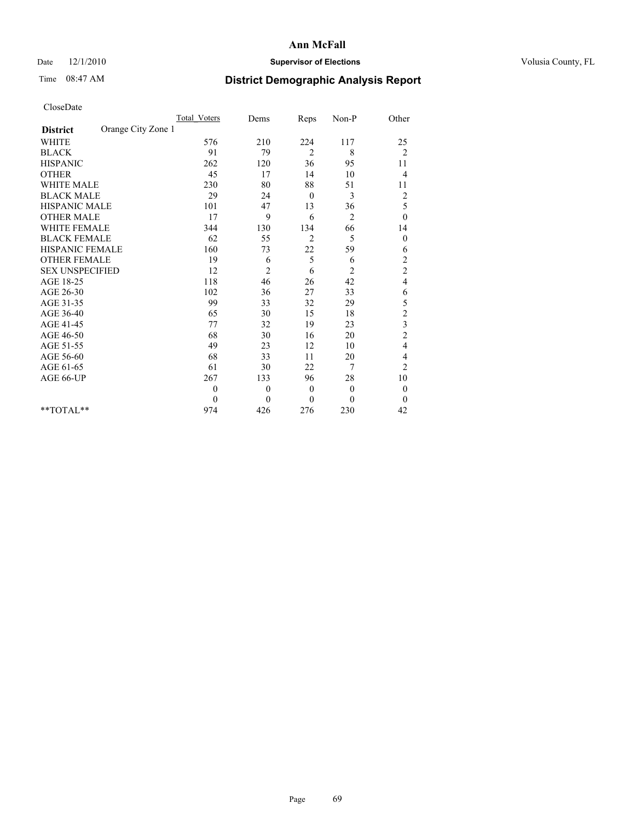## Date  $12/1/2010$  **Supervisor of Elections** Volusia County, FL

# Time 08:47 AM **District Demographic Analysis Report**

|                                       | Total Voters | Dems           | Reps           | $Non-P$        | Other                   |
|---------------------------------------|--------------|----------------|----------------|----------------|-------------------------|
| Orange City Zone 1<br><b>District</b> |              |                |                |                |                         |
| <b>WHITE</b>                          | 576          | 210            | 224            | 117            | 25                      |
| <b>BLACK</b>                          | 91           | 79             | $\overline{2}$ | 8              | $\overline{2}$          |
| <b>HISPANIC</b>                       | 262          | 120            | 36             | 95             | 11                      |
| <b>OTHER</b>                          | 45           | 17             | 14             | 10             | $\overline{4}$          |
| <b>WHITE MALE</b>                     | 230          | 80             | 88             | 51             | 11                      |
| <b>BLACK MALE</b>                     | 29           | 24             | $\theta$       | 3              | $\overline{c}$          |
| <b>HISPANIC MALE</b>                  | 101          | 47             | 13             | 36             | 5                       |
| <b>OTHER MALE</b>                     | 17           | 9              | 6              | 2              | $\boldsymbol{0}$        |
| WHITE FEMALE                          | 344          | 130            | 134            | 66             | 14                      |
| <b>BLACK FEMALE</b>                   | 62           | 55             | $\overline{2}$ | 5              | $\mathbf{0}$            |
| HISPANIC FEMALE                       | 160          | 73             | 22             | 59             | 6                       |
| <b>OTHER FEMALE</b>                   | 19           | 6              | 5              | 6              | $\overline{c}$          |
| <b>SEX UNSPECIFIED</b>                | 12           | $\overline{c}$ | 6              | $\overline{c}$ | $\overline{c}$          |
| AGE 18-25                             | 118          | 46             | 26             | 42             | $\overline{\mathbf{4}}$ |
| AGE 26-30                             | 102          | 36             | 27             | 33             | 6                       |
| AGE 31-35                             | 99           | 33             | 32             | 29             | 5                       |
| AGE 36-40                             | 65           | 30             | 15             | 18             | $\overline{c}$          |
| AGE 41-45                             | 77           | 32             | 19             | 23             | $\frac{3}{2}$           |
| AGE 46-50                             | 68           | 30             | 16             | 20             |                         |
| AGE 51-55                             | 49           | 23             | 12             | 10             | 4                       |
| AGE 56-60                             | 68           | 33             | 11             | 20             | 4                       |
| AGE 61-65                             | 61           | 30             | 22             | 7              | $\overline{c}$          |
| AGE 66-UP                             | 267          | 133            | 96             | 28             | 10                      |
|                                       | $\theta$     | $\theta$       | $\overline{0}$ | $\mathbf{0}$   | $\boldsymbol{0}$        |
|                                       | $\theta$     | $\theta$       | $\theta$       | $\theta$       | $\theta$                |
| $*$ $TOTAI.**$                        | 974          | 426            | 276            | 230            | 42                      |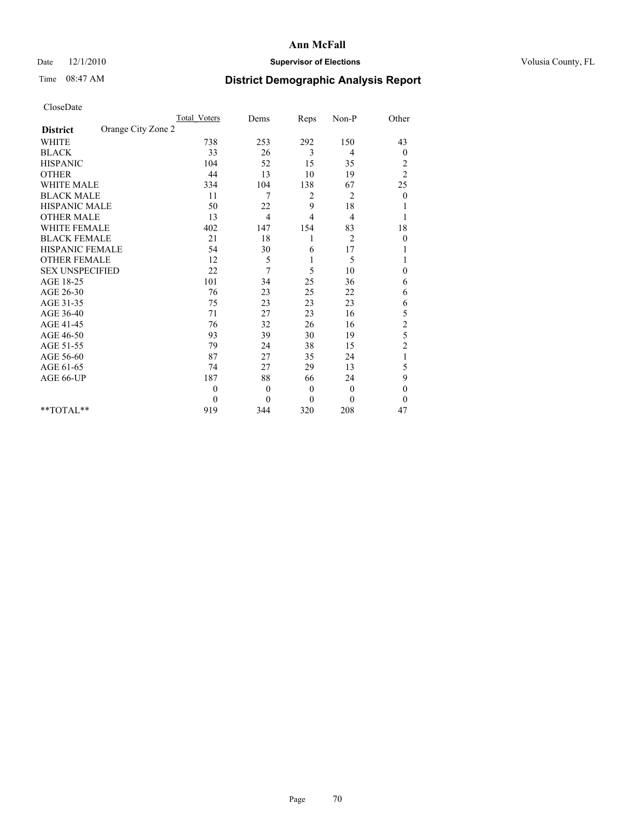## Date  $12/1/2010$  **Supervisor of Elections** Volusia County, FL

## Time 08:47 AM **District Demographic Analysis Report**

|                                       | Total Voters | Dems     | Reps         | Non-P          | Other                   |
|---------------------------------------|--------------|----------|--------------|----------------|-------------------------|
| Orange City Zone 2<br><b>District</b> |              |          |              |                |                         |
| <b>WHITE</b>                          | 738          | 253      | 292          | 150            | 43                      |
| <b>BLACK</b>                          | 33           | 26       | 3            | 4              | $\boldsymbol{0}$        |
| <b>HISPANIC</b>                       | 104          | 52       | 15           | 35             | $\overline{\mathbf{c}}$ |
| <b>OTHER</b>                          | 44           | 13       | 10           | 19             | $\overline{2}$          |
| <b>WHITE MALE</b>                     | 334          | 104      | 138          | 67             | 25                      |
| <b>BLACK MALE</b>                     | 11           | 7        | 2            | 2              | $\overline{0}$          |
| <b>HISPANIC MALE</b>                  | 50           | 22       | 9            | 18             |                         |
| <b>OTHER MALE</b>                     | 13           | 4        | 4            | 4              |                         |
| <b>WHITE FEMALE</b>                   | 402          | 147      | 154          | 83             | 18                      |
| <b>BLACK FEMALE</b>                   | 21           | 18       |              | $\overline{2}$ | $\boldsymbol{0}$        |
| HISPANIC FEMALE                       | 54           | 30       | 6            | 17             |                         |
| <b>OTHER FEMALE</b>                   | 12           | 5        | 1            | 5              |                         |
| <b>SEX UNSPECIFIED</b>                | 22           | 7        | 5            | 10             | $\theta$                |
| AGE 18-25                             | 101          | 34       | 25           | 36             | 6                       |
| AGE 26-30                             | 76           | 23       | 25           | 22             | 6                       |
| AGE 31-35                             | 75           | 23       | 23           | 23             | 6                       |
| AGE 36-40                             | 71           | 27       | 23           | 16             | 5                       |
| AGE 41-45                             | 76           | 32       | 26           | 16             | $\overline{c}$          |
| AGE 46-50                             | 93           | 39       | 30           | 19             | 5                       |
| AGE 51-55                             | 79           | 24       | 38           | 15             | $\overline{c}$          |
| AGE 56-60                             | 87           | 27       | 35           | 24             | $\mathbf{1}$            |
| AGE 61-65                             | 74           | 27       | 29           | 13             | 5                       |
| AGE 66-UP                             | 187          | 88       | 66           | 24             | 9                       |
|                                       | $\mathbf{0}$ | $\theta$ | $\mathbf{0}$ | $\mathbf{0}$   | $\theta$                |
|                                       | $\theta$     | $\theta$ | $\mathbf{0}$ | $\theta$       | $\theta$                |
| $*$ $TOTAI.**$                        | 919          | 344      | 320          | 208            | 47                      |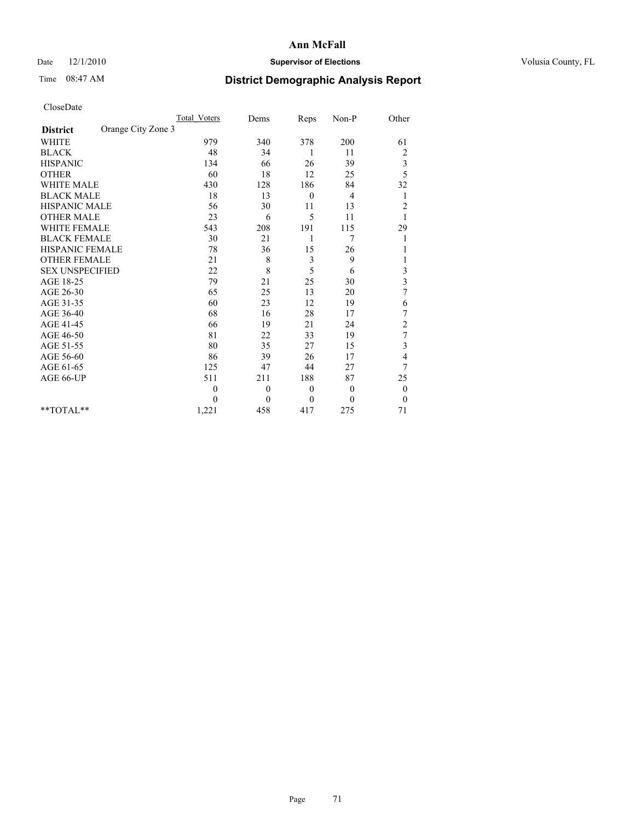## Date  $12/1/2010$  **Supervisor of Elections** Volusia County, FL

## Time 08:47 AM **District Demographic Analysis Report**

|                                       | Total Voters | Dems             | Reps         | Non-P    | Other                   |  |
|---------------------------------------|--------------|------------------|--------------|----------|-------------------------|--|
| Orange City Zone 3<br><b>District</b> |              |                  |              |          |                         |  |
| <b>WHITE</b>                          | 979          | 340              | 378          | 200      | 61                      |  |
| <b>BLACK</b>                          | 48           | 34               | 1            | 11       | $\overline{\mathbf{c}}$ |  |
| <b>HISPANIC</b>                       | 134          | 66               | 26           | 39       | 3                       |  |
| <b>OTHER</b>                          | 60           | 18               | 12           | 25       | 5                       |  |
| <b>WHITE MALE</b>                     | 430          | 128              | 186          | 84       | 32                      |  |
| <b>BLACK MALE</b>                     | 18           | 13               | $\theta$     | 4        | 1                       |  |
| HISPANIC MALE                         | 56           | 30               | 11           | 13       | $\overline{2}$          |  |
| <b>OTHER MALE</b>                     | 23           | 6                | 5            | 11       |                         |  |
| <b>WHITE FEMALE</b>                   | 543          | 208              | 191          | 115      | 29                      |  |
| <b>BLACK FEMALE</b>                   | 30           | 21               | 1            | 7        | 1                       |  |
| <b>HISPANIC FEMALE</b>                | 78           | 36               | 15           | 26       |                         |  |
| <b>OTHER FEMALE</b>                   | 21           | 8                | 3            | 9        | 1                       |  |
| <b>SEX UNSPECIFIED</b>                | 22           | 8                | 5            | 6        | 3                       |  |
| AGE 18-25                             | 79           | 21               | 25           | 30       | 3                       |  |
| AGE 26-30                             | 65           | 25               | 13           | 20       | 7                       |  |
| AGE 31-35                             | 60           | 23               | 12           | 19       | 6                       |  |
| AGE 36-40                             | 68           | 16               | 28           | 17       | 7                       |  |
| AGE 41-45                             | 66           | 19               | 21           | 24       | $\overline{\mathbf{c}}$ |  |
| AGE 46-50                             | 81           | 22               | 33           | 19       | $\overline{7}$          |  |
| AGE 51-55                             | 80           | 35               | 27           | 15       | 3                       |  |
| AGE 56-60                             | 86           | 39               | 26           | 17       | 4                       |  |
| AGE 61-65                             | 125          | 47               | 44           | 27       | 7                       |  |
| AGE 66-UP                             | 511          | 211              | 188          | 87       | 25                      |  |
|                                       | $\mathbf{0}$ | $\boldsymbol{0}$ | $\theta$     | $\theta$ | $\boldsymbol{0}$        |  |
|                                       | $\theta$     | $\theta$         | $\mathbf{0}$ | $\Omega$ | $\theta$                |  |
| $*$ TOTAL $*$                         | 1,221        | 458              | 417          | 275      | 71                      |  |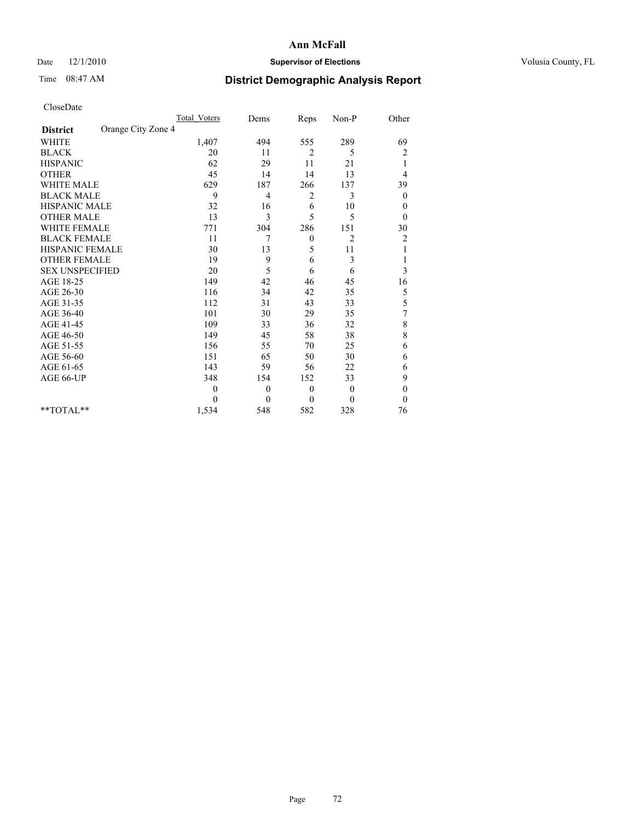## Date  $12/1/2010$  **Supervisor of Elections** Volusia County, FL

## Time 08:47 AM **District Demographic Analysis Report**

|                                       | <b>Total Voters</b> | Dems     | Reps             | Non-P          | Other                   |
|---------------------------------------|---------------------|----------|------------------|----------------|-------------------------|
| Orange City Zone 4<br><b>District</b> |                     |          |                  |                |                         |
| <b>WHITE</b>                          | 1,407               | 494      | 555              | 289            | 69                      |
| <b>BLACK</b>                          | 20                  | 11       | $\overline{2}$   | 5              | $\overline{\mathbf{c}}$ |
| <b>HISPANIC</b>                       | 62                  | 29       | 11               | 21             | 1                       |
| <b>OTHER</b>                          | 45                  | 14       | 14               | 13             | 4                       |
| <b>WHITE MALE</b>                     | 629                 | 187      | 266              | 137            | 39                      |
| <b>BLACK MALE</b>                     | 9                   | 4        | 2                | 3              | $\mathbf{0}$            |
| <b>HISPANIC MALE</b>                  | 32                  | 16       | 6                | 10             | $\boldsymbol{0}$        |
| <b>OTHER MALE</b>                     | 13                  | 3        | 5                | 5              | $\mathbf{0}$            |
| <b>WHITE FEMALE</b>                   | 771                 | 304      | 286              | 151            | 30                      |
| <b>BLACK FEMALE</b>                   | 11                  | 7        | $\boldsymbol{0}$ | $\overline{2}$ | $\overline{c}$          |
| HISPANIC FEMALE                       | 30                  | 13       | 5                | 11             |                         |
| <b>OTHER FEMALE</b>                   | 19                  | 9        | 6                | 3              |                         |
| <b>SEX UNSPECIFIED</b>                | 20                  | 5        | 6                | 6              | 3                       |
| AGE 18-25                             | 149                 | 42       | 46               | 45             | 16                      |
| AGE 26-30                             | 116                 | 34       | 42               | 35             | 5                       |
| AGE 31-35                             | 112                 | 31       | 43               | 33             | 5                       |
| AGE 36-40                             | 101                 | 30       | 29               | 35             | 7                       |
| AGE 41-45                             | 109                 | 33       | 36               | 32             | 8                       |
| AGE 46-50                             | 149                 | 45       | 58               | 38             | 8                       |
| AGE 51-55                             | 156                 | 55       | 70               | 25             | 6                       |
| AGE 56-60                             | 151                 | 65       | 50               | 30             | 6                       |
| AGE 61-65                             | 143                 | 59       | 56               | 22             | 6                       |
| AGE 66-UP                             | 348                 | 154      | 152              | 33             | 9                       |
|                                       | $\theta$            | $\theta$ | $\mathbf{0}$     | $\mathbf{0}$   | $\boldsymbol{0}$        |
|                                       | 0                   | $\theta$ | $\mathbf{0}$     | $\theta$       | $\mathbf{0}$            |
| $*$ TOTAL $*$                         | 1,534               | 548      | 582              | 328            | 76                      |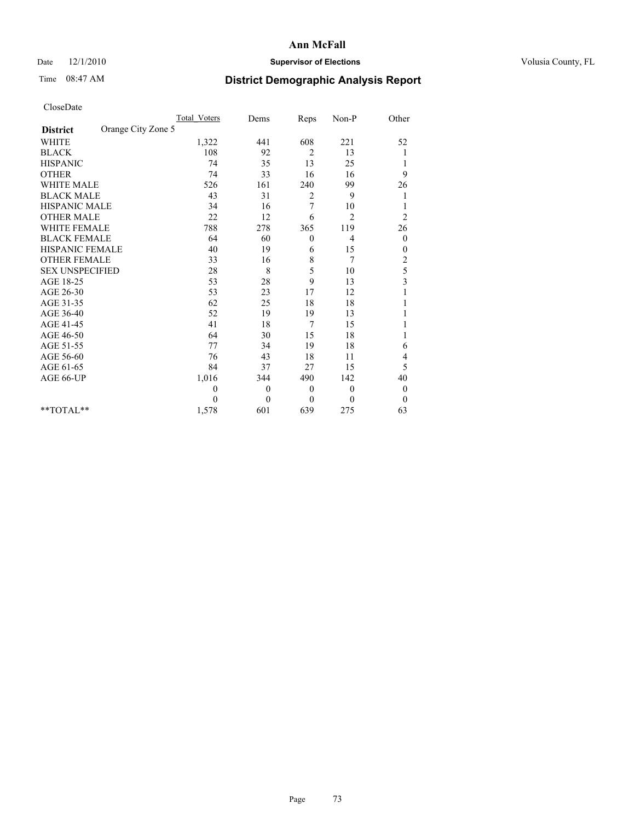## Date  $12/1/2010$  **Supervisor of Elections** Volusia County, FL

# Time 08:47 AM **District Demographic Analysis Report**

|                                       | <b>Total Voters</b> | Dems     | Reps             | Non-P        | Other                   |
|---------------------------------------|---------------------|----------|------------------|--------------|-------------------------|
| Orange City Zone 5<br><b>District</b> |                     |          |                  |              |                         |
| <b>WHITE</b>                          | 1,322               | 441      | 608              | 221          | 52                      |
| <b>BLACK</b>                          | 108                 | 92       | $\overline{2}$   | 13           |                         |
| <b>HISPANIC</b>                       | 74                  | 35       | 13               | 25           | 1                       |
| <b>OTHER</b>                          | 74                  | 33       | 16               | 16           | 9                       |
| <b>WHITE MALE</b>                     | 526                 | 161      | 240              | 99           | 26                      |
| <b>BLACK MALE</b>                     | 43                  | 31       | 2                | 9            |                         |
| <b>HISPANIC MALE</b>                  | 34                  | 16       | 7                | 10           |                         |
| <b>OTHER MALE</b>                     | 22                  | 12       | 6                | 2            | 2                       |
| <b>WHITE FEMALE</b>                   | 788                 | 278      | 365              | 119          | 26                      |
| <b>BLACK FEMALE</b>                   | 64                  | 60       | $\boldsymbol{0}$ | 4            | $\boldsymbol{0}$        |
| HISPANIC FEMALE                       | 40                  | 19       | 6                | 15           | 0                       |
| <b>OTHER FEMALE</b>                   | 33                  | 16       | 8                | 7            | $\overline{c}$          |
| <b>SEX UNSPECIFIED</b>                | 28                  | 8        | 5                | 10           | 5                       |
| AGE 18-25                             | 53                  | 28       | 9                | 13           | $\overline{\mathbf{3}}$ |
| AGE 26-30                             | 53                  | 23       | 17               | 12           |                         |
| AGE 31-35                             | 62                  | 25       | 18               | 18           |                         |
| AGE 36-40                             | 52                  | 19       | 19               | 13           |                         |
| AGE 41-45                             | 41                  | 18       | 7                | 15           |                         |
| AGE 46-50                             | 64                  | 30       | 15               | 18           |                         |
| AGE 51-55                             | 77                  | 34       | 19               | 18           | 6                       |
| AGE 56-60                             | 76                  | 43       | 18               | 11           | 4                       |
| AGE 61-65                             | 84                  | 37       | 27               | 15           | 5                       |
| AGE 66-UP                             | 1,016               | 344      | 490              | 142          | 40                      |
|                                       | 0                   | $\theta$ | $\mathbf{0}$     | $\mathbf{0}$ | $\boldsymbol{0}$        |
|                                       | 0                   | $\theta$ | $\mathbf{0}$     | $\mathbf{0}$ | $\boldsymbol{0}$        |
| $*$ TOTAL $*$                         | 1,578               | 601      | 639              | 275          | 63                      |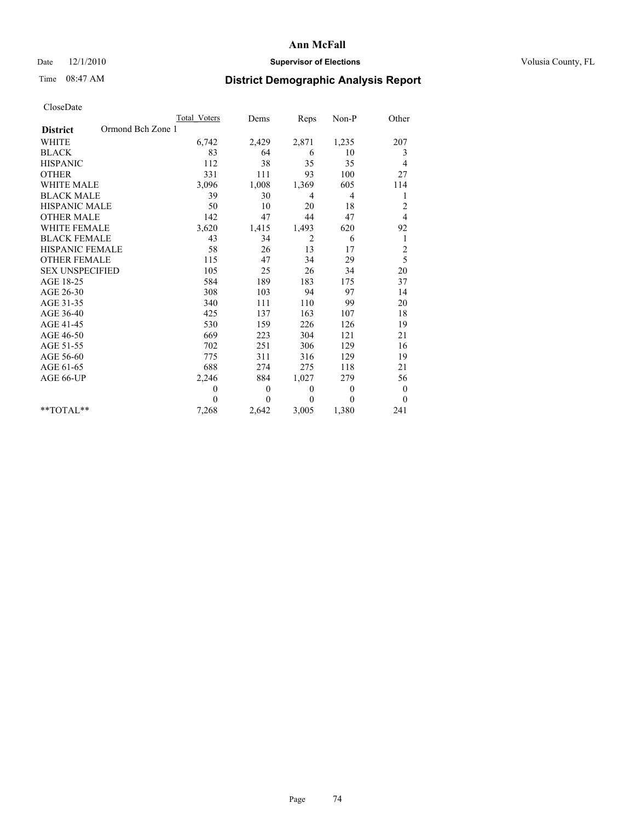## Date  $12/1/2010$  **Supervisor of Elections** Volusia County, FL

## Time 08:47 AM **District Demographic Analysis Report**

|                                      | <b>Total Voters</b> | Dems         | Reps           | Non-P          | Other            |
|--------------------------------------|---------------------|--------------|----------------|----------------|------------------|
| Ormond Bch Zone 1<br><b>District</b> |                     |              |                |                |                  |
| <b>WHITE</b>                         | 6,742               | 2,429        | 2,871          | 1,235          | 207              |
| <b>BLACK</b>                         | 83                  | 64           | 6              | 10             | 3                |
| <b>HISPANIC</b>                      | 112                 | 38           | 35             | 35             | 4                |
| <b>OTHER</b>                         | 331                 | 111          | 93             | 100            | 27               |
| <b>WHITE MALE</b>                    | 3,096               | 1,008        | 1,369          | 605            | 114              |
| <b>BLACK MALE</b>                    | 39                  | 30           | $\overline{4}$ | $\overline{4}$ | 1                |
| <b>HISPANIC MALE</b>                 | 50                  | 10           | 20             | 18             | $\overline{c}$   |
| <b>OTHER MALE</b>                    | 142                 | 47           | 44             | 47             | 4                |
| <b>WHITE FEMALE</b>                  | 3,620               | 1,415        | 1,493          | 620            | 92               |
| <b>BLACK FEMALE</b>                  | 43                  | 34           | $\overline{c}$ | 6              | 1                |
| HISPANIC FEMALE                      | 58                  | 26           | 13             | 17             | $\overline{c}$   |
| <b>OTHER FEMALE</b>                  | 115                 | 47           | 34             | 29             | 5                |
| <b>SEX UNSPECIFIED</b>               | 105                 | 25           | 26             | 34             | 20               |
| AGE 18-25                            | 584                 | 189          | 183            | 175            | 37               |
| AGE 26-30                            | 308                 | 103          | 94             | 97             | 14               |
| AGE 31-35                            | 340                 | 111          | 110            | 99             | 20               |
| AGE 36-40                            | 425                 | 137          | 163            | 107            | 18               |
| AGE 41-45                            | 530                 | 159          | 226            | 126            | 19               |
| AGE 46-50                            | 669                 | 223          | 304            | 121            | 21               |
| AGE 51-55                            | 702                 | 251          | 306            | 129            | 16               |
| AGE 56-60                            | 775                 | 311          | 316            | 129            | 19               |
| AGE 61-65                            | 688                 | 274          | 275            | 118            | 21               |
| AGE 66-UP                            | 2,246               | 884          | 1,027          | 279            | 56               |
|                                      | $\theta$            | $\mathbf{0}$ | $\theta$       | $\overline{0}$ | $\boldsymbol{0}$ |
|                                      | $\theta$            | $\theta$     | $\Omega$       | $\theta$       | $\theta$         |
| $*$ TOTAL $*$                        | 7,268               | 2,642        | 3,005          | 1,380          | 241              |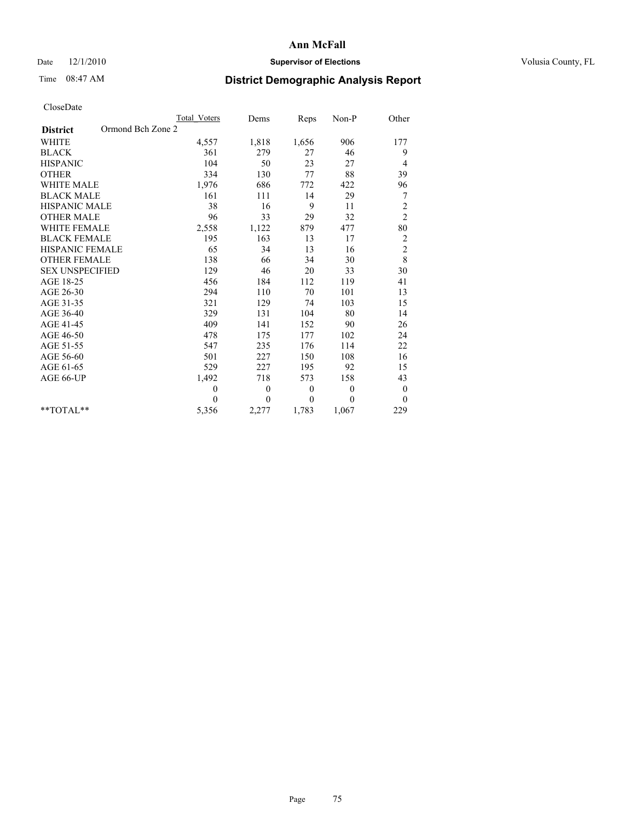## Date  $12/1/2010$  **Supervisor of Elections** Volusia County, FL

## Time 08:47 AM **District Demographic Analysis Report**

|                                      | Total Voters   | Dems           | Reps             | $Non-P$      | Other            |
|--------------------------------------|----------------|----------------|------------------|--------------|------------------|
| Ormond Bch Zone 2<br><b>District</b> |                |                |                  |              |                  |
| <b>WHITE</b>                         | 4,557          | 1,818          | 1,656            | 906          | 177              |
| <b>BLACK</b>                         | 361            | 279            | 27               | 46           | 9                |
| <b>HISPANIC</b>                      | 104            | 50             | 23               | 27           | 4                |
| <b>OTHER</b>                         | 334            | 130            | 77               | 88           | 39               |
| <b>WHITE MALE</b>                    | 1,976          | 686            | 772              | 422          | 96               |
| <b>BLACK MALE</b>                    | 161            | 111            | 14               | 29           | 7                |
| <b>HISPANIC MALE</b>                 | 38             | 16             | 9                | 11           | $\overline{c}$   |
| <b>OTHER MALE</b>                    | 96             | 33             | 29               | 32           | $\overline{c}$   |
| <b>WHITE FEMALE</b>                  | 2,558          | 1,122          | 879              | 477          | $80\,$           |
| <b>BLACK FEMALE</b>                  | 195            | 163            | 13               | 17           | $\boldsymbol{2}$ |
| HISPANIC FEMALE                      | 65             | 34             | 13               | 16           | $\overline{c}$   |
| <b>OTHER FEMALE</b>                  | 138            | 66             | 34               | 30           | 8                |
| <b>SEX UNSPECIFIED</b>               | 129            | 46             | 20               | 33           | 30               |
| AGE 18-25                            | 456            | 184            | 112              | 119          | 41               |
| AGE 26-30                            | 294            | 110            | 70               | 101          | 13               |
| AGE 31-35                            | 321            | 129            | 74               | 103          | 15               |
| AGE 36-40                            | 329            | 131            | 104              | 80           | 14               |
| AGE 41-45                            | 409            | 141            | 152              | 90           | 26               |
| AGE 46-50                            | 478            | 175            | 177              | 102          | 24               |
| AGE 51-55                            | 547            | 235            | 176              | 114          | 22               |
| AGE 56-60                            | 501            | 227            | 150              | 108          | 16               |
| AGE 61-65                            | 529            | 227            | 195              | 92           | 15               |
| AGE 66-UP                            | 1,492          | 718            | 573              | 158          | 43               |
|                                      | $\overline{0}$ | $\mathbf{0}$   | $\boldsymbol{0}$ | $\mathbf{0}$ | $\boldsymbol{0}$ |
|                                      | $\theta$       | $\overline{0}$ | $\theta$         | $\theta$     | $\mathbf{0}$     |
| $*$ $TOTAI.**$                       | 5,356          | 2,277          | 1,783            | 1,067        | 229              |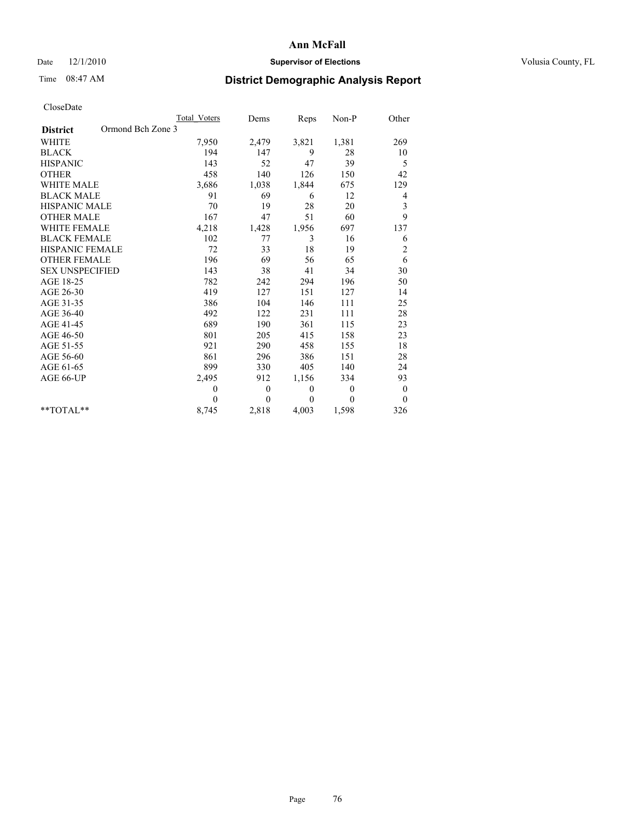## Date  $12/1/2010$  **Supervisor of Elections** Volusia County, FL

# Time 08:47 AM **District Demographic Analysis Report**

|                                      | <b>Total Voters</b> | Dems         | Reps     | Non-P    | Other            |
|--------------------------------------|---------------------|--------------|----------|----------|------------------|
| Ormond Bch Zone 3<br><b>District</b> |                     |              |          |          |                  |
| <b>WHITE</b>                         | 7,950               | 2,479        | 3,821    | 1,381    | 269              |
| <b>BLACK</b>                         | 194                 | 147          | 9        | 28       | 10               |
| <b>HISPANIC</b>                      | 143                 | 52           | 47       | 39       | 5                |
| <b>OTHER</b>                         | 458                 | 140          | 126      | 150      | 42               |
| <b>WHITE MALE</b>                    | 3,686               | 1,038        | 1,844    | 675      | 129              |
| <b>BLACK MALE</b>                    | 91                  | 69           | 6        | 12       | 4                |
| <b>HISPANIC MALE</b>                 | 70                  | 19           | 28       | 20       | 3                |
| <b>OTHER MALE</b>                    | 167                 | 47           | 51       | 60       | 9                |
| <b>WHITE FEMALE</b>                  | 4,218               | 1,428        | 1,956    | 697      | 137              |
| <b>BLACK FEMALE</b>                  | 102                 | 77           | 3        | 16       | 6                |
| HISPANIC FEMALE                      | 72                  | 33           | 18       | 19       | $\overline{c}$   |
| <b>OTHER FEMALE</b>                  | 196                 | 69           | 56       | 65       | 6                |
| <b>SEX UNSPECIFIED</b>               | 143                 | 38           | 41       | 34       | 30               |
| AGE 18-25                            | 782                 | 242          | 294      | 196      | 50               |
| AGE 26-30                            | 419                 | 127          | 151      | 127      | 14               |
| AGE 31-35                            | 386                 | 104          | 146      | 111      | 25               |
| AGE 36-40                            | 492                 | 122          | 231      | 111      | 28               |
| AGE 41-45                            | 689                 | 190          | 361      | 115      | 23               |
| AGE 46-50                            | 801                 | 205          | 415      | 158      | 23               |
| AGE 51-55                            | 921                 | 290          | 458      | 155      | 18               |
| AGE 56-60                            | 861                 | 296          | 386      | 151      | 28               |
| AGE 61-65                            | 899                 | 330          | 405      | 140      | 24               |
| AGE 66-UP                            | 2,495               | 912          | 1,156    | 334      | 93               |
|                                      | $\mathbf{0}$        | $\mathbf{0}$ | $\theta$ | $\theta$ | $\boldsymbol{0}$ |
|                                      | $\theta$            | $\theta$     | $\theta$ | $\theta$ | $\theta$         |
| $*$ TOTAL $*$                        | 8,745               | 2,818        | 4,003    | 1,598    | 326              |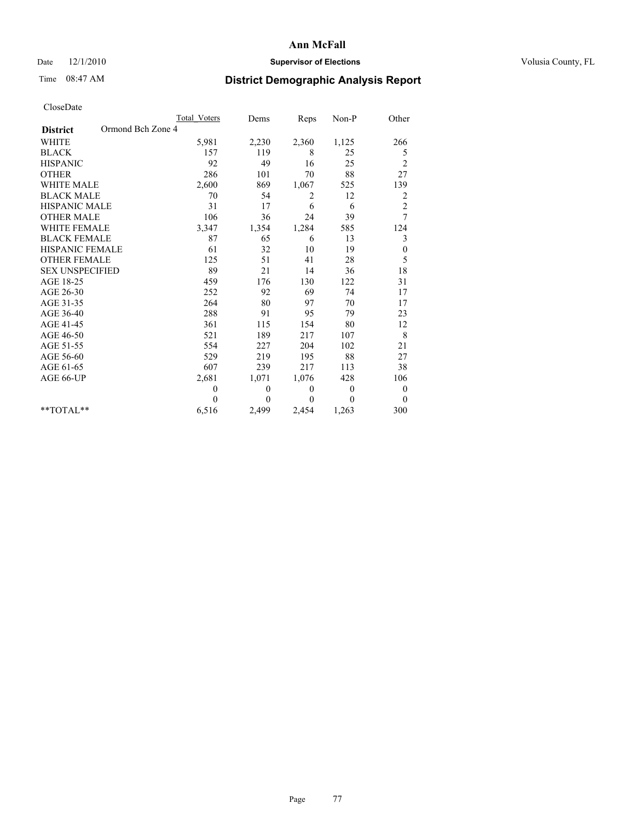## Date  $12/1/2010$  **Supervisor of Elections** Volusia County, FL

## Time 08:47 AM **District Demographic Analysis Report**

|                                      | Total Voters | Dems         | Reps         | Non-P          | Other            |
|--------------------------------------|--------------|--------------|--------------|----------------|------------------|
| Ormond Bch Zone 4<br><b>District</b> |              |              |              |                |                  |
| <b>WHITE</b>                         | 5,981        | 2,230        | 2,360        | 1,125          | 266              |
| <b>BLACK</b>                         | 157          | 119          | 8            | 25             | 5                |
| <b>HISPANIC</b>                      | 92           | 49           | 16           | 25             | $\overline{c}$   |
| <b>OTHER</b>                         | 286          | 101          | 70           | 88             | 27               |
| <b>WHITE MALE</b>                    | 2,600        | 869          | 1,067        | 525            | 139              |
| <b>BLACK MALE</b>                    | 70           | 54           | 2            | 12             | 2                |
| <b>HISPANIC MALE</b>                 | 31           | 17           | 6            | 6              | $\overline{c}$   |
| <b>OTHER MALE</b>                    | 106          | 36           | 24           | 39             | 7                |
| <b>WHITE FEMALE</b>                  | 3,347        | 1,354        | 1,284        | 585            | 124              |
| <b>BLACK FEMALE</b>                  | 87           | 65           | 6            | 13             | 3                |
| HISPANIC FEMALE                      | 61           | 32           | 10           | 19             | $\boldsymbol{0}$ |
| <b>OTHER FEMALE</b>                  | 125          | 51           | 41           | 28             | 5                |
| <b>SEX UNSPECIFIED</b>               | 89           | 21           | 14           | 36             | 18               |
| AGE 18-25                            | 459          | 176          | 130          | 122            | 31               |
| AGE 26-30                            | 252          | 92           | 69           | 74             | 17               |
| AGE 31-35                            | 264          | 80           | 97           | 70             | 17               |
| AGE 36-40                            | 288          | 91           | 95           | 79             | 23               |
| AGE 41-45                            | 361          | 115          | 154          | 80             | 12               |
| AGE 46-50                            | 521          | 189          | 217          | 107            | 8                |
| AGE 51-55                            | 554          | 227          | 204          | 102            | 21               |
| AGE 56-60                            | 529          | 219          | 195          | 88             | 27               |
| AGE 61-65                            | 607          | 239          | 217          | 113            | 38               |
| AGE 66-UP                            | 2,681        | 1,071        | 1,076        | 428            | 106              |
|                                      | $\mathbf{0}$ | $\mathbf{0}$ | $\mathbf{0}$ | $\overline{0}$ | $\boldsymbol{0}$ |
|                                      | $\theta$     | $\theta$     | $\Omega$     | $\theta$       | $\theta$         |
| $*$ TOTAL $*$                        | 6,516        | 2,499        | 2,454        | 1,263          | 300              |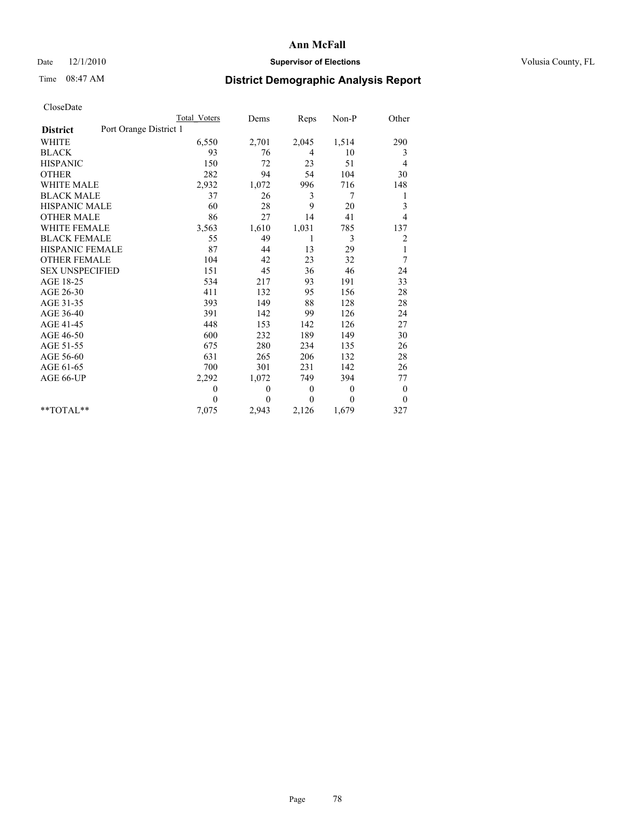## Date  $12/1/2010$  **Supervisor of Elections** Volusia County, FL

# Time 08:47 AM **District Demographic Analysis Report**

|                                           | Total Voters | Dems           | Reps         | Non-P          | Other        |
|-------------------------------------------|--------------|----------------|--------------|----------------|--------------|
| Port Orange District 1<br><b>District</b> |              |                |              |                |              |
| <b>WHITE</b>                              | 6,550        | 2,701          | 2,045        | 1,514          | 290          |
| <b>BLACK</b>                              | 93           | 76             | 4            | 10             | 3            |
| <b>HISPANIC</b>                           | 150          | 72             | 23           | 51             | 4            |
| <b>OTHER</b>                              | 282          | 94             | 54           | 104            | 30           |
| <b>WHITE MALE</b>                         | 2,932        | 1,072          | 996          | 716            | 148          |
| <b>BLACK MALE</b>                         | 37           | 26             | 3            | 7              | 1            |
| <b>HISPANIC MALE</b>                      | 60           | 28             | 9            | 20             | 3            |
| <b>OTHER MALE</b>                         | 86           | 27             | 14           | 41             | 4            |
| <b>WHITE FEMALE</b>                       | 3,563        | 1,610          | 1,031        | 785            | 137          |
| <b>BLACK FEMALE</b>                       | 55           | 49             | 1            | 3              | 2            |
| HISPANIC FEMALE                           | 87           | 44             | 13           | 29             | $\mathbf{1}$ |
| <b>OTHER FEMALE</b>                       | 104          | 42             | 23           | 32             | 7            |
| <b>SEX UNSPECIFIED</b>                    | 151          | 45             | 36           | 46             | 24           |
| AGE 18-25                                 | 534          | 217            | 93           | 191            | 33           |
| AGE 26-30                                 | 411          | 132            | 95           | 156            | 28           |
| AGE 31-35                                 | 393          | 149            | 88           | 128            | 28           |
| AGE 36-40                                 | 391          | 142            | 99           | 126            | 24           |
| AGE 41-45                                 | 448          | 153            | 142          | 126            | 27           |
| AGE 46-50                                 | 600          | 232            | 189          | 149            | 30           |
| AGE 51-55                                 | 675          | 280            | 234          | 135            | 26           |
| AGE 56-60                                 | 631          | 265            | 206          | 132            | 28           |
| AGE 61-65                                 | 700          | 301            | 231          | 142            | 26           |
| AGE 66-UP                                 | 2,292        | 1,072          | 749          | 394            | 77           |
|                                           | $\theta$     | $\theta$       | $\mathbf{0}$ | $\overline{0}$ | $\bf{0}$     |
|                                           | $\theta$     | $\overline{0}$ | $\Omega$     | $\theta$       | $\mathbf{0}$ |
| $*$ $TOTAI.**$                            | 7,075        | 2,943          | 2,126        | 1,679          | 327          |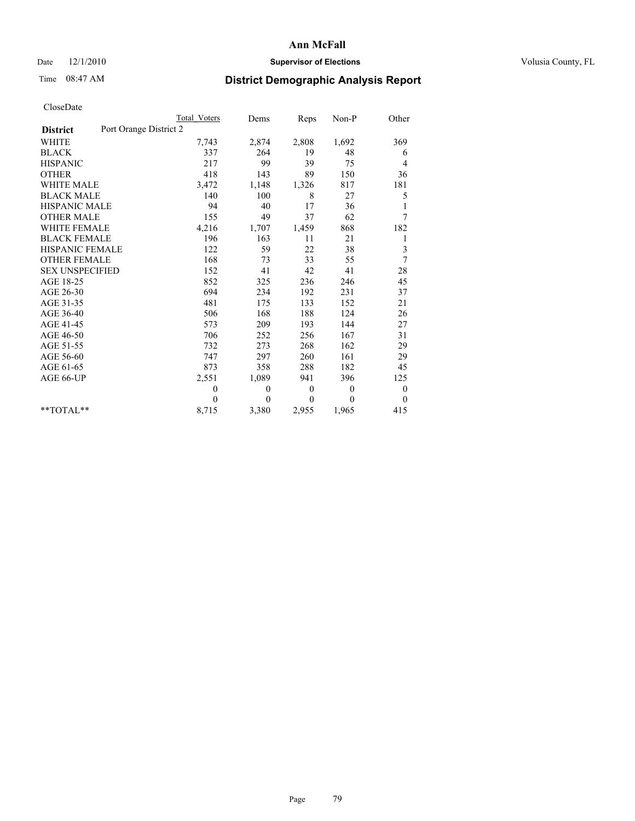## Date  $12/1/2010$  **Supervisor of Elections** Volusia County, FL

# Time 08:47 AM **District Demographic Analysis Report**

|                                           | Total Voters | Dems     | <b>Reps</b>  | Non-P        | Other            |
|-------------------------------------------|--------------|----------|--------------|--------------|------------------|
| Port Orange District 2<br><b>District</b> |              |          |              |              |                  |
| <b>WHITE</b>                              | 7,743        | 2,874    | 2,808        | 1,692        | 369              |
| <b>BLACK</b>                              | 337          | 264      | 19           | 48           | 6                |
| <b>HISPANIC</b>                           | 217          | 99       | 39           | 75           | 4                |
| <b>OTHER</b>                              | 418          | 143      | 89           | 150          | 36               |
| <b>WHITE MALE</b>                         | 3,472        | 1,148    | 1,326        | 817          | 181              |
| <b>BLACK MALE</b>                         | 140          | 100      | 8            | 27           | 5                |
| <b>HISPANIC MALE</b>                      | 94           | 40       | 17           | 36           | 1                |
| <b>OTHER MALE</b>                         | 155          | 49       | 37           | 62           | 7                |
| <b>WHITE FEMALE</b>                       | 4,216        | 1,707    | 1,459        | 868          | 182              |
| <b>BLACK FEMALE</b>                       | 196          | 163      | 11           | 21           | 1                |
| HISPANIC FEMALE                           | 122          | 59       | 22           | 38           | 3                |
| <b>OTHER FEMALE</b>                       | 168          | 73       | 33           | 55           | 7                |
| <b>SEX UNSPECIFIED</b>                    | 152          | 41       | 42           | 41           | $28\,$           |
| AGE 18-25                                 | 852          | 325      | 236          | 246          | 45               |
| AGE 26-30                                 | 694          | 234      | 192          | 231          | 37               |
| AGE 31-35                                 | 481          | 175      | 133          | 152          | 21               |
| AGE 36-40                                 | 506          | 168      | 188          | 124          | 26               |
| AGE 41-45                                 | 573          | 209      | 193          | 144          | 27               |
| AGE 46-50                                 | 706          | 252      | 256          | 167          | 31               |
| AGE 51-55                                 | 732          | 273      | 268          | 162          | 29               |
| AGE 56-60                                 | 747          | 297      | 260          | 161          | 29               |
| AGE 61-65                                 | 873          | 358      | 288          | 182          | 45               |
| AGE 66-UP                                 | 2,551        | 1,089    | 941          | 396          | 125              |
|                                           | $\theta$     | $\theta$ | $\mathbf{0}$ | $\mathbf{0}$ | $\boldsymbol{0}$ |
|                                           | $\theta$     | $\theta$ | $\Omega$     | $\theta$     | $\mathbf{0}$     |
| $*$ $TOTAI.**$                            | 8,715        | 3,380    | 2,955        | 1,965        | 415              |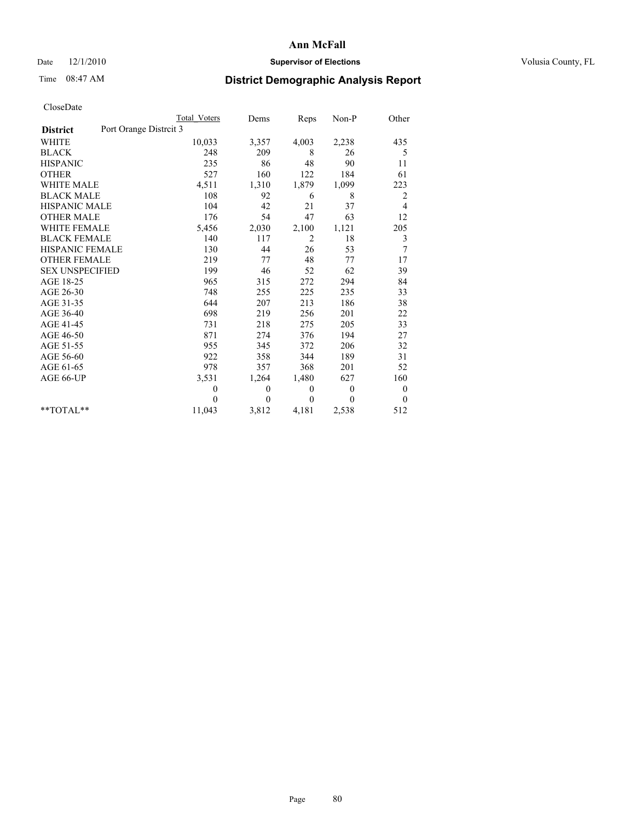### Date  $12/1/2010$  **Supervisor of Elections Supervisor of Elections** Volusia County, FL

# Time 08:47 AM **District Demographic Analysis Report**

|                                          | Total Voters   | Dems           | Reps           | $Non-P$        | Other          |
|------------------------------------------|----------------|----------------|----------------|----------------|----------------|
| Port Orange Distrit 3<br><b>District</b> |                |                |                |                |                |
| <b>WHITE</b>                             | 10,033         | 3,357          | 4,003          | 2,238          | 435            |
| <b>BLACK</b>                             | 248            | 209            | 8              | 26             | 5              |
| <b>HISPANIC</b>                          | 235            | 86             | 48             | 90             | 11             |
| <b>OTHER</b>                             | 527            | 160            | 122            | 184            | 61             |
| <b>WHITE MALE</b>                        | 4,511          | 1,310          | 1,879          | 1,099          | 223            |
| <b>BLACK MALE</b>                        | 108            | 92             | 6              | 8              | 2              |
| <b>HISPANIC MALE</b>                     | 104            | 42             | 21             | 37             | 4              |
| <b>OTHER MALE</b>                        | 176            | 54             | 47             | 63             | 12             |
| WHITE FEMALE                             | 5,456          | 2,030          | 2,100          | 1,121          | 205            |
| <b>BLACK FEMALE</b>                      | 140            | 117            | $\overline{2}$ | 18             | 3              |
| HISPANIC FEMALE                          | 130            | 44             | 26             | 53             | $\overline{7}$ |
| <b>OTHER FEMALE</b>                      | 219            | 77             | 48             | 77             | 17             |
| <b>SEX UNSPECIFIED</b>                   | 199            | 46             | 52             | 62             | 39             |
| AGE 18-25                                | 965            | 315            | 272            | 294            | 84             |
| AGE 26-30                                | 748            | 255            | 225            | 235            | 33             |
| AGE 31-35                                | 644            | 207            | 213            | 186            | 38             |
| AGE 36-40                                | 698            | 219            | 256            | 201            | 22             |
| AGE 41-45                                | 731            | 218            | 275            | 205            | 33             |
| AGE 46-50                                | 871            | 274            | 376            | 194            | 27             |
| AGE 51-55                                | 955            | 345            | 372            | 206            | 32             |
| AGE 56-60                                | 922            | 358            | 344            | 189            | 31             |
| AGE 61-65                                | 978            | 357            | 368            | 201            | 52             |
| AGE 66-UP                                | 3,531          | 1,264          | 1,480          | 627            | 160            |
|                                          | $\overline{0}$ | $\theta$       | $\mathbf{0}$   | $\overline{0}$ | $\overline{0}$ |
|                                          | $\theta$       | $\overline{0}$ | $\mathbf{0}$   | $\theta$       | $\overline{0}$ |
| $*$ $TOTAI.**$                           | 11,043         | 3,812          | 4,181          | 2,538          | 512            |